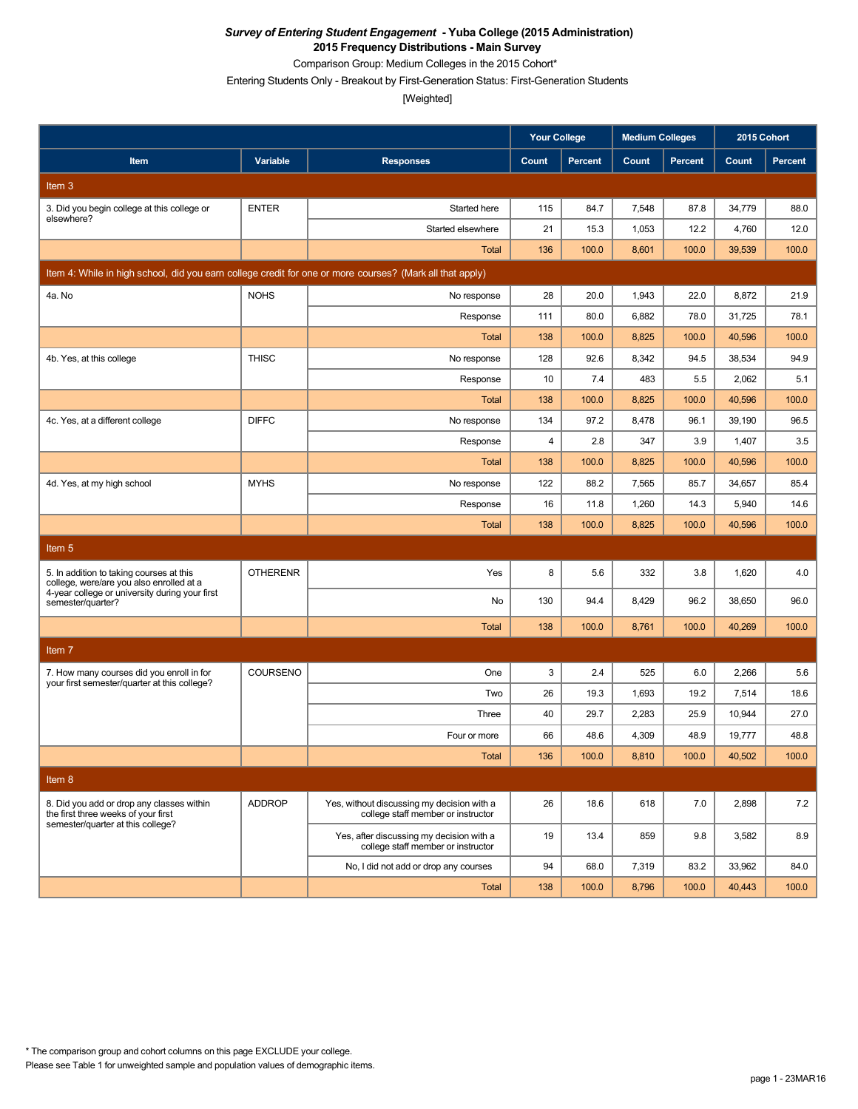Comparison Group: Medium Colleges in the 2015 Cohort\*

Entering Students Only - Breakout by First-Generation Status: First-Generation Students

[Weighted]

|                                                                                                          |                 |                                                                                  | <b>Your College</b> |                | <b>Medium Colleges</b> |                |        | 2015 Cohort    |
|----------------------------------------------------------------------------------------------------------|-----------------|----------------------------------------------------------------------------------|---------------------|----------------|------------------------|----------------|--------|----------------|
| Item                                                                                                     | Variable        | <b>Responses</b>                                                                 | Count               | <b>Percent</b> | Count                  | <b>Percent</b> | Count  | <b>Percent</b> |
| Item 3                                                                                                   |                 |                                                                                  |                     |                |                        |                |        |                |
| 3. Did you begin college at this college or                                                              | <b>ENTER</b>    | Started here                                                                     | 115                 | 84.7           | 7,548                  | 87.8           | 34,779 | 88.0           |
| elsewhere?                                                                                               |                 | Started elsewhere                                                                | 21                  | 15.3           | 1,053                  | 12.2           | 4,760  | 12.0           |
|                                                                                                          |                 | Total                                                                            | 136                 | 100.0          | 8,601                  | 100.0          | 39,539 | 100.0          |
| Item 4: While in high school, did you earn college credit for one or more courses? (Mark all that apply) |                 |                                                                                  |                     |                |                        |                |        |                |
| 4a. No                                                                                                   | <b>NOHS</b>     | No response                                                                      | 28                  | 20.0           | 1,943                  | 22.0           | 8,872  | 21.9           |
|                                                                                                          |                 | Response                                                                         | 111                 | 80.0           | 6,882                  | 78.0           | 31.725 | 78.1           |
|                                                                                                          |                 | <b>Total</b>                                                                     | 138                 | 100.0          | 8,825                  | 100.0          | 40,596 | 100.0          |
| 4b. Yes, at this college                                                                                 | <b>THISC</b>    | No response                                                                      | 128                 | 92.6           | 8,342                  | 94.5           | 38,534 | 94.9           |
|                                                                                                          |                 | Response                                                                         | 10                  | 7.4            | 483                    | 5.5            | 2,062  | 5.1            |
|                                                                                                          |                 | <b>Total</b>                                                                     | 138                 | 100.0          | 8,825                  | 100.0          | 40,596 | 100.0          |
| 4c. Yes, at a different college                                                                          | <b>DIFFC</b>    | No response                                                                      | 134                 | 97.2           | 8,478                  | 96.1           | 39,190 | 96.5           |
|                                                                                                          |                 | Response                                                                         | 4                   | 2.8            | 347                    | 3.9            | 1,407  | 3.5            |
|                                                                                                          |                 | Total                                                                            | 138                 | 100.0          | 8,825                  | 100.0          | 40,596 | 100.0          |
| 4d. Yes, at my high school                                                                               | <b>MYHS</b>     | No response                                                                      | 122                 | 88.2           | 7,565                  | 85.7           | 34,657 | 85.4           |
|                                                                                                          |                 | Response                                                                         | 16                  | 11.8           | 1,260                  | 14.3           | 5,940  | 14.6           |
|                                                                                                          |                 | Total                                                                            | 138                 | 100.0          | 8,825                  | 100.0          | 40,596 | 100.0          |
| Item <sub>5</sub>                                                                                        |                 |                                                                                  |                     |                |                        |                |        |                |
| 5. In addition to taking courses at this<br>college, were/are you also enrolled at a                     | <b>OTHERENR</b> | Yes                                                                              | 8                   | 5.6            | 332                    | 3.8            | 1,620  | 4.0            |
| 4-year college or university during your first<br>semester/quarter?                                      |                 | No                                                                               | 130                 | 94.4           | 8,429                  | 96.2           | 38,650 | 96.0           |
|                                                                                                          |                 | <b>Total</b>                                                                     | 138                 | 100.0          | 8,761                  | 100.0          | 40,269 | 100.0          |
| Item <sub>7</sub>                                                                                        |                 |                                                                                  |                     |                |                        |                |        |                |
| 7. How many courses did you enroll in for                                                                | COURSENO        | One                                                                              | 3                   | 2.4            | 525                    | 6.0            | 2,266  | 5.6            |
| your first semester/quarter at this college?                                                             |                 | Two                                                                              | 26                  | 19.3           | 1,693                  | 19.2           | 7,514  | 18.6           |
|                                                                                                          |                 | Three                                                                            | 40                  | 29.7           | 2,283                  | 25.9           | 10,944 | 27.0           |
|                                                                                                          |                 | Four or more                                                                     | 66                  | 48.6           | 4,309                  | 48.9           | 19,777 | 48.8           |
|                                                                                                          |                 | Total                                                                            | 136                 | 100.0          | 8,810                  | 100.0          | 40,502 | 100.0          |
| Item 8                                                                                                   |                 |                                                                                  |                     |                |                        |                |        |                |
| 8. Did you add or drop any classes within<br>the first three weeks of your first                         | <b>ADDROP</b>   | Yes, without discussing my decision with a<br>college staff member or instructor | 26                  | 18.6           | 618                    | 7.0            | 2,898  | 7.2            |
| semester/quarter at this college?                                                                        |                 | Yes, after discussing my decision with a<br>college staff member or instructor   | 19                  | 13.4           | 859                    | 9.8            | 3,582  | 8.9            |
|                                                                                                          |                 | No, I did not add or drop any courses                                            | 94                  | 68.0           | 7,319                  | 83.2           | 33,962 | 84.0           |
|                                                                                                          |                 | Total                                                                            | 138                 | 100.0          | 8,796                  | 100.0          | 40,443 | 100.0          |

Please see Table 1 for unweighted sample and population values of demographic items. \* The comparison group and cohort columns on this page EXCLUDE your college.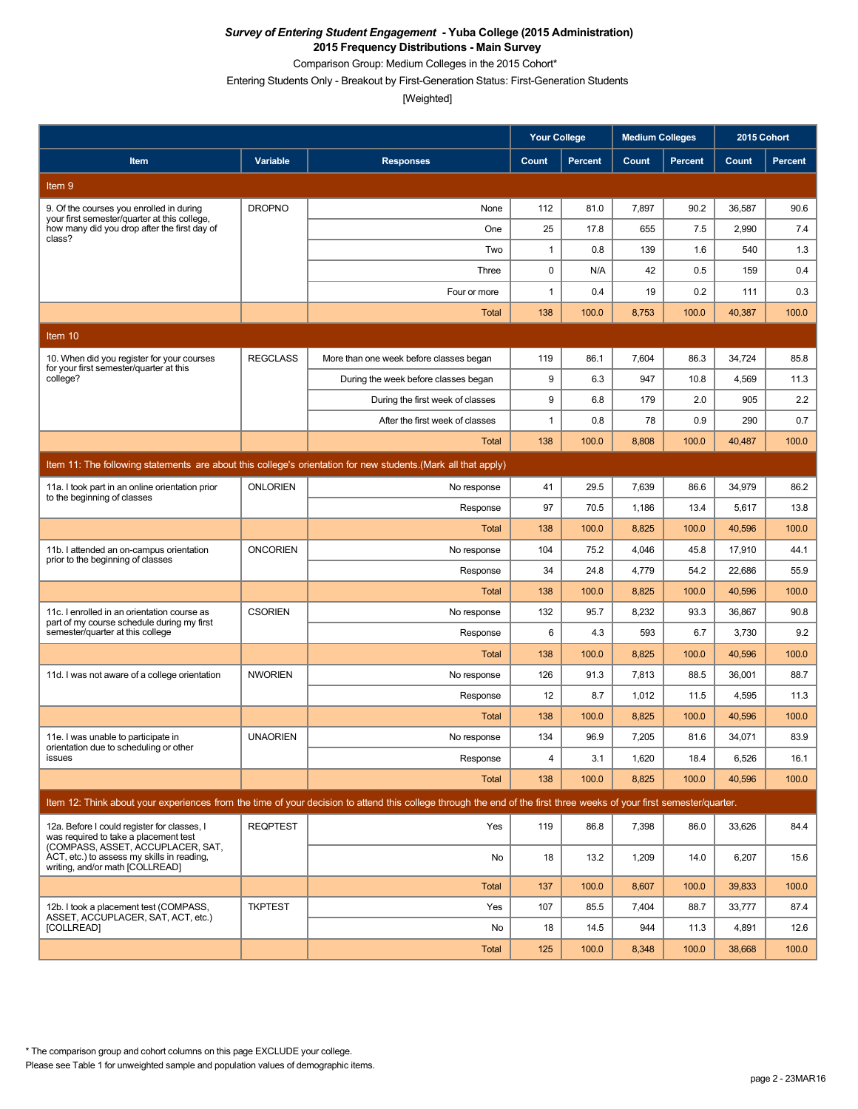Comparison Group: Medium Colleges in the 2015 Cohort\*

Entering Students Only - Breakout by First-Generation Status: First-Generation Students

[Weighted]

|                                                                                                                           |                 |                                                                                                                                                                      | <b>Your College</b> |                | <b>Medium Colleges</b> |                | 2015 Cohort |                |
|---------------------------------------------------------------------------------------------------------------------------|-----------------|----------------------------------------------------------------------------------------------------------------------------------------------------------------------|---------------------|----------------|------------------------|----------------|-------------|----------------|
| Item                                                                                                                      | Variable        | <b>Responses</b>                                                                                                                                                     | Count               | <b>Percent</b> | Count                  | <b>Percent</b> | Count       | <b>Percent</b> |
| Item 9                                                                                                                    |                 |                                                                                                                                                                      |                     |                |                        |                |             |                |
| 9. Of the courses you enrolled in during                                                                                  | <b>DROPNO</b>   | None                                                                                                                                                                 | 112                 | 81.0           | 7,897                  | 90.2           | 36,587      | 90.6           |
| your first semester/quarter at this college,<br>how many did you drop after the first day of<br>class?                    |                 | One                                                                                                                                                                  | 25                  | 17.8           | 655                    | 7.5            | 2,990       | 7.4            |
|                                                                                                                           |                 | Two                                                                                                                                                                  | $\mathbf{1}$        | 0.8            | 139                    | 1.6            | 540         | 1.3            |
|                                                                                                                           |                 | Three                                                                                                                                                                | 0                   | N/A            | 42                     | 0.5            | 159         | 0.4            |
|                                                                                                                           |                 | Four or more                                                                                                                                                         | 1                   | 0.4            | 19                     | 0.2            | 111         | 0.3            |
|                                                                                                                           |                 | <b>Total</b>                                                                                                                                                         | 138                 | 100.0          | 8,753                  | 100.0          | 40,387      | 100.0          |
| Item 10                                                                                                                   |                 |                                                                                                                                                                      |                     |                |                        |                |             |                |
| 10. When did you register for your courses<br>for your first semester/quarter at this                                     | <b>REGCLASS</b> | More than one week before classes began                                                                                                                              | 119                 | 86.1           | 7,604                  | 86.3           | 34,724      | 85.8           |
| college?                                                                                                                  |                 | During the week before classes began                                                                                                                                 | 9                   | 6.3            | 947                    | 10.8           | 4,569       | 11.3           |
|                                                                                                                           |                 | During the first week of classes                                                                                                                                     | 9                   | 6.8            | 179                    | 2.0            | 905         | 2.2            |
|                                                                                                                           |                 | After the first week of classes                                                                                                                                      | 1                   | 0.8            | 78                     | 0.9            | 290         | 0.7            |
|                                                                                                                           |                 | Total                                                                                                                                                                | 138                 | 100.0          | 8,808                  | 100.0          | 40,487      | 100.0          |
|                                                                                                                           |                 | Item 11: The following statements are about this college's orientation for new students. (Mark all that apply)                                                       |                     |                |                        |                |             |                |
| 11a. I took part in an online orientation prior<br>to the beginning of classes                                            | <b>ONLORIEN</b> | No response                                                                                                                                                          | 41                  | 29.5           | 7,639                  | 86.6           | 34,979      | 86.2           |
|                                                                                                                           |                 | Response                                                                                                                                                             | 97                  | 70.5           | 1,186                  | 13.4           | 5,617       | 13.8           |
|                                                                                                                           |                 | <b>Total</b>                                                                                                                                                         | 138                 | 100.0          | 8,825                  | 100.0          | 40,596      | 100.0          |
| 11b. I attended an on-campus orientation<br>prior to the beginning of classes                                             | <b>ONCORIEN</b> | No response                                                                                                                                                          | 104                 | 75.2           | 4,046                  | 45.8           | 17,910      | 44.1           |
|                                                                                                                           |                 | Response                                                                                                                                                             | 34                  | 24.8           | 4,779                  | 54.2           | 22,686      | 55.9           |
|                                                                                                                           |                 | <b>Total</b>                                                                                                                                                         | 138                 | 100.0          | 8,825                  | 100.0          | 40,596      | 100.0          |
| 11c. I enrolled in an orientation course as<br>part of my course schedule during my first                                 | <b>CSORIEN</b>  | No response                                                                                                                                                          | 132                 | 95.7           | 8,232                  | 93.3           | 36,867      | 90.8           |
| semester/quarter at this college                                                                                          |                 | Response                                                                                                                                                             | 6                   | 4.3            | 593                    | 6.7            | 3,730       | 9.2            |
|                                                                                                                           |                 | Total                                                                                                                                                                | 138                 | 100.0          | 8,825                  | 100.0          | 40,596      | 100.0          |
| 11d. I was not aware of a college orientation                                                                             | <b>NWORIEN</b>  | No response                                                                                                                                                          | 126                 | 91.3           | 7,813                  | 88.5           | 36,001      | 88.7           |
|                                                                                                                           |                 | Response                                                                                                                                                             | 12                  | 8.7            | 1,012                  | 11.5           | 4,595       | 11.3           |
|                                                                                                                           |                 | <b>Total</b>                                                                                                                                                         | 138                 | 100.0          | 8,825                  | 100.0          | 40,596      | 100.0          |
| 11e. I was unable to participate in<br>orientation due to scheduling or other                                             | <b>UNAORIEN</b> | No response                                                                                                                                                          | 134                 | 96.9           | 7,205                  | 81.6           | 34,071      | 83.9           |
| issues                                                                                                                    |                 | Response                                                                                                                                                             | 4                   | 3.1            | 1,620                  | 18.4           | 6,526       | 16.1           |
|                                                                                                                           |                 | <b>Total</b>                                                                                                                                                         | 138                 | 100.0          | 8,825                  | 100.0          | 40,596      | 100.0          |
|                                                                                                                           |                 | Item 12: Think about your experiences from the time of your decision to attend this college through the end of the first three weeks of your first semester/quarter. |                     |                |                        |                |             |                |
| 12a. Before I could register for classes, I<br>was required to take a placement test<br>(COMPASS, ASSET, ACCUPLACER, SAT, | <b>REQPTEST</b> | Yes                                                                                                                                                                  | 119                 | 86.8           | 7,398                  | 86.0           | 33,626      | 84.4           |
| ACT, etc.) to assess my skills in reading.<br>writing, and/or math [COLLREAD]                                             |                 | No                                                                                                                                                                   | 18                  | 13.2           | 1,209                  | 14.0           | 6,207       | 15.6           |
|                                                                                                                           |                 | <b>Total</b>                                                                                                                                                         | 137                 | 100.0          | 8,607                  | 100.0          | 39,833      | 100.0          |
| 12b. I took a placement test (COMPASS,<br>ASSET. ACCUPLACER. SAT. ACT. etc.)                                              | <b>TKPTEST</b>  | Yes                                                                                                                                                                  | 107                 | 85.5           | 7,404                  | 88.7           | 33,777      | 87.4           |
| [COLLREAD]                                                                                                                |                 | No                                                                                                                                                                   | 18                  | 14.5           | 944                    | 11.3           | 4,891       | 12.6           |
|                                                                                                                           |                 | <b>Total</b>                                                                                                                                                         | 125                 | 100.0          | 8,348                  | 100.0          | 38,668      | 100.0          |

\* The comparison group and cohort columns on this page EXCLUDE your college.

Please see Table 1 for unweighted sample and population values of demographic items.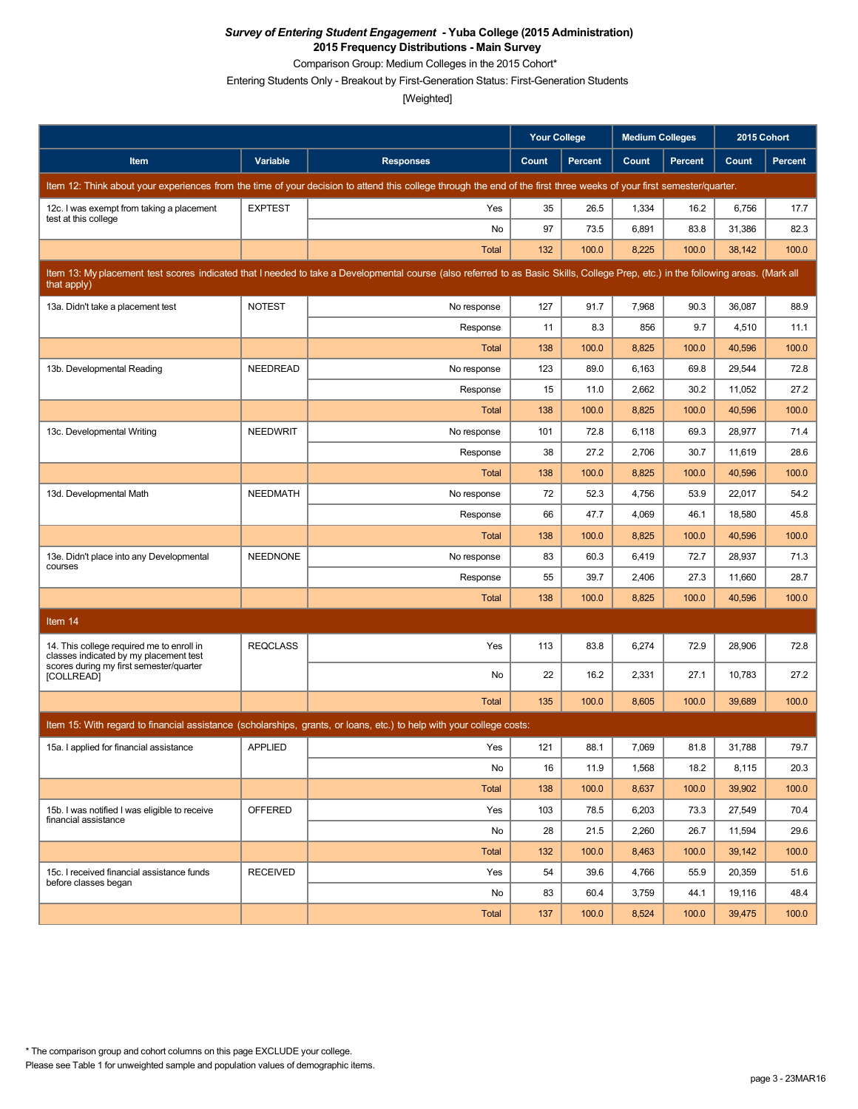Comparison Group: Medium Colleges in the 2015 Cohort\*

Entering Students Only - Breakout by First-Generation Status: First-Generation Students

|                                                                                     |                 |                                                                                                                                                                                   | <b>Your College</b> |                | <b>Medium Colleges</b> |                | 2015 Cohort |         |
|-------------------------------------------------------------------------------------|-----------------|-----------------------------------------------------------------------------------------------------------------------------------------------------------------------------------|---------------------|----------------|------------------------|----------------|-------------|---------|
| Item                                                                                | Variable        | <b>Responses</b>                                                                                                                                                                  | Count               | <b>Percent</b> | Count                  | <b>Percent</b> | Count       | Percent |
|                                                                                     |                 | Item 12: Think about your experiences from the time of your decision to attend this college through the end of the first three weeks of your first semester/quarter.              |                     |                |                        |                |             |         |
| 12c. I was exempt from taking a placement<br>test at this college                   | <b>EXPTEST</b>  | Yes                                                                                                                                                                               | 35                  | 26.5           | 1,334                  | 16.2           | 6,756       | 17.7    |
|                                                                                     |                 | No                                                                                                                                                                                | 97                  | 73.5           | 6,891                  | 83.8           | 31,386      | 82.3    |
|                                                                                     |                 | <b>Total</b>                                                                                                                                                                      | 132                 | 100.0          | 8,225                  | 100.0          | 38,142      | 100.0   |
| that apply)                                                                         |                 | Item 13: My placement test scores indicated that I needed to take a Developmental course (also referred to as Basic Skills, College Prep, etc.) in the following areas. (Mark all |                     |                |                        |                |             |         |
| 13a. Didn't take a placement test                                                   | <b>NOTEST</b>   | No response                                                                                                                                                                       | 127                 | 91.7           | 7,968                  | 90.3           | 36,087      | 88.9    |
|                                                                                     |                 | Response                                                                                                                                                                          | 11                  | 8.3            | 856                    | 9.7            | 4,510       | 11.1    |
|                                                                                     |                 | Total                                                                                                                                                                             | 138                 | 100.0          | 8,825                  | 100.0          | 40,596      | 100.0   |
| 13b. Developmental Reading                                                          | NEEDREAD        | No response                                                                                                                                                                       | 123                 | 89.0           | 6,163                  | 69.8           | 29,544      | 72.8    |
|                                                                                     |                 | Response                                                                                                                                                                          | 15                  | 11.0           | 2,662                  | 30.2           | 11,052      | 27.2    |
|                                                                                     |                 | Total                                                                                                                                                                             | 138                 | 100.0          | 8,825                  | 100.0          | 40,596      | 100.0   |
| 13c. Developmental Writing                                                          | <b>NEEDWRIT</b> | No response                                                                                                                                                                       | 101                 | 72.8           | 6,118                  | 69.3           | 28,977      | 71.4    |
|                                                                                     |                 | Response                                                                                                                                                                          | 38                  | 27.2           | 2,706                  | 30.7           | 11,619      | 28.6    |
|                                                                                     |                 | Total                                                                                                                                                                             | 138                 | 100.0          | 8,825                  | 100.0          | 40,596      | 100.0   |
| 13d. Developmental Math                                                             | <b>NEEDMATH</b> | No response                                                                                                                                                                       | 72                  | 52.3           | 4,756                  | 53.9           | 22,017      | 54.2    |
|                                                                                     |                 | Response                                                                                                                                                                          | 66                  | 47.7           | 4,069                  | 46.1           | 18,580      | 45.8    |
|                                                                                     |                 | Total                                                                                                                                                                             | 138                 | 100.0          | 8,825                  | 100.0          | 40,596      | 100.0   |
| 13e. Didn't place into any Developmental<br>courses                                 | <b>NEEDNONE</b> | No response                                                                                                                                                                       | 83                  | 60.3           | 6,419                  | 72.7           | 28,937      | 71.3    |
|                                                                                     |                 | Response                                                                                                                                                                          | 55                  | 39.7           | 2,406                  | 27.3           | 11,660      | 28.7    |
|                                                                                     |                 | Total                                                                                                                                                                             | 138                 | 100.0          | 8,825                  | 100.0          | 40,596      | 100.0   |
| Item 14                                                                             |                 |                                                                                                                                                                                   |                     |                |                        |                |             |         |
| 14. This college required me to enroll in<br>classes indicated by my placement test | <b>REQCLASS</b> | Yes                                                                                                                                                                               | 113                 | 83.8           | 6,274                  | 72.9           | 28,906      | 72.8    |
| scores during my first semester/quarter<br>[COLLREAD]                               |                 | No                                                                                                                                                                                | 22                  | 16.2           | 2,331                  | 27.1           | 10,783      | 27.2    |
|                                                                                     |                 | Total                                                                                                                                                                             | 135                 | 100.0          | 8,605                  | 100.0          | 39,689      | 100.0   |
|                                                                                     |                 | Item 15: With regard to financial assistance (scholarships, grants, or loans, etc.) to help with your college costs:                                                              |                     |                |                        |                |             |         |
| 15a. I applied for financial assistance                                             | <b>APPLIED</b>  | Yes                                                                                                                                                                               | 121                 | 88.1           | 7,069                  | 81.8           | 31,788      | 79.7    |
|                                                                                     |                 | No                                                                                                                                                                                | 16                  | 11.9           | 1,568                  | 18.2           | 8,115       | 20.3    |
|                                                                                     |                 | Total                                                                                                                                                                             | 138                 | 100.0          | 8,637                  | 100.0          | 39,902      | 100.0   |
| 15b. I was notified I was eligible to receive                                       | OFFERED         | Yes                                                                                                                                                                               | 103                 | 78.5           | 6,203                  | 73.3           | 27,549      | 70.4    |
| financial assistance                                                                |                 | No                                                                                                                                                                                | 28                  | 21.5           | 2,260                  | 26.7           | 11,594      | 29.6    |
|                                                                                     |                 | Total                                                                                                                                                                             | 132                 | 100.0          | 8,463                  | 100.0          | 39,142      | 100.0   |
| 15c. I received financial assistance funds                                          | <b>RECEIVED</b> | Yes                                                                                                                                                                               | 54                  | 39.6           | 4,766                  | 55.9           | 20,359      | 51.6    |
| before classes began                                                                |                 | No                                                                                                                                                                                | 83                  | 60.4           | 3,759                  | 44.1           | 19,116      | 48.4    |
|                                                                                     |                 | Total                                                                                                                                                                             | 137                 | 100.0          | 8,524                  | 100.0          | 39,475      | 100.0   |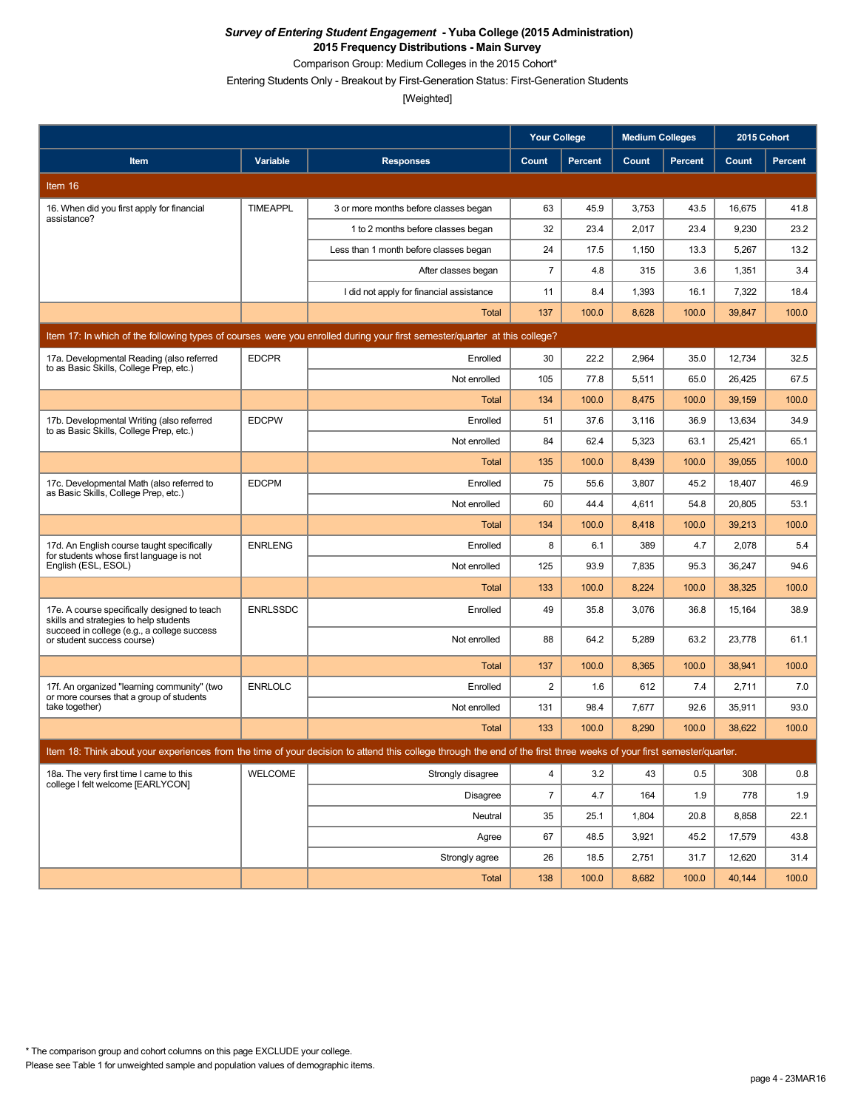Comparison Group: Medium Colleges in the 2015 Cohort\*

Entering Students Only - Breakout by First-Generation Status: First-Generation Students

|                                                                                         |                 |                                                                                                                                                                      | <b>Your College</b> |                | <b>Medium Colleges</b> |         | 2015 Cohort |                |
|-----------------------------------------------------------------------------------------|-----------------|----------------------------------------------------------------------------------------------------------------------------------------------------------------------|---------------------|----------------|------------------------|---------|-------------|----------------|
| Item                                                                                    | <b>Variable</b> | <b>Responses</b>                                                                                                                                                     | Count               | <b>Percent</b> | Count                  | Percent | Count       | <b>Percent</b> |
| Item 16                                                                                 |                 |                                                                                                                                                                      |                     |                |                        |         |             |                |
| 16. When did you first apply for financial                                              | <b>TIMEAPPL</b> | 3 or more months before classes began                                                                                                                                | 63                  | 45.9           | 3,753                  | 43.5    | 16,675      | 41.8           |
| assistance?                                                                             |                 | 1 to 2 months before classes began                                                                                                                                   | 32                  | 23.4           | 2,017                  | 23.4    | 9,230       | 23.2           |
|                                                                                         |                 | Less than 1 month before classes began                                                                                                                               | 24                  | 17.5           | 1,150                  | 13.3    | 5,267       | 13.2           |
|                                                                                         |                 | After classes began                                                                                                                                                  | $\overline{7}$      | 4.8            | 315                    | 3.6     | 1,351       | 3.4            |
|                                                                                         |                 | I did not apply for financial assistance                                                                                                                             | 11                  | 8.4            | 1,393                  | 16.1    | 7,322       | 18.4           |
|                                                                                         |                 | Total                                                                                                                                                                | 137                 | 100.0          | 8,628                  | 100.0   | 39,847      | 100.0          |
|                                                                                         |                 | Item 17: In which of the following types of courses were you enrolled during your first semester/quarter at this college?                                            |                     |                |                        |         |             |                |
| 17a. Developmental Reading (also referred<br>to as Basic Skills, College Prep, etc.)    | <b>EDCPR</b>    | Enrolled                                                                                                                                                             | 30                  | 22.2           | 2,964                  | 35.0    | 12,734      | 32.5           |
|                                                                                         |                 | Not enrolled                                                                                                                                                         | 105                 | 77.8           | 5,511                  | 65.0    | 26,425      | 67.5           |
|                                                                                         |                 | Total                                                                                                                                                                | 134                 | 100.0          | 8,475                  | 100.0   | 39,159      | 100.0          |
| 17b. Developmental Writing (also referred<br>to as Basic Skills, College Prep, etc.)    | <b>EDCPW</b>    | Enrolled                                                                                                                                                             | 51                  | 37.6           | 3,116                  | 36.9    | 13,634      | 34.9           |
|                                                                                         |                 | Not enrolled                                                                                                                                                         | 84                  | 62.4           | 5,323                  | 63.1    | 25,421      | 65.1           |
|                                                                                         |                 | <b>Total</b>                                                                                                                                                         | 135                 | 100.0          | 8,439                  | 100.0   | 39,055      | 100.0          |
| 17c. Developmental Math (also referred to<br>as Basic Skills, College Prep, etc.)       | <b>EDCPM</b>    | Enrolled                                                                                                                                                             | 75                  | 55.6           | 3,807                  | 45.2    | 18,407      | 46.9           |
|                                                                                         |                 | Not enrolled                                                                                                                                                         | 60                  | 44.4           | 4,611                  | 54.8    | 20,805      | 53.1           |
|                                                                                         |                 | Total                                                                                                                                                                | 134                 | 100.0          | 8,418                  | 100.0   | 39,213      | 100.0          |
| 17d. An English course taught specifically<br>for students whose first language is not  | <b>ENRLENG</b>  | Enrolled                                                                                                                                                             | 8                   | 6.1            | 389                    | 4.7     | 2,078       | 5.4            |
| English (ESL, ESOL)                                                                     |                 | Not enrolled                                                                                                                                                         | 125                 | 93.9           | 7,835                  | 95.3    | 36,247      | 94.6           |
|                                                                                         |                 | Total                                                                                                                                                                | 133                 | 100.0          | 8,224                  | 100.0   | 38,325      | 100.0          |
| 17e. A course specifically designed to teach<br>skills and strategies to help students  | <b>ENRLSSDC</b> | Enrolled                                                                                                                                                             | 49                  | 35.8           | 3,076                  | 36.8    | 15,164      | 38.9           |
| succeed in college (e.g., a college success<br>or student success course)               |                 | Not enrolled                                                                                                                                                         | 88                  | 64.2           | 5,289                  | 63.2    | 23,778      | 61.1           |
|                                                                                         |                 | <b>Total</b>                                                                                                                                                         | 137                 | 100.0          | 8,365                  | 100.0   | 38,941      | 100.0          |
| 17f. An organized "learning community" (two<br>or more courses that a group of students | <b>ENRLOLC</b>  | Enrolled                                                                                                                                                             | 2                   | 1.6            | 612                    | 7.4     | 2,711       | 7.0            |
| take together)                                                                          |                 | Not enrolled                                                                                                                                                         | 131                 | 98.4           | 7,677                  | 92.6    | 35,911      | 93.0           |
|                                                                                         |                 | <b>Total</b>                                                                                                                                                         | 133                 | 100.0          | 8,290                  | 100.0   | 38,622      | 100.0          |
|                                                                                         |                 | Item 18: Think about your experiences from the time of your decision to attend this college through the end of the first three weeks of your first semester/quarter. |                     |                |                        |         |             |                |
| 18a. The very first time I came to this<br>college I felt welcome [EARLYCON]            | WELCOME         | Strongly disagree                                                                                                                                                    | $\overline{4}$      | 3.2            | 43                     | 0.5     | 308         | 0.8            |
|                                                                                         |                 | Disagree                                                                                                                                                             | $\overline{7}$      | 4.7            | 164                    | 1.9     | 778         | 1.9            |
|                                                                                         |                 | Neutral                                                                                                                                                              | 35                  | 25.1           | 1,804                  | 20.8    | 8,858       | 22.1           |
|                                                                                         |                 | Agree                                                                                                                                                                | 67                  | 48.5           | 3,921                  | 45.2    | 17,579      | 43.8           |
|                                                                                         |                 | Strongly agree                                                                                                                                                       | 26                  | 18.5           | 2,751                  | 31.7    | 12,620      | 31.4           |
|                                                                                         |                 | Total                                                                                                                                                                | 138                 | 100.0          | 8,682                  | 100.0   | 40,144      | 100.0          |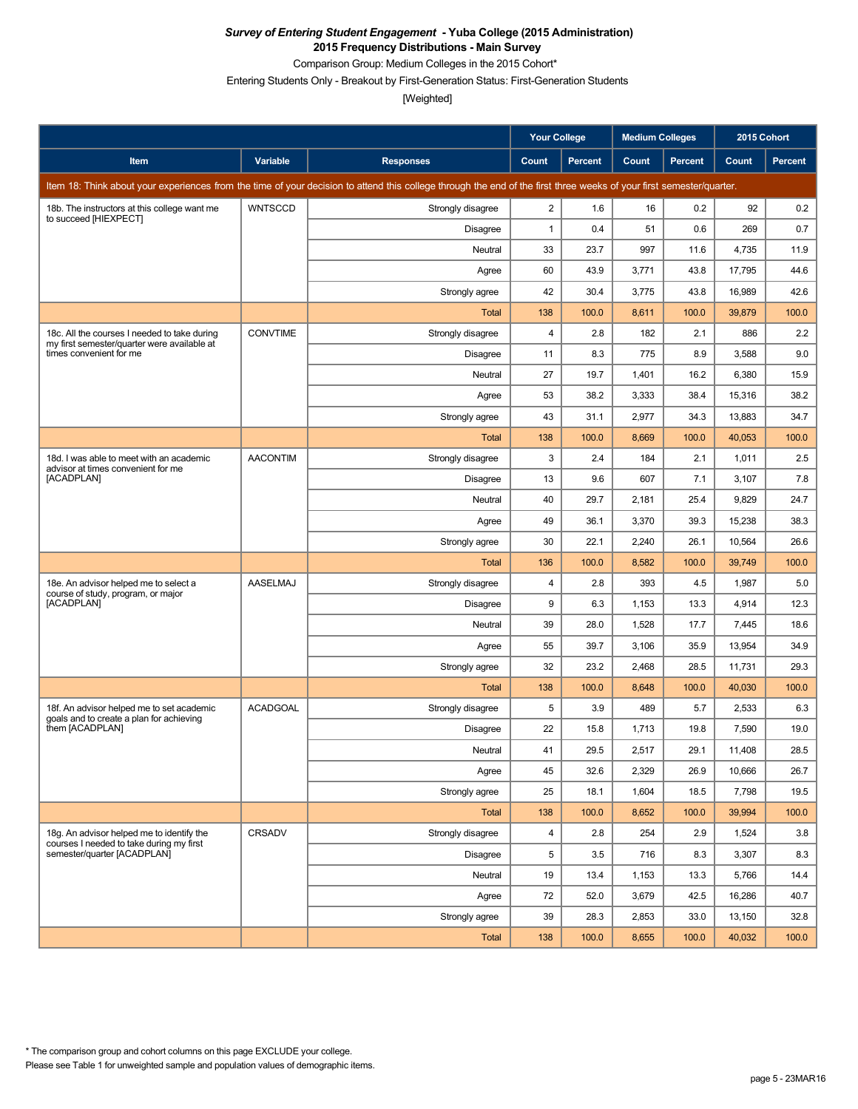Comparison Group: Medium Colleges in the 2015 Cohort\*

Entering Students Only - Breakout by First-Generation Status: First-Generation Students

|                                                                                             |                 |                                                                                                                                                                      | <b>Your College</b> |                | <b>Medium Colleges</b> |                | 2015 Cohort |         |
|---------------------------------------------------------------------------------------------|-----------------|----------------------------------------------------------------------------------------------------------------------------------------------------------------------|---------------------|----------------|------------------------|----------------|-------------|---------|
| Item                                                                                        | Variable        | <b>Responses</b>                                                                                                                                                     | Count               | <b>Percent</b> | Count                  | <b>Percent</b> | Count       | Percent |
|                                                                                             |                 | Item 18: Think about your experiences from the time of your decision to attend this college through the end of the first three weeks of your first semester/quarter. |                     |                |                        |                |             |         |
| 18b. The instructors at this college want me<br>to succeed [HIEXPECT]                       | <b>WNTSCCD</b>  | Strongly disagree                                                                                                                                                    | $\overline{2}$      | 1.6            | 16                     | 0.2            | 92          | 0.2     |
|                                                                                             |                 | Disagree                                                                                                                                                             | $\mathbf{1}$        | 0.4            | 51                     | 0.6            | 269         | 0.7     |
|                                                                                             |                 | Neutral                                                                                                                                                              | 33                  | 23.7           | 997                    | 11.6           | 4,735       | 11.9    |
|                                                                                             |                 | Agree                                                                                                                                                                | 60                  | 43.9           | 3,771                  | 43.8           | 17,795      | 44.6    |
|                                                                                             |                 | Strongly agree                                                                                                                                                       | 42                  | 30.4           | 3,775                  | 43.8           | 16,989      | 42.6    |
|                                                                                             |                 | <b>Total</b>                                                                                                                                                         | 138                 | 100.0          | 8,611                  | 100.0          | 39,879      | 100.0   |
| 18c. All the courses I needed to take during<br>my first semester/quarter were available at | <b>CONVTIME</b> | Strongly disagree                                                                                                                                                    | 4                   | 2.8            | 182                    | 2.1            | 886         | 2.2     |
| times convenient for me                                                                     |                 | Disagree                                                                                                                                                             | 11                  | 8.3            | 775                    | 8.9            | 3,588       | 9.0     |
|                                                                                             |                 | Neutral                                                                                                                                                              | 27                  | 19.7           | 1,401                  | 16.2           | 6,380       | 15.9    |
|                                                                                             |                 | Agree                                                                                                                                                                | 53                  | 38.2           | 3,333                  | 38.4           | 15,316      | 38.2    |
|                                                                                             |                 | Strongly agree                                                                                                                                                       | 43                  | 31.1           | 2,977                  | 34.3           | 13,883      | 34.7    |
|                                                                                             |                 | <b>Total</b>                                                                                                                                                         | 138                 | 100.0          | 8,669                  | 100.0          | 40,053      | 100.0   |
| 18d. I was able to meet with an academic<br>advisor at times convenient for me              | <b>AACONTIM</b> | Strongly disagree                                                                                                                                                    | 3                   | 2.4            | 184                    | 2.1            | 1,011       | 2.5     |
| [ACADPLAN]                                                                                  |                 | Disagree                                                                                                                                                             | 13                  | 9.6            | 607                    | 7.1            | 3,107       | 7.8     |
|                                                                                             |                 | Neutral                                                                                                                                                              | 40                  | 29.7           | 2,181                  | 25.4           | 9,829       | 24.7    |
|                                                                                             |                 | Agree                                                                                                                                                                | 49                  | 36.1           | 3,370                  | 39.3           | 15,238      | 38.3    |
|                                                                                             |                 | Strongly agree                                                                                                                                                       | 30                  | 22.1           | 2,240                  | 26.1           | 10,564      | 26.6    |
|                                                                                             |                 | <b>Total</b>                                                                                                                                                         | 136                 | 100.0          | 8,582                  | 100.0          | 39,749      | 100.0   |
| 18e. An advisor helped me to select a<br>course of study, program, or major                 | <b>AASELMAJ</b> | Strongly disagree                                                                                                                                                    | 4                   | 2.8            | 393                    | 4.5            | 1,987       | 5.0     |
| [ACADPLAN]                                                                                  |                 | <b>Disagree</b>                                                                                                                                                      | 9                   | 6.3            | 1,153                  | 13.3           | 4,914       | 12.3    |
|                                                                                             |                 | Neutral                                                                                                                                                              | 39                  | 28.0           | 1,528                  | 17.7           | 7,445       | 18.6    |
|                                                                                             |                 | Agree                                                                                                                                                                | 55                  | 39.7           | 3,106                  | 35.9           | 13,954      | 34.9    |
|                                                                                             |                 | Strongly agree                                                                                                                                                       | 32                  | 23.2           | 2,468                  | 28.5           | 11,731      | 29.3    |
|                                                                                             |                 | Total                                                                                                                                                                | 138                 | 100.0          | 8,648                  | 100.0          | 40,030      | 100.0   |
| 18f. An advisor helped me to set academic<br>goals and to create a plan for achieving       | <b>ACADGOAL</b> | Strongly disagree                                                                                                                                                    | 5                   | 3.9            | 489                    | 5.7            | 2,533       | 6.3     |
| them [ACADPLAN]                                                                             |                 | Disagree                                                                                                                                                             | 22                  | 15.8           | 1,713                  | 19.8           | 7,590       | 19.0    |
|                                                                                             |                 | Neutral                                                                                                                                                              | 41                  | 29.5           | 2,517                  | 29.1           | 11,408      | 28.5    |
|                                                                                             |                 | Agree                                                                                                                                                                | 45                  | 32.6           | 2,329                  | 26.9           | 10,666      | 26.7    |
|                                                                                             |                 | Strongly agree                                                                                                                                                       | 25                  | 18.1           | 1,604                  | 18.5           | 7,798       | 19.5    |
|                                                                                             |                 | <b>Total</b>                                                                                                                                                         | 138                 | 100.0          | 8,652                  | 100.0          | 39,994      | 100.0   |
| 18g. An advisor helped me to identify the<br>courses I needed to take during my first       | CRSADV          | Strongly disagree                                                                                                                                                    | 4                   | 2.8            | 254                    | 2.9            | 1,524       | 3.8     |
| semester/quarter [ACADPLAN]                                                                 |                 | <b>Disagree</b>                                                                                                                                                      | 5                   | 3.5            | 716                    | 8.3            | 3,307       | 8.3     |
|                                                                                             |                 | Neutral                                                                                                                                                              | 19                  | 13.4           | 1,153                  | 13.3           | 5,766       | 14.4    |
|                                                                                             |                 | Agree                                                                                                                                                                | 72                  | 52.0           | 3,679                  | 42.5           | 16,286      | 40.7    |
|                                                                                             |                 | Strongly agree                                                                                                                                                       | 39                  | 28.3           | 2,853                  | 33.0           | 13,150      | 32.8    |
|                                                                                             |                 | Total                                                                                                                                                                | 138                 | 100.0          | 8,655                  | 100.0          | 40,032      | 100.0   |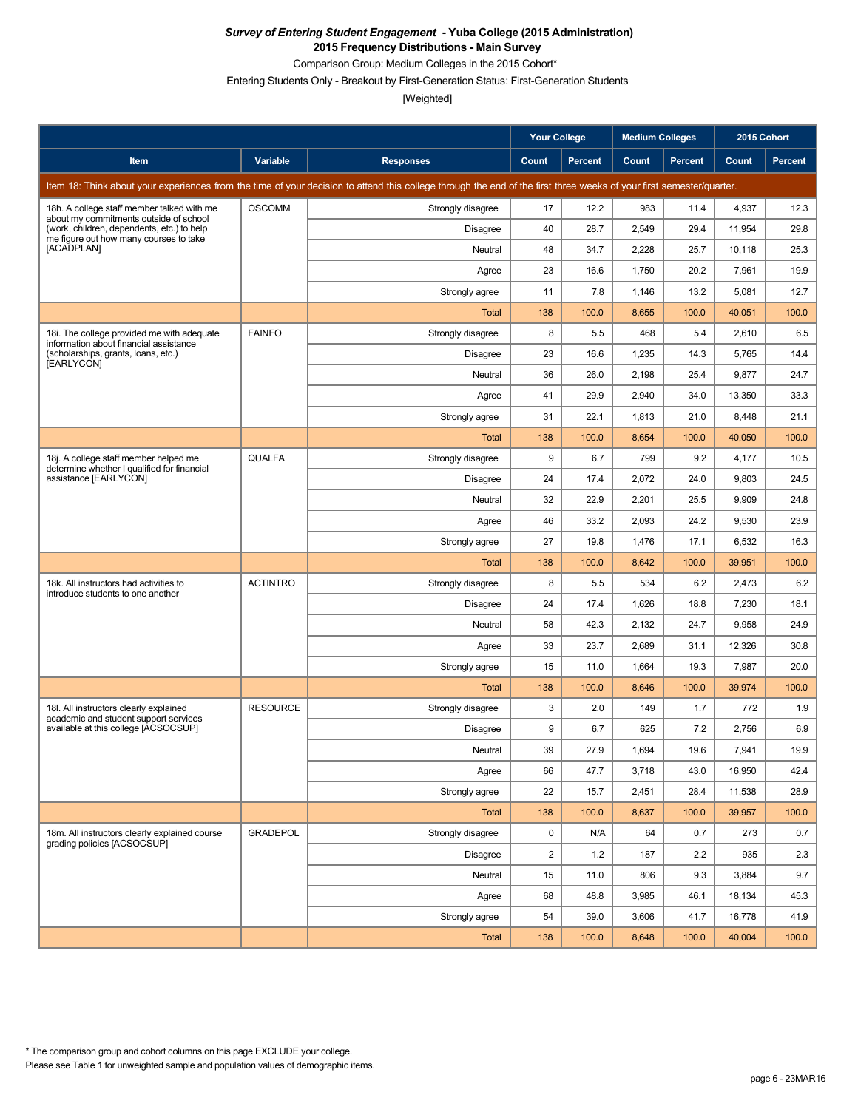Comparison Group: Medium Colleges in the 2015 Cohort\*

Entering Students Only - Breakout by First-Generation Status: First-Generation Students

|                                                                                      |                 |                                                                                                                                                                      | <b>Your College</b>     |                | <b>Medium Colleges</b> |                | 2015 Cohort |                |
|--------------------------------------------------------------------------------------|-----------------|----------------------------------------------------------------------------------------------------------------------------------------------------------------------|-------------------------|----------------|------------------------|----------------|-------------|----------------|
| Item                                                                                 | Variable        | <b>Responses</b>                                                                                                                                                     | Count                   | <b>Percent</b> | Count                  | <b>Percent</b> | Count       | <b>Percent</b> |
|                                                                                      |                 | Item 18: Think about your experiences from the time of your decision to attend this college through the end of the first three weeks of your first semester/quarter. |                         |                |                        |                |             |                |
| 18h. A college staff member talked with me<br>about my commitments outside of school | <b>OSCOMM</b>   | Strongly disagree                                                                                                                                                    | 17                      | 12.2           | 983                    | 11.4           | 4,937       | 12.3           |
| (work, children, dependents, etc.) to help<br>me figure out how many courses to take |                 | Disagree                                                                                                                                                             | 40                      | 28.7           | 2,549                  | 29.4           | 11,954      | 29.8           |
| [ACADPLAN]                                                                           |                 | Neutral                                                                                                                                                              | 48                      | 34.7           | 2,228                  | 25.7           | 10,118      | 25.3           |
|                                                                                      |                 | Agree                                                                                                                                                                | 23                      | 16.6           | 1,750                  | 20.2           | 7,961       | 19.9           |
|                                                                                      |                 | Strongly agree                                                                                                                                                       | 11                      | 7.8            | 1,146                  | 13.2           | 5,081       | 12.7           |
|                                                                                      |                 | Total                                                                                                                                                                | 138                     | 100.0          | 8,655                  | 100.0          | 40,051      | 100.0          |
| 18i. The college provided me with adequate<br>information about financial assistance | <b>FAINFO</b>   | Strongly disagree                                                                                                                                                    | 8                       | 5.5            | 468                    | 5.4            | 2,610       | 6.5            |
| (scholarships, grants, loans, etc.)<br>[EARLYCON]                                    |                 | Disagree                                                                                                                                                             | 23                      | 16.6           | 1,235                  | 14.3           | 5,765       | 14.4           |
|                                                                                      |                 | Neutral                                                                                                                                                              | 36                      | 26.0           | 2,198                  | 25.4           | 9,877       | 24.7           |
|                                                                                      |                 | Agree                                                                                                                                                                | 41                      | 29.9           | 2,940                  | 34.0           | 13,350      | 33.3           |
|                                                                                      |                 | Strongly agree                                                                                                                                                       | 31                      | 22.1           | 1,813                  | 21.0           | 8,448       | 21.1           |
|                                                                                      |                 | Total                                                                                                                                                                | 138                     | 100.0          | 8,654                  | 100.0          | 40,050      | 100.0          |
| 18j. A college staff member helped me<br>determine whether I qualified for financial | <b>QUALFA</b>   | Strongly disagree                                                                                                                                                    | 9                       | 6.7            | 799                    | 9.2            | 4,177       | 10.5           |
| assistance [EARLYCON]                                                                |                 | Disagree                                                                                                                                                             | 24                      | 17.4           | 2,072                  | 24.0           | 9,803       | 24.5           |
|                                                                                      |                 | Neutral                                                                                                                                                              | 32                      | 22.9           | 2,201                  | 25.5           | 9,909       | 24.8           |
|                                                                                      |                 | Agree                                                                                                                                                                | 46                      | 33.2           | 2,093                  | 24.2           | 9,530       | 23.9           |
|                                                                                      |                 | Strongly agree                                                                                                                                                       | 27                      | 19.8           | 1,476                  | 17.1           | 6,532       | 16.3           |
|                                                                                      |                 | Total                                                                                                                                                                | 138                     | 100.0          | 8,642                  | 100.0          | 39,951      | 100.0          |
| 18k. All instructors had activities to<br>introduce students to one another          | <b>ACTINTRO</b> | Strongly disagree                                                                                                                                                    | 8                       | 5.5            | 534                    | 6.2            | 2,473       | 6.2            |
|                                                                                      |                 | Disagree                                                                                                                                                             | 24                      | 17.4           | 1,626                  | 18.8           | 7,230       | 18.1           |
|                                                                                      |                 | Neutral                                                                                                                                                              | 58                      | 42.3           | 2,132                  | 24.7           | 9,958       | 24.9           |
|                                                                                      |                 | Agree                                                                                                                                                                | 33                      | 23.7           | 2,689                  | 31.1           | 12,326      | 30.8           |
|                                                                                      |                 | Strongly agree                                                                                                                                                       | 15                      | 11.0           | 1,664                  | 19.3           | 7,987       | 20.0           |
|                                                                                      |                 | Total                                                                                                                                                                | 138                     | 100.0          | 8,646                  | 100.0          | 39,974      | 100.0          |
| 18I. All instructors clearly explained<br>academic and student support services      | <b>RESOURCE</b> | Strongly disagree                                                                                                                                                    | 3                       | 2.0            | 149                    | 1.7            | 772         | 1.9            |
| available at this college [ACSOCSUP]                                                 |                 | Disagree                                                                                                                                                             | 9                       | 6.7            | 625                    | 7.2            | 2,756       | 6.9            |
|                                                                                      |                 | Neutral                                                                                                                                                              | 39                      | 27.9           | 1,694                  | 19.6           | 7,941       | 19.9           |
|                                                                                      |                 | Agree                                                                                                                                                                | 66                      | 47.7           | 3,718                  | 43.0           | 16,950      | 42.4           |
|                                                                                      |                 | Strongly agree                                                                                                                                                       | 22                      | 15.7           | 2,451                  | 28.4           | 11,538      | 28.9           |
|                                                                                      |                 | Total                                                                                                                                                                | 138                     | 100.0          | 8,637                  | 100.0          | 39,957      | 100.0          |
| 18m. All instructors clearly explained course<br>grading policies [ACSOCSUP]         | <b>GRADEPOL</b> | Strongly disagree                                                                                                                                                    | 0                       | N/A            | 64                     | 0.7            | 273         | 0.7            |
|                                                                                      |                 | Disagree                                                                                                                                                             | $\overline{\mathbf{c}}$ | 1.2            | 187                    | 2.2            | 935         | 2.3            |
|                                                                                      |                 | Neutral                                                                                                                                                              | 15                      | 11.0           | 806                    | 9.3            | 3,884       | 9.7            |
|                                                                                      |                 | Agree                                                                                                                                                                | 68                      | 48.8           | 3,985                  | 46.1           | 18,134      | 45.3           |
|                                                                                      |                 | Strongly agree                                                                                                                                                       | 54                      | 39.0           | 3,606                  | 41.7           | 16,778      | 41.9           |
|                                                                                      |                 | Total                                                                                                                                                                | 138                     | 100.0          | 8,648                  | 100.0          | 40,004      | 100.0          |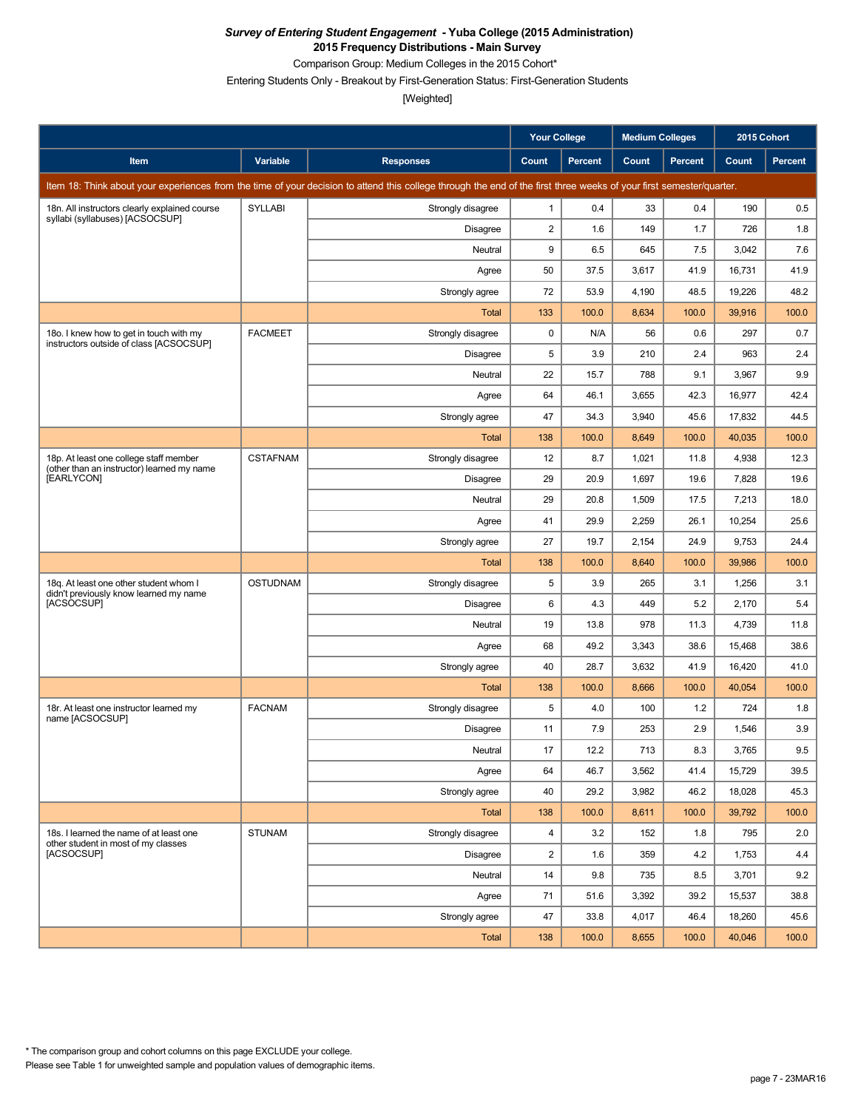Comparison Group: Medium Colleges in the 2015 Cohort\*

Entering Students Only - Breakout by First-Generation Status: First-Generation Students

|                                                                                      |                 |                                                                                                                                                                      | <b>Your College</b> |                | <b>Medium Colleges</b> |                | 2015 Cohort |         |
|--------------------------------------------------------------------------------------|-----------------|----------------------------------------------------------------------------------------------------------------------------------------------------------------------|---------------------|----------------|------------------------|----------------|-------------|---------|
| Item                                                                                 | Variable        | <b>Responses</b>                                                                                                                                                     | Count               | <b>Percent</b> | Count                  | <b>Percent</b> | Count       | Percent |
|                                                                                      |                 | Item 18: Think about your experiences from the time of your decision to attend this college through the end of the first three weeks of your first semester/quarter. |                     |                |                        |                |             |         |
| 18n. All instructors clearly explained course                                        | SYLLABI         | Strongly disagree                                                                                                                                                    | $\mathbf{1}$        | 0.4            | 33                     | 0.4            | 190         | 0.5     |
| syllabi (syllabuses) [ACSOCSUP]                                                      |                 | Disagree                                                                                                                                                             | $\overline{2}$      | 1.6            | 149                    | 1.7            | 726         | 1.8     |
|                                                                                      |                 | Neutral                                                                                                                                                              | 9                   | 6.5            | 645                    | 7.5            | 3,042       | 7.6     |
|                                                                                      |                 | Agree                                                                                                                                                                | 50                  | 37.5           | 3,617                  | 41.9           | 16,731      | 41.9    |
|                                                                                      |                 | Strongly agree                                                                                                                                                       | 72                  | 53.9           | 4,190                  | 48.5           | 19,226      | 48.2    |
|                                                                                      |                 | Total                                                                                                                                                                | 133                 | 100.0          | 8,634                  | 100.0          | 39,916      | 100.0   |
| 18o. I knew how to get in touch with my<br>instructors outside of class [ACSOCSUP]   | <b>FACMEET</b>  | Strongly disagree                                                                                                                                                    | 0                   | N/A            | 56                     | 0.6            | 297         | 0.7     |
|                                                                                      |                 | Disagree                                                                                                                                                             | 5                   | 3.9            | 210                    | 2.4            | 963         | 2.4     |
|                                                                                      |                 | Neutral                                                                                                                                                              | 22                  | 15.7           | 788                    | 9.1            | 3,967       | 9.9     |
|                                                                                      |                 | Agree                                                                                                                                                                | 64                  | 46.1           | 3,655                  | 42.3           | 16,977      | 42.4    |
|                                                                                      |                 | Strongly agree                                                                                                                                                       | 47                  | 34.3           | 3,940                  | 45.6           | 17,832      | 44.5    |
|                                                                                      |                 | <b>Total</b>                                                                                                                                                         | 138                 | 100.0          | 8,649                  | 100.0          | 40,035      | 100.0   |
| 18p. At least one college staff member<br>(other than an instructor) learned my name | <b>CSTAFNAM</b> | Strongly disagree                                                                                                                                                    | 12                  | 8.7            | 1,021                  | 11.8           | 4,938       | 12.3    |
| [EARLYCON]                                                                           |                 | <b>Disagree</b>                                                                                                                                                      | 29                  | 20.9           | 1,697                  | 19.6           | 7,828       | 19.6    |
|                                                                                      |                 | Neutral                                                                                                                                                              | 29                  | 20.8           | 1,509                  | 17.5           | 7,213       | 18.0    |
|                                                                                      |                 | Agree                                                                                                                                                                | 41                  | 29.9           | 2,259                  | 26.1           | 10,254      | 25.6    |
|                                                                                      |                 | Strongly agree                                                                                                                                                       | 27                  | 19.7           | 2,154                  | 24.9           | 9,753       | 24.4    |
|                                                                                      |                 | <b>Total</b>                                                                                                                                                         | 138                 | 100.0          | 8,640                  | 100.0          | 39,986      | 100.0   |
| 18g. At least one other student whom I<br>didn't previously know learned my name     | <b>OSTUDNAM</b> | Strongly disagree                                                                                                                                                    | 5                   | 3.9            | 265                    | 3.1            | 1,256       | 3.1     |
| [ACSOCSUP]                                                                           |                 | Disagree                                                                                                                                                             | 6                   | 4.3            | 449                    | 5.2            | 2,170       | 5.4     |
|                                                                                      |                 | Neutral                                                                                                                                                              | 19                  | 13.8           | 978                    | 11.3           | 4,739       | 11.8    |
|                                                                                      |                 | Agree                                                                                                                                                                | 68                  | 49.2           | 3,343                  | 38.6           | 15,468      | 38.6    |
|                                                                                      |                 | Strongly agree                                                                                                                                                       | 40                  | 28.7           | 3,632                  | 41.9           | 16,420      | 41.0    |
|                                                                                      |                 | <b>Total</b>                                                                                                                                                         | 138                 | 100.0          | 8,666                  | 100.0          | 40,054      | 100.0   |
| 18r. At least one instructor learned my<br>name [ACSOCSUP]                           | <b>FACNAM</b>   | Strongly disagree                                                                                                                                                    | 5                   | 4.0            | 100                    | 1.2            | 724         | 1.8     |
|                                                                                      |                 | Disagree                                                                                                                                                             | 11                  | 7.9            | 253                    | 2.9            | 1,546       | 3.9     |
|                                                                                      |                 | Neutral                                                                                                                                                              | $17\,$              | 12.2           | 713                    | 8.3            | 3,765       | $9.5\,$ |
|                                                                                      |                 | Agree                                                                                                                                                                | 64                  | 46.7           | 3,562                  | 41.4           | 15,729      | 39.5    |
|                                                                                      |                 | Strongly agree                                                                                                                                                       | 40                  | 29.2           | 3,982                  | 46.2           | 18,028      | 45.3    |
|                                                                                      |                 | Total                                                                                                                                                                | 138                 | 100.0          | 8,611                  | 100.0          | 39,792      | 100.0   |
| 18s. I learned the name of at least one<br>other student in most of my classes       | <b>STUNAM</b>   | Strongly disagree                                                                                                                                                    | 4                   | 3.2            | 152                    | 1.8            | 795         | 2.0     |
| [ACSOCSUP]                                                                           |                 | <b>Disagree</b>                                                                                                                                                      | $\overline{2}$      | 1.6            | 359                    | 4.2            | 1,753       | 4.4     |
|                                                                                      |                 | Neutral                                                                                                                                                              | 14                  | 9.8            | 735                    | 8.5            | 3,701       | 9.2     |
|                                                                                      |                 | Agree                                                                                                                                                                | 71                  | 51.6           | 3,392                  | 39.2           | 15,537      | 38.8    |
|                                                                                      |                 | Strongly agree                                                                                                                                                       | 47                  | 33.8           | 4,017                  | 46.4           | 18,260      | 45.6    |
|                                                                                      |                 | Total                                                                                                                                                                | 138                 | 100.0          | 8,655                  | 100.0          | 40,046      | 100.0   |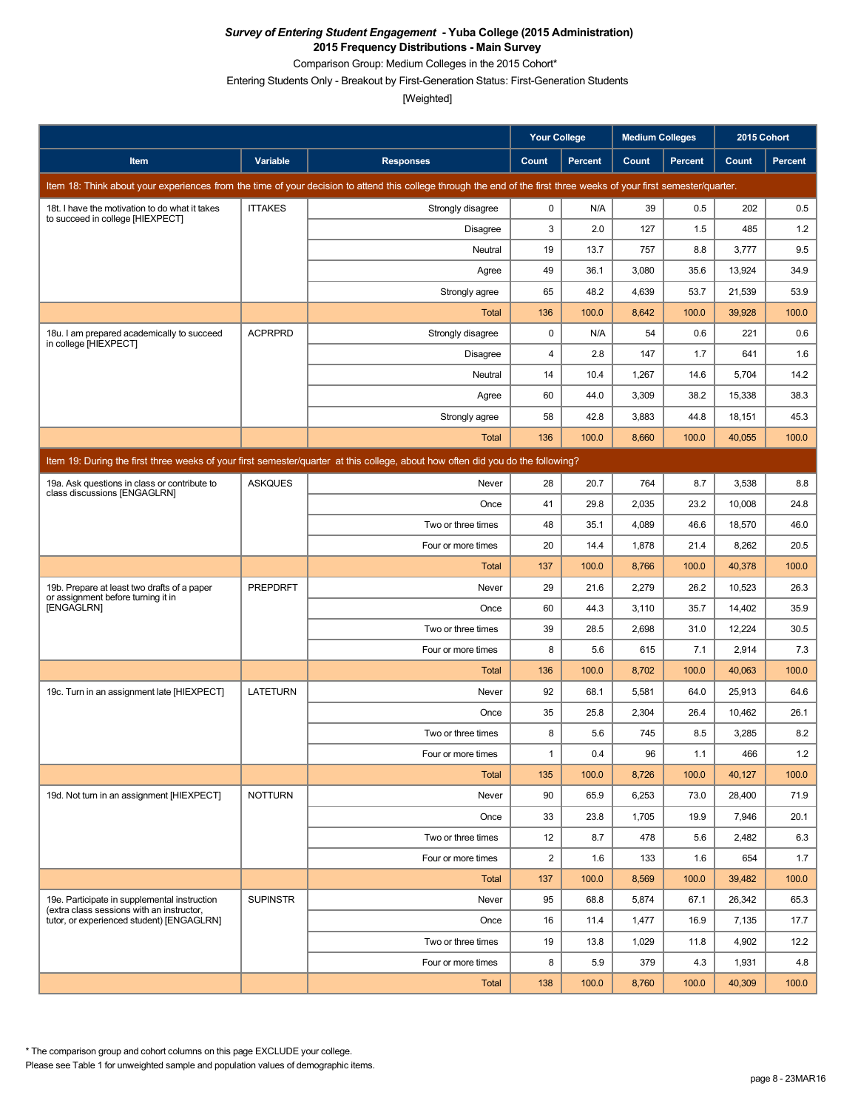Comparison Group: Medium Colleges in the 2015 Cohort\*

Entering Students Only - Breakout by First-Generation Status: First-Generation Students

[Weighted]

|                                                                                           |                 |                                                                                                                                                                      | <b>Your College</b>     |                | <b>Medium Colleges</b> |                | 2015 Cohort |                |
|-------------------------------------------------------------------------------------------|-----------------|----------------------------------------------------------------------------------------------------------------------------------------------------------------------|-------------------------|----------------|------------------------|----------------|-------------|----------------|
| Item                                                                                      | Variable        | <b>Responses</b>                                                                                                                                                     | Count                   | <b>Percent</b> | Count                  | <b>Percent</b> | Count       | <b>Percent</b> |
|                                                                                           |                 | Item 18: Think about your experiences from the time of your decision to attend this college through the end of the first three weeks of your first semester/quarter. |                         |                |                        |                |             |                |
| 18t. I have the motivation to do what it takes                                            | <b>ITTAKES</b>  | Strongly disagree                                                                                                                                                    | 0                       | N/A            | 39                     | 0.5            | 202         | 0.5            |
| to succeed in college [HIEXPECT]                                                          |                 | Disagree                                                                                                                                                             | 3                       | 2.0            | 127                    | 1.5            | 485         | 1.2            |
|                                                                                           |                 | Neutral                                                                                                                                                              | 19                      | 13.7           | 757                    | 8.8            | 3,777       | 9.5            |
|                                                                                           |                 | Agree                                                                                                                                                                | 49                      | 36.1           | 3,080                  | 35.6           | 13,924      | 34.9           |
|                                                                                           |                 | Strongly agree                                                                                                                                                       | 65                      | 48.2           | 4,639                  | 53.7           | 21,539      | 53.9           |
|                                                                                           |                 | <b>Total</b>                                                                                                                                                         | 136                     | 100.0          | 8,642                  | 100.0          | 39,928      | 100.0          |
| 18u. I am prepared academically to succeed<br>in college [HIEXPECT]                       | <b>ACPRPRD</b>  | Strongly disagree                                                                                                                                                    | 0                       | N/A            | 54                     | 0.6            | 221         | 0.6            |
|                                                                                           |                 | <b>Disagree</b>                                                                                                                                                      | 4                       | 2.8            | 147                    | 1.7            | 641         | 1.6            |
|                                                                                           |                 | Neutral                                                                                                                                                              | 14                      | 10.4           | 1,267                  | 14.6           | 5,704       | 14.2           |
|                                                                                           |                 | Agree                                                                                                                                                                | 60                      | 44.0           | 3,309                  | 38.2           | 15,338      | 38.3           |
|                                                                                           |                 | Strongly agree                                                                                                                                                       | 58                      | 42.8           | 3,883                  | 44.8           | 18,151      | 45.3           |
|                                                                                           |                 | <b>Total</b>                                                                                                                                                         | 136                     | 100.0          | 8,660                  | 100.0          | 40,055      | 100.0          |
|                                                                                           |                 | Item 19: During the first three weeks of your first semester/quarter at this college, about how often did you do the following?                                      |                         |                |                        |                |             |                |
| 19a. Ask questions in class or contribute to<br>class discussions [ENGAGLRN]              | <b>ASKQUES</b>  | Never                                                                                                                                                                | 28                      | 20.7           | 764                    | 8.7            | 3,538       | 8.8            |
|                                                                                           |                 | Once                                                                                                                                                                 | 41                      | 29.8           | 2,035                  | 23.2           | 10,008      | 24.8           |
|                                                                                           |                 | Two or three times                                                                                                                                                   | 48                      | 35.1           | 4,089                  | 46.6           | 18,570      | 46.0           |
|                                                                                           |                 | Four or more times                                                                                                                                                   | 20                      | 14.4           | 1,878                  | 21.4           | 8,262       | 20.5           |
|                                                                                           |                 | <b>Total</b>                                                                                                                                                         | 137                     | 100.0          | 8,766                  | 100.0          | 40,378      | 100.0          |
| 19b. Prepare at least two drafts of a paper<br>or assignment before turning it in         | <b>PREPDRFT</b> | Never                                                                                                                                                                | 29                      | 21.6           | 2,279                  | 26.2           | 10,523      | 26.3           |
| [ENGAGLRN]                                                                                |                 | Once                                                                                                                                                                 | 60                      | 44.3           | 3,110                  | 35.7           | 14,402      | 35.9           |
|                                                                                           |                 | Two or three times                                                                                                                                                   | 39                      | 28.5           | 2,698                  | 31.0           | 12,224      | 30.5           |
|                                                                                           |                 | Four or more times                                                                                                                                                   | 8                       | 5.6            | 615                    | 7.1            | 2,914       | 7.3            |
|                                                                                           |                 | <b>Total</b>                                                                                                                                                         | 136                     | 100.0          | 8,702                  | 100.0          | 40,063      | 100.0          |
| 19c. Turn in an assignment late [HIEXPECT]                                                | <b>LATETURN</b> | Never                                                                                                                                                                | 92                      | 68.1           | 5,581                  | 64.0           | 25,913      | 64.6           |
|                                                                                           |                 | Once                                                                                                                                                                 | 35                      | 25.8           | 2,304                  | 26.4           | 10,462      | 26.1           |
|                                                                                           |                 | Two or three times                                                                                                                                                   | 8                       | 5.6            | 745                    | 8.5            | 3,285       | 8.2            |
|                                                                                           |                 | Four or more times                                                                                                                                                   | 1                       | 0.4            | 96                     | 1.1            | 466         | 1.2            |
|                                                                                           |                 | <b>Total</b>                                                                                                                                                         | 135                     | 100.0          | 8,726                  | 100.0          | 40,127      | 100.0          |
| 19d. Not turn in an assignment [HIEXPECT]                                                 | <b>NOTTURN</b>  | Never                                                                                                                                                                | 90                      | 65.9           | 6,253                  | 73.0           | 28.400      | 71.9           |
|                                                                                           |                 | Once                                                                                                                                                                 | 33                      | 23.8           | 1,705                  | 19.9           | 7,946       | 20.1           |
|                                                                                           |                 | Two or three times                                                                                                                                                   | 12                      | 8.7            | 478                    | 5.6            | 2,482       | 6.3            |
|                                                                                           |                 | Four or more times                                                                                                                                                   | $\overline{\mathbf{c}}$ | 1.6            | 133                    | 1.6            | 654         | 1.7            |
|                                                                                           |                 | Total                                                                                                                                                                | 137                     | 100.0          | 8,569                  | 100.0          | 39,482      | 100.0          |
| 19e. Participate in supplemental instruction<br>(extra class sessions with an instructor, | <b>SUPINSTR</b> | Never                                                                                                                                                                | 95                      | 68.8           | 5,874                  | 67.1           | 26,342      | 65.3           |
| tutor, or experienced student) [ENGAGLRN]                                                 |                 | Once                                                                                                                                                                 | 16                      | 11.4           | 1,477                  | 16.9           | 7,135       | 17.7           |
|                                                                                           |                 | Two or three times                                                                                                                                                   | 19                      | 13.8           | 1,029                  | 11.8           | 4,902       | 12.2           |
|                                                                                           |                 | Four or more times                                                                                                                                                   | 8                       | 5.9            | 379                    | 4.3            | 1,931       | 4.8            |
|                                                                                           |                 | <b>Total</b>                                                                                                                                                         | 138                     | 100.0          | 8,760                  | 100.0          | 40,309      | 100.0          |

Please see Table 1 for unweighted sample and population values of demographic items. \* The comparison group and cohort columns on this page EXCLUDE your college.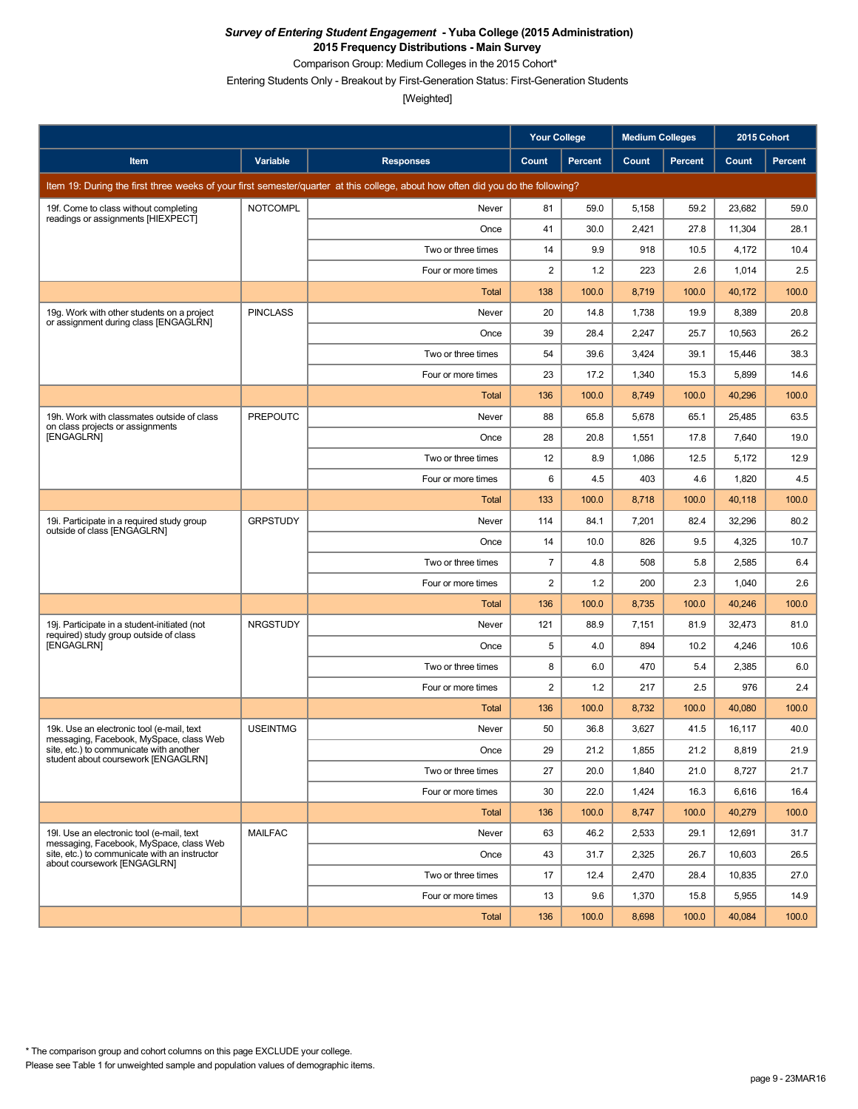Comparison Group: Medium Colleges in the 2015 Cohort\*

Entering Students Only - Breakout by First-Generation Status: First-Generation Students

|                                                                                       |                 |                                                                                                                                 | <b>Your College</b> |         | <b>Medium Colleges</b> |                | 2015 Cohort |         |
|---------------------------------------------------------------------------------------|-----------------|---------------------------------------------------------------------------------------------------------------------------------|---------------------|---------|------------------------|----------------|-------------|---------|
| Item                                                                                  | Variable        | <b>Responses</b>                                                                                                                | Count               | Percent | Count                  | <b>Percent</b> | Count       | Percent |
|                                                                                       |                 | Item 19: During the first three weeks of your first semester/quarter at this college, about how often did you do the following? |                     |         |                        |                |             |         |
| 19f. Come to class without completing                                                 | <b>NOTCOMPL</b> | Never                                                                                                                           | 81                  | 59.0    | 5,158                  | 59.2           | 23,682      | 59.0    |
| readings or assignments [HIEXPECT]                                                    |                 | Once                                                                                                                            | 41                  | 30.0    | 2,421                  | 27.8           | 11,304      | 28.1    |
|                                                                                       |                 | Two or three times                                                                                                              | 14                  | 9.9     | 918                    | 10.5           | 4,172       | 10.4    |
|                                                                                       |                 | Four or more times                                                                                                              | $\overline{c}$      | 1.2     | 223                    | 2.6            | 1,014       | 2.5     |
|                                                                                       |                 | Total                                                                                                                           | 138                 | 100.0   | 8,719                  | 100.0          | 40,172      | 100.0   |
| 19g. Work with other students on a project<br>or assignment during class [ENGAGLRN]   | <b>PINCLASS</b> | Never                                                                                                                           | 20                  | 14.8    | 1,738                  | 19.9           | 8,389       | 20.8    |
|                                                                                       |                 | Once                                                                                                                            | 39                  | 28.4    | 2,247                  | 25.7           | 10,563      | 26.2    |
|                                                                                       |                 | Two or three times                                                                                                              | 54                  | 39.6    | 3,424                  | 39.1           | 15,446      | 38.3    |
|                                                                                       |                 | Four or more times                                                                                                              | 23                  | 17.2    | 1,340                  | 15.3           | 5,899       | 14.6    |
|                                                                                       |                 | <b>Total</b>                                                                                                                    | 136                 | 100.0   | 8,749                  | 100.0          | 40,296      | 100.0   |
| 19h. Work with classmates outside of class<br>on class projects or assignments        | <b>PREPOUTC</b> | Never                                                                                                                           | 88                  | 65.8    | 5,678                  | 65.1           | 25,485      | 63.5    |
| [ENGAGLRN]                                                                            |                 | Once                                                                                                                            | 28                  | 20.8    | 1,551                  | 17.8           | 7,640       | 19.0    |
|                                                                                       |                 | Two or three times                                                                                                              | 12                  | 8.9     | 1,086                  | 12.5           | 5,172       | 12.9    |
|                                                                                       |                 | Four or more times                                                                                                              | 6                   | 4.5     | 403                    | 4.6            | 1,820       | 4.5     |
|                                                                                       |                 | Total                                                                                                                           | 133                 | 100.0   | 8,718                  | 100.0          | 40,118      | 100.0   |
| 19i. Participate in a required study group<br>outside of class [ENGAGLRN]             | <b>GRPSTUDY</b> | Never                                                                                                                           | 114                 | 84.1    | 7,201                  | 82.4           | 32,296      | 80.2    |
|                                                                                       |                 | Once                                                                                                                            | 14                  | 10.0    | 826                    | 9.5            | 4,325       | 10.7    |
|                                                                                       |                 | Two or three times                                                                                                              | $\overline{7}$      | 4.8     | 508                    | 5.8            | 2,585       | 6.4     |
|                                                                                       |                 | Four or more times                                                                                                              | $\overline{2}$      | 1.2     | 200                    | 2.3            | 1,040       | 2.6     |
|                                                                                       |                 | Total                                                                                                                           | 136                 | 100.0   | 8,735                  | 100.0          | 40,246      | 100.0   |
| 19. Participate in a student-initiated (not<br>required) study group outside of class | <b>NRGSTUDY</b> | Never                                                                                                                           | 121                 | 88.9    | 7,151                  | 81.9           | 32,473      | 81.0    |
| [ENGAGLRN]                                                                            |                 | Once                                                                                                                            | 5                   | 4.0     | 894                    | 10.2           | 4,246       | 10.6    |
|                                                                                       |                 | Two or three times                                                                                                              | 8                   | 6.0     | 470                    | 5.4            | 2,385       | 6.0     |
|                                                                                       |                 | Four or more times                                                                                                              | 2                   | 1.2     | 217                    | 2.5            | 976         | 2.4     |
|                                                                                       |                 | Total                                                                                                                           | 136                 | 100.0   | 8,732                  | 100.0          | 40,080      | 100.0   |
| 19k. Use an electronic tool (e-mail, text<br>messaging, Facebook, MySpace, class Web  | <b>USEINTMG</b> | Never                                                                                                                           | 50                  | 36.8    | 3,627                  | 41.5           | 16,117      | 40.0    |
| site, etc.) to communicate with another<br>student about coursework [ENGAGLRN]        |                 | Once                                                                                                                            | 29                  | 21.2    | 1,855                  | 21.2           | 8,819       | 21.9    |
|                                                                                       |                 | Two or three times                                                                                                              | 27                  | 20.0    | 1,840                  | 21.0           | 8,727       | 21.7    |
|                                                                                       |                 | Four or more times                                                                                                              | 30                  | 22.0    | 1,424                  | 16.3           | 6,616       | 16.4    |
|                                                                                       |                 | Total                                                                                                                           | 136                 | 100.0   | 8,747                  | 100.0          | 40,279      | 100.0   |
| 19I. Use an electronic tool (e-mail, text<br>messaging, Facebook, MySpace, class Web  | <b>MAILFAC</b>  | Never                                                                                                                           | 63                  | 46.2    | 2,533                  | 29.1           | 12,691      | 31.7    |
| site, etc.) to communicate with an instructor<br>about coursework [ENGAGLRN]          |                 | Once                                                                                                                            | 43                  | 31.7    | 2,325                  | 26.7           | 10,603      | 26.5    |
|                                                                                       |                 | Two or three times                                                                                                              | 17                  | 12.4    | 2,470                  | 28.4           | 10,835      | 27.0    |
|                                                                                       |                 | Four or more times                                                                                                              | 13                  | 9.6     | 1,370                  | 15.8           | 5,955       | 14.9    |
|                                                                                       |                 | Total                                                                                                                           | 136                 | 100.0   | 8,698                  | 100.0          | 40,084      | 100.0   |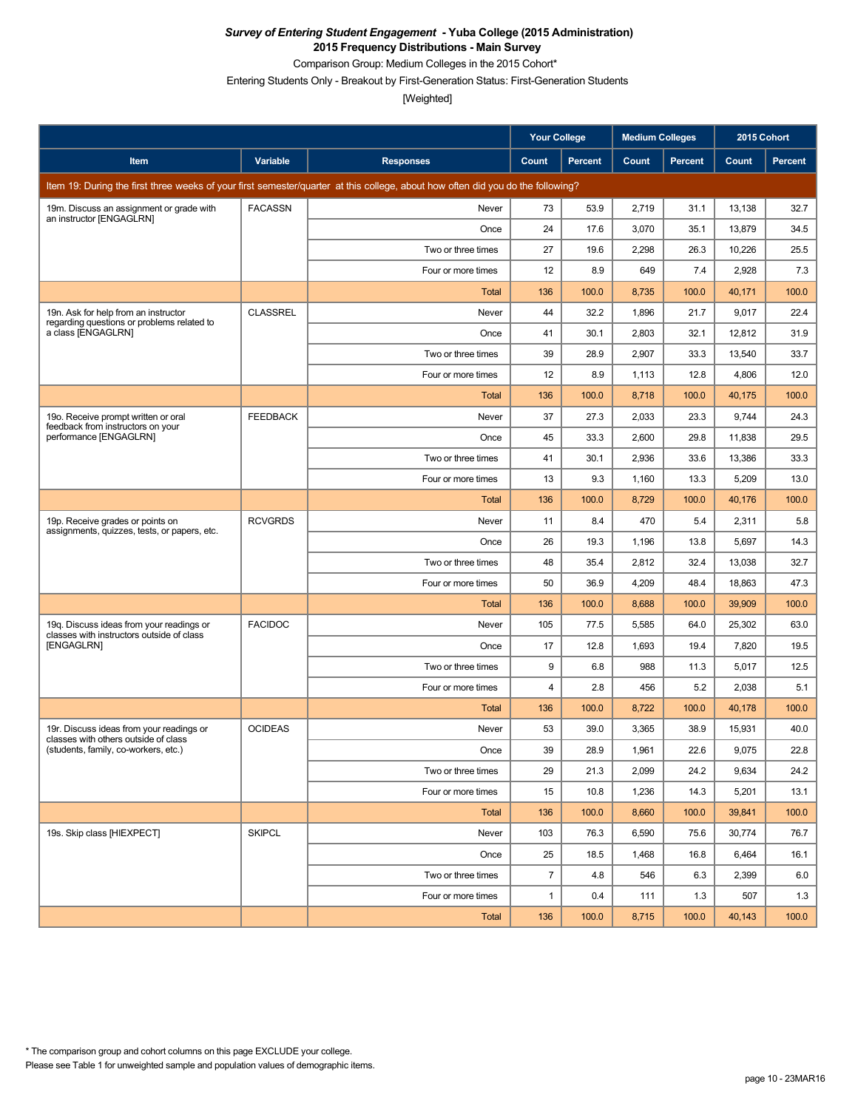Comparison Group: Medium Colleges in the 2015 Cohort\*

Entering Students Only - Breakout by First-Generation Status: First-Generation Students

|                                                                                       |                 |                                                                                                                                 | Your College   |                | <b>Medium Colleges</b> |         | 2015 Cohort |                |
|---------------------------------------------------------------------------------------|-----------------|---------------------------------------------------------------------------------------------------------------------------------|----------------|----------------|------------------------|---------|-------------|----------------|
| Item                                                                                  | Variable        | <b>Responses</b>                                                                                                                | Count          | <b>Percent</b> | Count                  | Percent | Count       | <b>Percent</b> |
|                                                                                       |                 | Item 19: During the first three weeks of your first semester/quarter at this college, about how often did you do the following? |                |                |                        |         |             |                |
| 19m. Discuss an assignment or grade with                                              | <b>FACASSN</b>  | Never                                                                                                                           | 73             | 53.9           | 2,719                  | 31.1    | 13,138      | 32.7           |
| an instructor [ENGAGLRN]                                                              |                 | Once                                                                                                                            | 24             | 17.6           | 3,070                  | 35.1    | 13,879      | 34.5           |
|                                                                                       |                 | Two or three times                                                                                                              | 27             | 19.6           | 2,298                  | 26.3    | 10,226      | 25.5           |
|                                                                                       |                 | Four or more times                                                                                                              | 12             | 8.9            | 649                    | 7.4     | 2,928       | 7.3            |
|                                                                                       |                 | Total                                                                                                                           | 136            | 100.0          | 8,735                  | 100.0   | 40,171      | 100.0          |
| 19n. Ask for help from an instructor<br>regarding questions or problems related to    | <b>CLASSREL</b> | Never                                                                                                                           | 44             | 32.2           | 1,896                  | 21.7    | 9,017       | 22.4           |
| a class [ENGAGLRN]                                                                    |                 | Once                                                                                                                            | 41             | 30.1           | 2,803                  | 32.1    | 12,812      | 31.9           |
|                                                                                       |                 | Two or three times                                                                                                              | 39             | 28.9           | 2,907                  | 33.3    | 13,540      | 33.7           |
|                                                                                       |                 | Four or more times                                                                                                              | 12             | 8.9            | 1,113                  | 12.8    | 4,806       | 12.0           |
|                                                                                       |                 | <b>Total</b>                                                                                                                    | 136            | 100.0          | 8,718                  | 100.0   | 40,175      | 100.0          |
| 19o. Receive prompt written or oral<br>feedback from instructors on your              | <b>FEEDBACK</b> | Never                                                                                                                           | 37             | 27.3           | 2,033                  | 23.3    | 9,744       | 24.3           |
| performance [ENGAGLRN]                                                                |                 | Once                                                                                                                            | 45             | 33.3           | 2,600                  | 29.8    | 11,838      | 29.5           |
|                                                                                       |                 | Two or three times                                                                                                              | 41             | 30.1           | 2,936                  | 33.6    | 13,386      | 33.3           |
|                                                                                       |                 | Four or more times                                                                                                              | 13             | 9.3            | 1,160                  | 13.3    | 5,209       | 13.0           |
|                                                                                       |                 | Total                                                                                                                           | 136            | 100.0          | 8,729                  | 100.0   | 40,176      | 100.0          |
| 19p. Receive grades or points on<br>assignments, quizzes, tests, or papers, etc.      | <b>RCVGRDS</b>  | Never                                                                                                                           | 11             | 8.4            | 470                    | 5.4     | 2,311       | 5.8            |
|                                                                                       |                 | Once                                                                                                                            | 26             | 19.3           | 1,196                  | 13.8    | 5,697       | 14.3           |
|                                                                                       |                 | Two or three times                                                                                                              | 48             | 35.4           | 2,812                  | 32.4    | 13,038      | 32.7           |
|                                                                                       |                 | Four or more times                                                                                                              | 50             | 36.9           | 4,209                  | 48.4    | 18,863      | 47.3           |
|                                                                                       |                 | Total                                                                                                                           | 136            | 100.0          | 8,688                  | 100.0   | 39,909      | 100.0          |
| 19g. Discuss ideas from your readings or<br>classes with instructors outside of class | <b>FACIDOC</b>  | Never                                                                                                                           | 105            | 77.5           | 5,585                  | 64.0    | 25,302      | 63.0           |
| [ENGAGLRN]                                                                            |                 | Once                                                                                                                            | 17             | 12.8           | 1,693                  | 19.4    | 7,820       | 19.5           |
|                                                                                       |                 | Two or three times                                                                                                              | 9              | 6.8            | 988                    | 11.3    | 5,017       | 12.5           |
|                                                                                       |                 | Four or more times                                                                                                              | 4              | 2.8            | 456                    | 5.2     | 2,038       | 5.1            |
|                                                                                       |                 | Total                                                                                                                           | 136            | 100.0          | 8,722                  | 100.0   | 40,178      | 100.0          |
| 19r. Discuss ideas from your readings or<br>classes with others outside of class      | <b>OCIDEAS</b>  | Never                                                                                                                           | 53             | 39.0           | 3,365                  | 38.9    | 15,931      | 40.0           |
| (students, family, co-workers, etc.)                                                  |                 | Once                                                                                                                            | 39             | 28.9           | 1,961                  | 22.6    | 9,075       | 22.8           |
|                                                                                       |                 | Two or three times                                                                                                              | 29             | 21.3           | 2,099                  | 24.2    | 9,634       | 24.2           |
|                                                                                       |                 | Four or more times                                                                                                              | 15             | 10.8           | 1,236                  | 14.3    | 5,201       | 13.1           |
|                                                                                       |                 | Total                                                                                                                           | 136            | 100.0          | 8,660                  | 100.0   | 39,841      | 100.0          |
| 19s. Skip class [HIEXPECT]                                                            | <b>SKIPCL</b>   | Never                                                                                                                           | 103            | 76.3           | 6,590                  | 75.6    | 30,774      | 76.7           |
|                                                                                       |                 | Once                                                                                                                            | 25             | 18.5           | 1,468                  | 16.8    | 6,464       | 16.1           |
|                                                                                       |                 | Two or three times                                                                                                              | $\overline{7}$ | 4.8            | 546                    | 6.3     | 2,399       | 6.0            |
|                                                                                       |                 | Four or more times                                                                                                              | $\mathbf{1}$   | 0.4            | 111                    | 1.3     | 507         | 1.3            |
|                                                                                       |                 | Total                                                                                                                           | 136            | 100.0          | 8,715                  | 100.0   | 40,143      | 100.0          |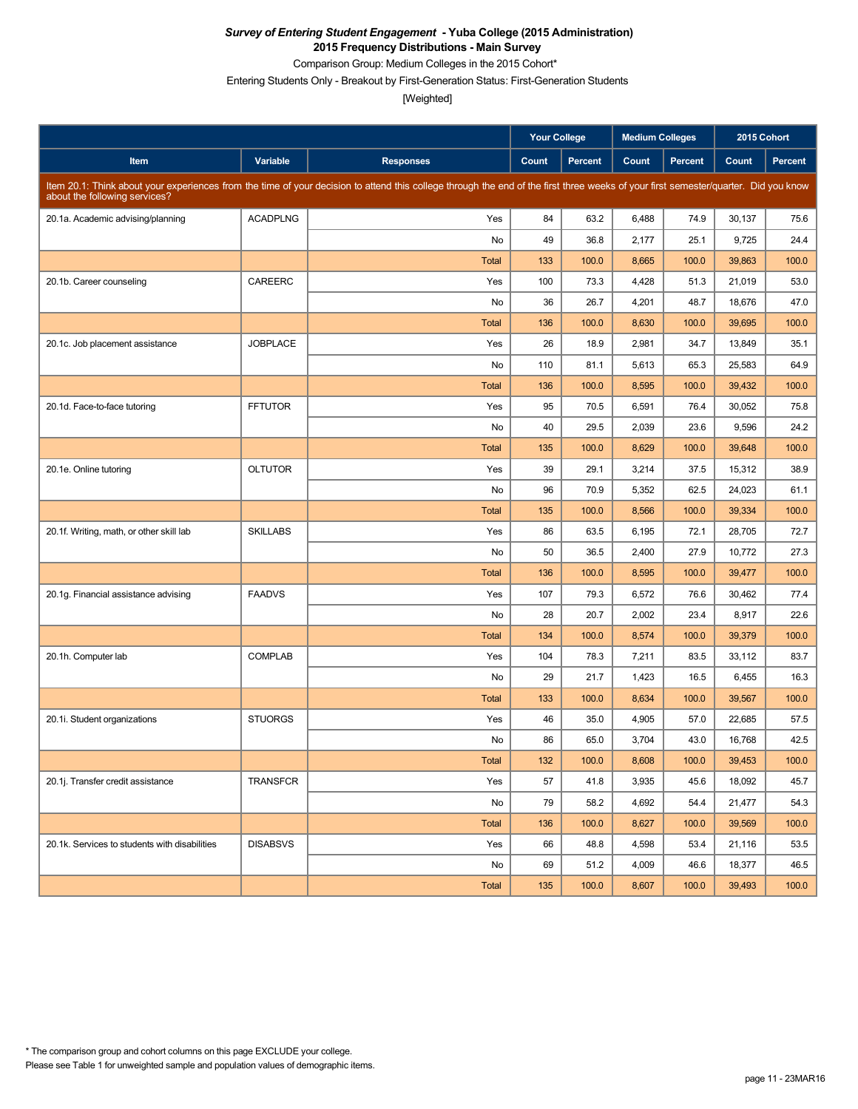Comparison Group: Medium Colleges in the 2015 Cohort\*

Entering Students Only - Breakout by First-Generation Status: First-Generation Students

|                                               |                 |                                                                                                                                                                                     | Your College |                | <b>Medium Colleges</b> |                | 2015 Cohort |                |
|-----------------------------------------------|-----------------|-------------------------------------------------------------------------------------------------------------------------------------------------------------------------------------|--------------|----------------|------------------------|----------------|-------------|----------------|
| Item                                          | Variable        | <b>Responses</b>                                                                                                                                                                    | Count        | <b>Percent</b> | Count                  | <b>Percent</b> | Count       | <b>Percent</b> |
| about the following services?                 |                 | Item 20.1: Think about your experiences from the time of your decision to attend this college through the end of the first three weeks of your first semester/quarter. Did you know |              |                |                        |                |             |                |
| 20.1a. Academic advising/planning             | <b>ACADPLNG</b> | Yes                                                                                                                                                                                 | 84           | 63.2           | 6,488                  | 74.9           | 30,137      | 75.6           |
|                                               |                 | No                                                                                                                                                                                  | 49           | 36.8           | 2,177                  | 25.1           | 9,725       | 24.4           |
|                                               |                 | <b>Total</b>                                                                                                                                                                        | 133          | 100.0          | 8,665                  | 100.0          | 39,863      | 100.0          |
| 20.1b. Career counseling                      | CAREERC         | Yes                                                                                                                                                                                 | 100          | 73.3           | 4,428                  | 51.3           | 21.019      | 53.0           |
|                                               |                 | No                                                                                                                                                                                  | 36           | 26.7           | 4,201                  | 48.7           | 18,676      | 47.0           |
|                                               |                 | <b>Total</b>                                                                                                                                                                        | 136          | 100.0          | 8,630                  | 100.0          | 39,695      | 100.0          |
| 20.1c. Job placement assistance               | <b>JOBPLACE</b> | Yes                                                                                                                                                                                 | 26           | 18.9           | 2,981                  | 34.7           | 13,849      | 35.1           |
|                                               |                 | No                                                                                                                                                                                  | 110          | 81.1           | 5,613                  | 65.3           | 25,583      | 64.9           |
|                                               |                 | <b>Total</b>                                                                                                                                                                        | 136          | 100.0          | 8,595                  | 100.0          | 39,432      | 100.0          |
| 20.1d. Face-to-face tutoring                  | <b>FFTUTOR</b>  | Yes                                                                                                                                                                                 | 95           | 70.5           | 6,591                  | 76.4           | 30,052      | 75.8           |
|                                               |                 | No                                                                                                                                                                                  | 40           | 29.5           | 2,039                  | 23.6           | 9,596       | 24.2           |
|                                               |                 | <b>Total</b>                                                                                                                                                                        | 135          | 100.0          | 8,629                  | 100.0          | 39,648      | 100.0          |
| 20.1e. Online tutoring                        | <b>OLTUTOR</b>  | Yes                                                                                                                                                                                 | 39           | 29.1           | 3,214                  | 37.5           | 15,312      | 38.9           |
|                                               |                 | No                                                                                                                                                                                  | 96           | 70.9           | 5,352                  | 62.5           | 24,023      | 61.1           |
|                                               |                 | <b>Total</b>                                                                                                                                                                        | 135          | 100.0          | 8,566                  | 100.0          | 39,334      | 100.0          |
| 20.1f. Writing, math, or other skill lab      | <b>SKILLABS</b> | Yes                                                                                                                                                                                 | 86           | 63.5           | 6,195                  | 72.1           | 28,705      | 72.7           |
|                                               |                 | No                                                                                                                                                                                  | 50           | 36.5           | 2,400                  | 27.9           | 10,772      | 27.3           |
|                                               |                 | <b>Total</b>                                                                                                                                                                        | 136          | 100.0          | 8,595                  | 100.0          | 39,477      | 100.0          |
| 20.1g. Financial assistance advising          | <b>FAADVS</b>   | Yes                                                                                                                                                                                 | 107          | 79.3           | 6,572                  | 76.6           | 30,462      | 77.4           |
|                                               |                 | No                                                                                                                                                                                  | 28           | 20.7           | 2,002                  | 23.4           | 8,917       | 22.6           |
|                                               |                 | <b>Total</b>                                                                                                                                                                        | 134          | 100.0          | 8,574                  | 100.0          | 39,379      | 100.0          |
| 20.1h. Computer lab                           | <b>COMPLAB</b>  | Yes                                                                                                                                                                                 | 104          | 78.3           | 7,211                  | 83.5           | 33,112      | 83.7           |
|                                               |                 | No                                                                                                                                                                                  | 29           | 21.7           | 1,423                  | 16.5           | 6,455       | 16.3           |
|                                               |                 | <b>Total</b>                                                                                                                                                                        | 133          | 100.0          | 8,634                  | 100.0          | 39,567      | 100.0          |
| 20.1i. Student organizations                  | <b>STUORGS</b>  | Yes                                                                                                                                                                                 | 46           | 35.0           | 4,905                  | 57.0           | 22,685      | 57.5           |
|                                               |                 | No                                                                                                                                                                                  | 86           | 65.0           | 3,704                  | 43.0           | 16,768      | 42.5           |
|                                               |                 | <b>Total</b>                                                                                                                                                                        | 132          | 100.0          | 8,608                  | 100.0          | 39,453      | 100.0          |
| 20.1j. Transfer credit assistance             | <b>TRANSFCR</b> | Yes                                                                                                                                                                                 | 57           | 41.8           | 3,935                  | 45.6           | 18,092      | 45.7           |
|                                               |                 | No                                                                                                                                                                                  | 79           | 58.2           | 4,692                  | 54.4           | 21,477      | 54.3           |
|                                               |                 | Total                                                                                                                                                                               | 136          | 100.0          | 8,627                  | 100.0          | 39,569      | 100.0          |
| 20.1k. Services to students with disabilities | <b>DISABSVS</b> | Yes                                                                                                                                                                                 | 66           | 48.8           | 4,598                  | 53.4           | 21,116      | 53.5           |
|                                               |                 | No                                                                                                                                                                                  | 69           | 51.2           | 4,009                  | 46.6           | 18,377      | 46.5           |
|                                               |                 | Total                                                                                                                                                                               | 135          | 100.0          | 8,607                  | 100.0          | 39,493      | 100.0          |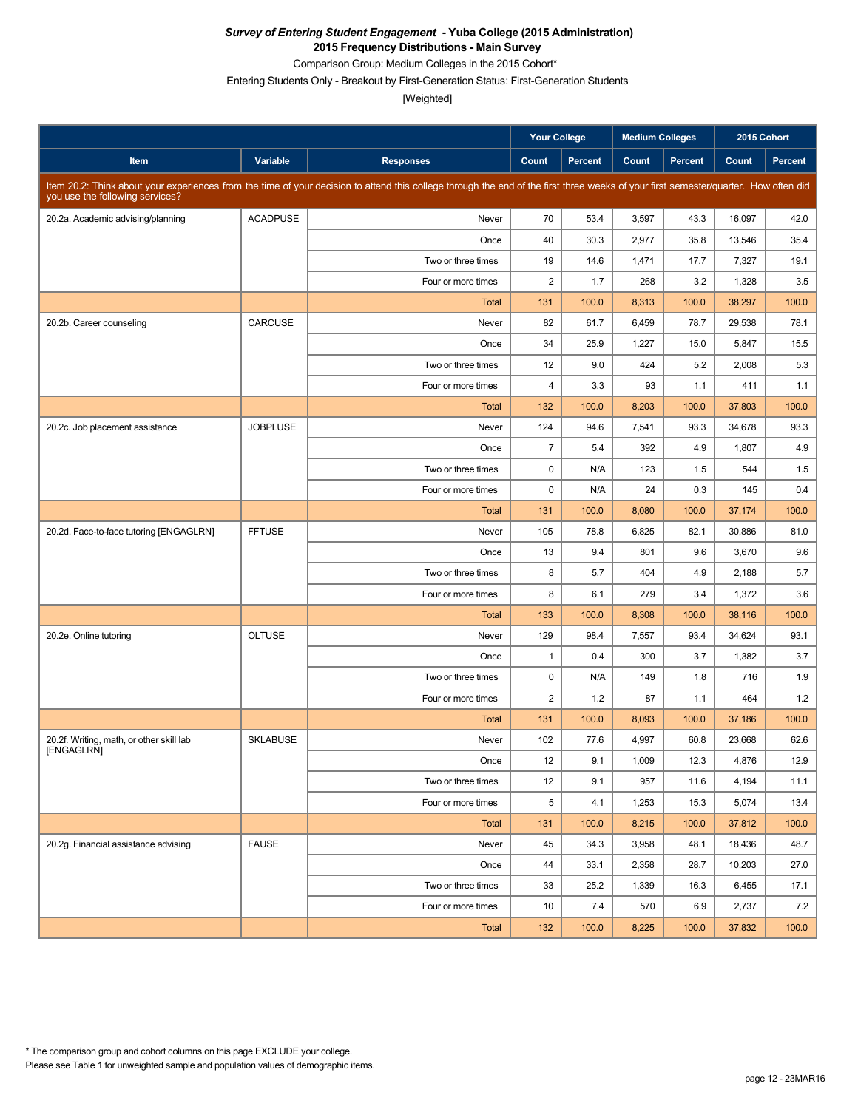Comparison Group: Medium Colleges in the 2015 Cohort\*

Entering Students Only - Breakout by First-Generation Status: First-Generation Students

|                                          |                 |                                                                                                                                                                                      | <b>Your College</b>     |                | <b>Medium Colleges</b> |         | 2015 Cohort |                |
|------------------------------------------|-----------------|--------------------------------------------------------------------------------------------------------------------------------------------------------------------------------------|-------------------------|----------------|------------------------|---------|-------------|----------------|
| Item                                     | Variable        | <b>Responses</b>                                                                                                                                                                     | Count                   | <b>Percent</b> | Count                  | Percent | Count       | <b>Percent</b> |
| you use the following services?          |                 | Item 20.2: Think about your experiences from the time of your decision to attend this college through the end of the first three weeks of your first semester/quarter. How often did |                         |                |                        |         |             |                |
| 20.2a. Academic advising/planning        | <b>ACADPUSE</b> | Never                                                                                                                                                                                | 70                      | 53.4           | 3,597                  | 43.3    | 16,097      | 42.0           |
|                                          |                 | Once                                                                                                                                                                                 | 40                      | 30.3           | 2,977                  | 35.8    | 13,546      | 35.4           |
|                                          |                 | Two or three times                                                                                                                                                                   | 19                      | 14.6           | 1,471                  | 17.7    | 7,327       | 19.1           |
|                                          |                 | Four or more times                                                                                                                                                                   | $\overline{2}$          | 1.7            | 268                    | 3.2     | 1,328       | 3.5            |
|                                          |                 | <b>Total</b>                                                                                                                                                                         | 131                     | 100.0          | 8,313                  | 100.0   | 38,297      | 100.0          |
| 20.2b. Career counseling                 | CARCUSE         | Never                                                                                                                                                                                | 82                      | 61.7           | 6,459                  | 78.7    | 29,538      | 78.1           |
|                                          |                 | Once                                                                                                                                                                                 | 34                      | 25.9           | 1,227                  | 15.0    | 5,847       | 15.5           |
|                                          |                 | Two or three times                                                                                                                                                                   | 12                      | 9.0            | 424                    | 5.2     | 2,008       | 5.3            |
|                                          |                 | Four or more times                                                                                                                                                                   | $\overline{\mathbf{4}}$ | 3.3            | 93                     | 1.1     | 411         | 1.1            |
|                                          |                 | <b>Total</b>                                                                                                                                                                         | 132                     | 100.0          | 8,203                  | 100.0   | 37,803      | 100.0          |
| 20.2c. Job placement assistance          | <b>JOBPLUSE</b> | Never                                                                                                                                                                                | 124                     | 94.6           | 7,541                  | 93.3    | 34,678      | 93.3           |
|                                          |                 | Once                                                                                                                                                                                 | $\overline{7}$          | 5.4            | 392                    | 4.9     | 1,807       | 4.9            |
|                                          |                 | Two or three times                                                                                                                                                                   | 0                       | N/A            | 123                    | 1.5     | 544         | 1.5            |
|                                          |                 | Four or more times                                                                                                                                                                   | $\mathbf 0$             | N/A            | 24                     | 0.3     | 145         | 0.4            |
|                                          |                 | <b>Total</b>                                                                                                                                                                         | 131                     | 100.0          | 8,080                  | 100.0   | 37,174      | 100.0          |
| 20.2d. Face-to-face tutoring [ENGAGLRN]  | <b>FFTUSE</b>   | Never                                                                                                                                                                                | 105                     | 78.8           | 6,825                  | 82.1    | 30,886      | 81.0           |
|                                          |                 | Once                                                                                                                                                                                 | 13                      | 9.4            | 801                    | 9.6     | 3,670       | 9.6            |
|                                          |                 | Two or three times                                                                                                                                                                   | 8                       | 5.7            | 404                    | 4.9     | 2,188       | 5.7            |
|                                          |                 | Four or more times                                                                                                                                                                   | 8                       | 6.1            | 279                    | 3.4     | 1,372       | 3.6            |
|                                          |                 | <b>Total</b>                                                                                                                                                                         | 133                     | 100.0          | 8,308                  | 100.0   | 38,116      | 100.0          |
| 20.2e. Online tutoring                   | <b>OLTUSE</b>   | Never                                                                                                                                                                                | 129                     | 98.4           | 7,557                  | 93.4    | 34,624      | 93.1           |
|                                          |                 | Once                                                                                                                                                                                 | $\mathbf{1}$            | 0.4            | 300                    | 3.7     | 1,382       | 3.7            |
|                                          |                 | Two or three times                                                                                                                                                                   | 0                       | N/A            | 149                    | 1.8     | 716         | 1.9            |
|                                          |                 | Four or more times                                                                                                                                                                   | $\overline{2}$          | 1.2            | 87                     | 1.1     | 464         | 1.2            |
|                                          |                 | <b>Total</b>                                                                                                                                                                         | 131                     | 100.0          | 8,093                  | 100.0   | 37,186      | 100.0          |
| 20.2f. Writing, math, or other skill lab | <b>SKLABUSE</b> | Never                                                                                                                                                                                | 102                     | 77.6           | 4,997                  | 60.8    | 23,668      | 62.6           |
| [ENGAGLRN]                               |                 | Once                                                                                                                                                                                 | 12                      | 9.1            | 1,009                  | 12.3    | 4,876       | 12.9           |
|                                          |                 | Two or three times                                                                                                                                                                   | 12                      | 9.1            | 957                    | 11.6    | 4,194       | 11.1           |
|                                          |                 | Four or more times                                                                                                                                                                   | 5                       | 4.1            | 1,253                  | 15.3    | 5,074       | 13.4           |
|                                          |                 | Total                                                                                                                                                                                | 131                     | 100.0          | 8,215                  | 100.0   | 37,812      | 100.0          |
| 20.2g. Financial assistance advising     | <b>FAUSE</b>    | Never                                                                                                                                                                                | 45                      | 34.3           | 3,958                  | 48.1    | 18,436      | 48.7           |
|                                          |                 | Once                                                                                                                                                                                 | 44                      | 33.1           | 2,358                  | 28.7    | 10,203      | 27.0           |
|                                          |                 | Two or three times                                                                                                                                                                   | 33                      | 25.2           | 1,339                  | 16.3    | 6,455       | 17.1           |
|                                          |                 | Four or more times                                                                                                                                                                   | 10                      | 7.4            | 570                    | 6.9     | 2,737       | 7.2            |
|                                          |                 | Total                                                                                                                                                                                | 132                     | 100.0          | 8,225                  | 100.0   | 37,832      | 100.0          |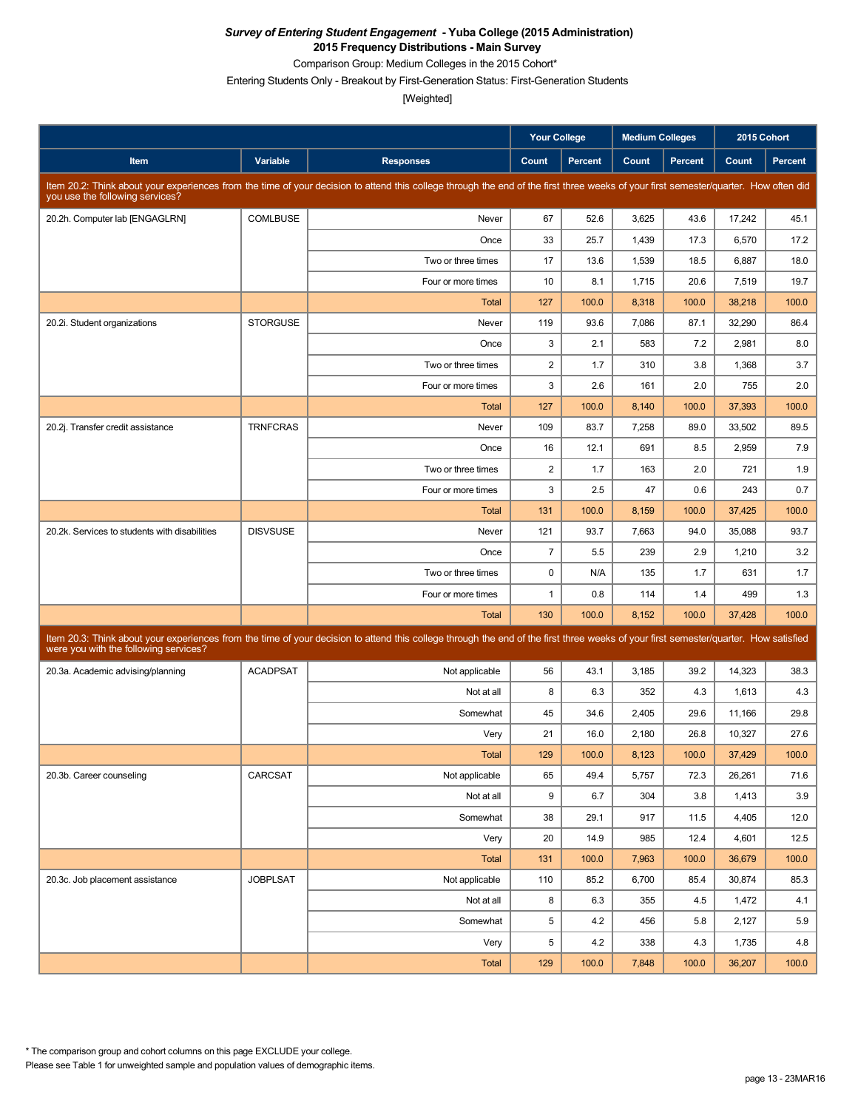Comparison Group: Medium Colleges in the 2015 Cohort\*

Entering Students Only - Breakout by First-Generation Status: First-Generation Students

|                                               |                 |                                                                                                                                                                                      | <b>Your College</b> |                | <b>Medium Colleges</b> |                |        | 2015 Cohort |
|-----------------------------------------------|-----------------|--------------------------------------------------------------------------------------------------------------------------------------------------------------------------------------|---------------------|----------------|------------------------|----------------|--------|-------------|
| <b>Item</b>                                   | Variable        | <b>Responses</b>                                                                                                                                                                     | Count               | <b>Percent</b> | Count                  | <b>Percent</b> | Count  | Percent     |
| you use the following services?               |                 | Item 20.2: Think about your experiences from the time of your decision to attend this college through the end of the first three weeks of your first semester/quarter. How often did |                     |                |                        |                |        |             |
| 20.2h. Computer lab [ENGAGLRN]                | <b>COMLBUSE</b> | Never                                                                                                                                                                                | 67                  | 52.6           | 3,625                  | 43.6           | 17,242 | 45.1        |
|                                               |                 | Once                                                                                                                                                                                 | 33                  | 25.7           | 1,439                  | 17.3           | 6,570  | 17.2        |
|                                               |                 | Two or three times                                                                                                                                                                   | 17                  | 13.6           | 1,539                  | 18.5           | 6,887  | 18.0        |
|                                               |                 | Four or more times                                                                                                                                                                   | 10                  | 8.1            | 1,715                  | 20.6           | 7,519  | 19.7        |
|                                               |                 | <b>Total</b>                                                                                                                                                                         | 127                 | 100.0          | 8,318                  | 100.0          | 38,218 | 100.0       |
| 20.2i. Student organizations                  | <b>STORGUSE</b> | Never                                                                                                                                                                                | 119                 | 93.6           | 7,086                  | 87.1           | 32,290 | 86.4        |
|                                               |                 | Once                                                                                                                                                                                 | 3                   | 2.1            | 583                    | 7.2            | 2,981  | 8.0         |
|                                               |                 | Two or three times                                                                                                                                                                   | $\overline{2}$      | 1.7            | 310                    | 3.8            | 1,368  | 3.7         |
|                                               |                 | Four or more times                                                                                                                                                                   | 3                   | 2.6            | 161                    | 2.0            | 755    | 2.0         |
|                                               |                 | Total                                                                                                                                                                                | 127                 | 100.0          | 8,140                  | 100.0          | 37,393 | 100.0       |
| 20.2j. Transfer credit assistance             | <b>TRNFCRAS</b> | Never                                                                                                                                                                                | 109                 | 83.7           | 7,258                  | 89.0           | 33,502 | 89.5        |
|                                               |                 | Once                                                                                                                                                                                 | 16                  | 12.1           | 691                    | 8.5            | 2,959  | 7.9         |
|                                               |                 | Two or three times                                                                                                                                                                   | $\overline{2}$      | 1.7            | 163                    | 2.0            | 721    | 1.9         |
|                                               |                 | Four or more times                                                                                                                                                                   | 3                   | 2.5            | 47                     | 0.6            | 243    | 0.7         |
|                                               |                 | <b>Total</b>                                                                                                                                                                         | 131                 | 100.0          | 8,159                  | 100.0          | 37,425 | 100.0       |
| 20.2k. Services to students with disabilities | <b>DISVSUSE</b> | Never                                                                                                                                                                                | 121                 | 93.7           | 7,663                  | 94.0           | 35,088 | 93.7        |
|                                               |                 | Once                                                                                                                                                                                 | $\overline{7}$      | 5.5            | 239                    | 2.9            | 1,210  | 3.2         |
|                                               |                 | Two or three times                                                                                                                                                                   | $\mathbf 0$         | N/A            | 135                    | 1.7            | 631    | 1.7         |
|                                               |                 | Four or more times                                                                                                                                                                   | $\mathbf{1}$        | 0.8            | 114                    | 1.4            | 499    | 1.3         |
|                                               |                 | Total                                                                                                                                                                                | 130                 | 100.0          | 8,152                  | 100.0          | 37,428 | 100.0       |
| were you with the following services?         |                 | Item 20.3: Think about your experiences from the time of your decision to attend this college through the end of the first three weeks of your first semester/quarter. How satisfied |                     |                |                        |                |        |             |
| 20.3a. Academic advising/planning             | <b>ACADPSAT</b> | Not applicable                                                                                                                                                                       | 56                  | 43.1           | 3,185                  | 39.2           | 14,323 | 38.3        |
|                                               |                 | Not at all                                                                                                                                                                           | 8                   | 6.3            | 352                    | 4.3            | 1,613  | 4.3         |
|                                               |                 | Somewhat                                                                                                                                                                             | 45                  | 34.6           | 2,405                  | 29.6           | 11,166 | 29.8        |
|                                               |                 | Very                                                                                                                                                                                 | 21                  | 16.0           | 2,180                  | 26.8           | 10,327 | 27.6        |
|                                               |                 | Total                                                                                                                                                                                | 129                 | 100.0          | 8,123                  | 100.0          | 37,429 | 100.0       |
| 20.3b. Career counseling                      | CARCSAT         | Not applicable                                                                                                                                                                       | 65                  | 49.4           | 5,757                  | 72.3           | 26,261 | 71.6        |
|                                               |                 | Not at all                                                                                                                                                                           | 9                   | 6.7            | 304                    | 3.8            | 1,413  | 3.9         |
|                                               |                 | Somewhat                                                                                                                                                                             | 38                  | 29.1           | 917                    | 11.5           | 4,405  | 12.0        |
|                                               |                 | Very                                                                                                                                                                                 | 20                  | 14.9           | 985                    | 12.4           | 4,601  | 12.5        |
|                                               |                 | Total                                                                                                                                                                                | 131                 | 100.0          | 7,963                  | 100.0          | 36,679 | 100.0       |
| 20.3c. Job placement assistance               | <b>JOBPLSAT</b> | Not applicable                                                                                                                                                                       | 110                 | 85.2           | 6,700                  | 85.4           | 30,874 | 85.3        |
|                                               |                 | Not at all                                                                                                                                                                           | 8                   | 6.3            | 355                    | 4.5            | 1,472  | 4.1         |
|                                               |                 | Somewhat                                                                                                                                                                             | 5                   | 4.2            | 456                    | 5.8            | 2,127  | 5.9         |
|                                               |                 | Very                                                                                                                                                                                 | 5                   | 4.2            | 338                    | 4.3            | 1,735  | 4.8         |
|                                               |                 | Total                                                                                                                                                                                | 129                 | 100.0          | 7,848                  | 100.0          | 36,207 | 100.0       |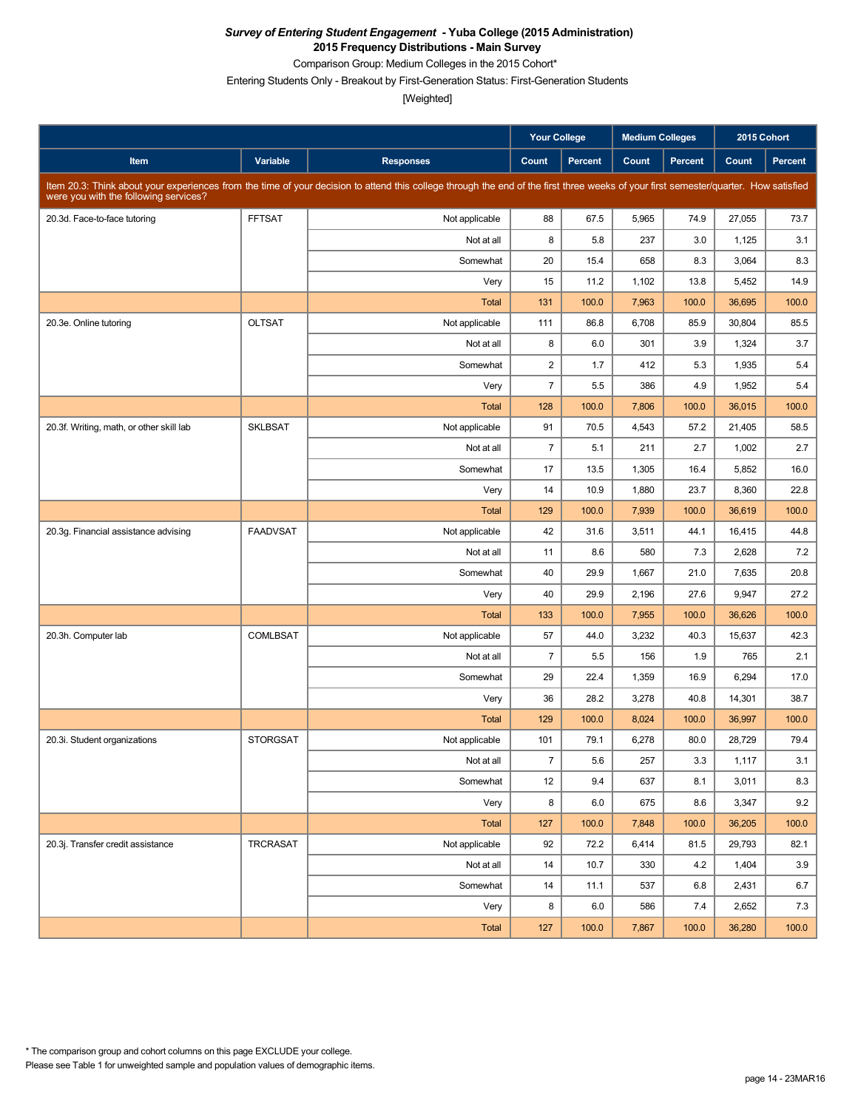Comparison Group: Medium Colleges in the 2015 Cohort\*

Entering Students Only - Breakout by First-Generation Status: First-Generation Students

|                                          |                 |                                                                                                                                                                                      | <b>Your College</b> |                | <b>Medium Colleges</b> |         |        | 2015 Cohort |
|------------------------------------------|-----------------|--------------------------------------------------------------------------------------------------------------------------------------------------------------------------------------|---------------------|----------------|------------------------|---------|--------|-------------|
| Item                                     | Variable        | <b>Responses</b>                                                                                                                                                                     | Count               | <b>Percent</b> | Count                  | Percent | Count  | Percent     |
| were you with the following services?    |                 | Item 20.3: Think about your experiences from the time of your decision to attend this college through the end of the first three weeks of your first semester/quarter. How satisfied |                     |                |                        |         |        |             |
| 20.3d. Face-to-face tutoring             | <b>FFTSAT</b>   | Not applicable                                                                                                                                                                       | 88                  | 67.5           | 5,965                  | 74.9    | 27,055 | 73.7        |
|                                          |                 | Not at all                                                                                                                                                                           | 8                   | 5.8            | 237                    | 3.0     | 1,125  | 3.1         |
|                                          |                 | Somewhat                                                                                                                                                                             | 20                  | 15.4           | 658                    | 8.3     | 3,064  | 8.3         |
|                                          |                 | Very                                                                                                                                                                                 | 15                  | 11.2           | 1,102                  | 13.8    | 5,452  | 14.9        |
|                                          |                 | <b>Total</b>                                                                                                                                                                         | 131                 | 100.0          | 7,963                  | 100.0   | 36,695 | 100.0       |
| 20.3e. Online tutoring                   | <b>OLTSAT</b>   | Not applicable                                                                                                                                                                       | 111                 | 86.8           | 6,708                  | 85.9    | 30,804 | 85.5        |
|                                          |                 | Not at all                                                                                                                                                                           | 8                   | 6.0            | 301                    | 3.9     | 1,324  | 3.7         |
|                                          |                 | Somewhat                                                                                                                                                                             | $\overline{c}$      | 1.7            | 412                    | 5.3     | 1,935  | 5.4         |
|                                          |                 | Very                                                                                                                                                                                 | $\overline{7}$      | 5.5            | 386                    | 4.9     | 1,952  | 5.4         |
|                                          |                 | <b>Total</b>                                                                                                                                                                         | 128                 | 100.0          | 7,806                  | 100.0   | 36,015 | 100.0       |
| 20.3f. Writing, math, or other skill lab | <b>SKLBSAT</b>  | Not applicable                                                                                                                                                                       | 91                  | 70.5           | 4,543                  | 57.2    | 21,405 | 58.5        |
|                                          |                 | Not at all                                                                                                                                                                           | $\overline{7}$      | 5.1            | 211                    | 2.7     | 1,002  | 2.7         |
|                                          |                 | Somewhat                                                                                                                                                                             | 17                  | 13.5           | 1,305                  | 16.4    | 5,852  | 16.0        |
|                                          |                 | Very                                                                                                                                                                                 | 14                  | 10.9           | 1,880                  | 23.7    | 8,360  | 22.8        |
|                                          |                 | <b>Total</b>                                                                                                                                                                         | 129                 | 100.0          | 7,939                  | 100.0   | 36,619 | 100.0       |
| 20.3g. Financial assistance advising     | <b>FAADVSAT</b> | Not applicable                                                                                                                                                                       | 42                  | 31.6           | 3,511                  | 44.1    | 16,415 | 44.8        |
|                                          |                 | Not at all                                                                                                                                                                           | 11                  | 8.6            | 580                    | 7.3     | 2,628  | 7.2         |
|                                          |                 | Somewhat                                                                                                                                                                             | 40                  | 29.9           | 1,667                  | 21.0    | 7,635  | 20.8        |
|                                          |                 | Very                                                                                                                                                                                 | 40                  | 29.9           | 2,196                  | 27.6    | 9,947  | 27.2        |
|                                          |                 | <b>Total</b>                                                                                                                                                                         | 133                 | 100.0          | 7,955                  | 100.0   | 36,626 | 100.0       |
| 20.3h. Computer lab                      | COMLBSAT        | Not applicable                                                                                                                                                                       | 57                  | 44.0           | 3,232                  | 40.3    | 15,637 | 42.3        |
|                                          |                 | Not at all                                                                                                                                                                           | $\overline{7}$      | 5.5            | 156                    | 1.9     | 765    | 2.1         |
|                                          |                 | Somewhat                                                                                                                                                                             | 29                  | 22.4           | 1,359                  | 16.9    | 6,294  | 17.0        |
|                                          |                 | Very                                                                                                                                                                                 | 36                  | 28.2           | 3,278                  | 40.8    | 14,301 | 38.7        |
|                                          |                 | <b>Total</b>                                                                                                                                                                         | 129                 | 100.0          | 8,024                  | 100.0   | 36,997 | 100.0       |
| 20.3i. Student organizations             | <b>STORGSAT</b> | Not applicable                                                                                                                                                                       | 101                 | 79.1           | 6,278                  | 80.0    | 28,729 | 79.4        |
|                                          |                 | Not at all                                                                                                                                                                           | $\overline{7}$      | 5.6            | 257                    | 3.3     | 1,117  | 3.1         |
|                                          |                 | Somewhat                                                                                                                                                                             | 12                  | 9.4            | 637                    | 8.1     | 3,011  | 8.3         |
|                                          |                 | Very                                                                                                                                                                                 | 8                   | 6.0            | 675                    | 8.6     | 3,347  | 9.2         |
|                                          |                 | Total                                                                                                                                                                                | 127                 | 100.0          | 7,848                  | 100.0   | 36,205 | 100.0       |
| 20.3j. Transfer credit assistance        | TRCRASAT        | Not applicable                                                                                                                                                                       | 92                  | 72.2           | 6,414                  | 81.5    | 29,793 | 82.1        |
|                                          |                 | Not at all                                                                                                                                                                           | 14                  | 10.7           | 330                    | 4.2     | 1,404  | 3.9         |
|                                          |                 | Somewhat                                                                                                                                                                             | 14                  | 11.1           | 537                    | 6.8     | 2,431  | 6.7         |
|                                          |                 | Very                                                                                                                                                                                 | 8                   | 6.0            | 586                    | 7.4     | 2,652  | 7.3         |
|                                          |                 | Total                                                                                                                                                                                | 127                 | 100.0          | 7,867                  | 100.0   | 36,280 | 100.0       |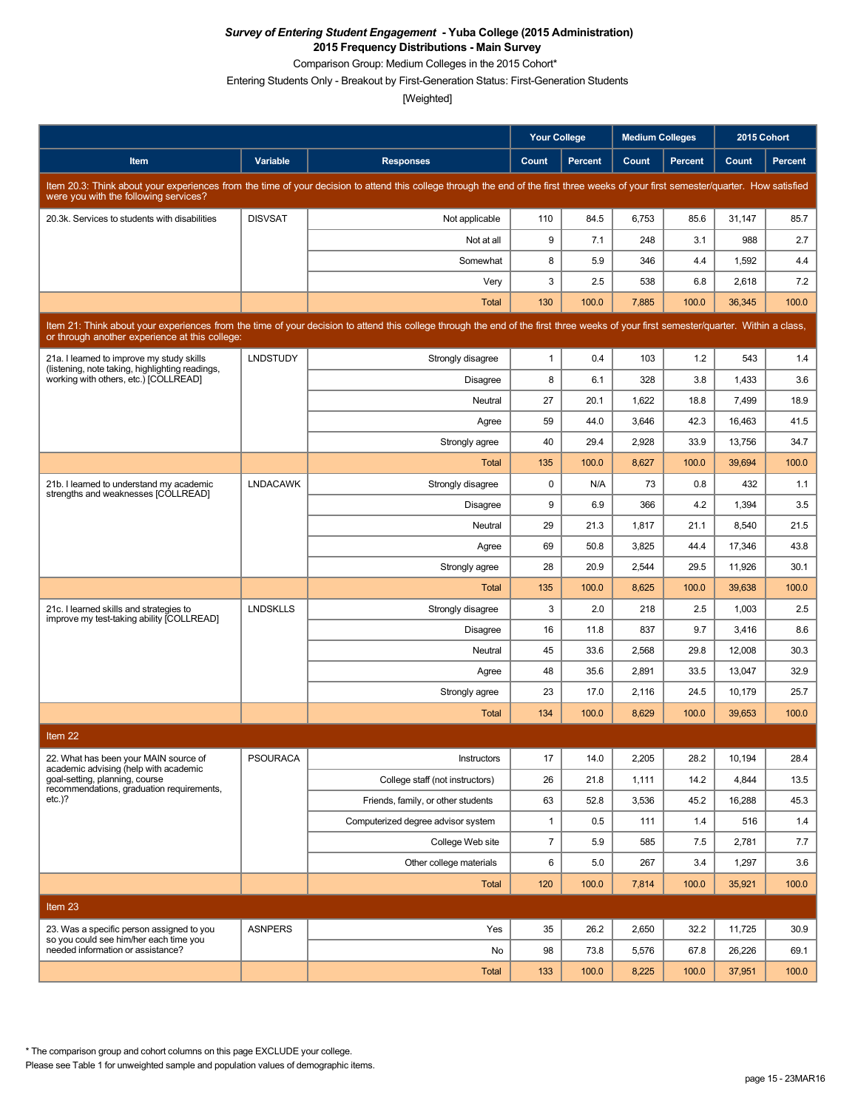Comparison Group: Medium Colleges in the 2015 Cohort\*

Entering Students Only - Breakout by First-Generation Status: First-Generation Students

[Weighted]

|                                                                                              |                 |                                                                                                                                                                                      | <b>Your College</b> |                | <b>Medium Colleges</b> |                |        | 2015 Cohort    |
|----------------------------------------------------------------------------------------------|-----------------|--------------------------------------------------------------------------------------------------------------------------------------------------------------------------------------|---------------------|----------------|------------------------|----------------|--------|----------------|
| <b>Item</b>                                                                                  | Variable        | <b>Responses</b>                                                                                                                                                                     | Count               | <b>Percent</b> | Count                  | <b>Percent</b> | Count  | <b>Percent</b> |
| were you with the following services?                                                        |                 | Item 20.3: Think about your experiences from the time of your decision to attend this college through the end of the first three weeks of your first semester/quarter. How satisfied |                     |                |                        |                |        |                |
| 20.3k. Services to students with disabilities                                                | <b>DISVSAT</b>  | Not applicable                                                                                                                                                                       | 110                 | 84.5           | 6,753                  | 85.6           | 31,147 | 85.7           |
|                                                                                              |                 | Not at all                                                                                                                                                                           | 9                   | 7.1            | 248                    | 3.1            | 988    | 2.7            |
|                                                                                              |                 | Somewhat                                                                                                                                                                             | 8                   | 5.9            | 346                    | 4.4            | 1,592  | 4.4            |
|                                                                                              |                 | Very                                                                                                                                                                                 | 3                   | 2.5            | 538                    | 6.8            | 2,618  | 7.2            |
|                                                                                              |                 | Total                                                                                                                                                                                | 130                 | 100.0          | 7,885                  | 100.0          | 36,345 | 100.0          |
| or through another experience at this college:                                               |                 | Item 21: Think about your experiences from the time of your decision to attend this college through the end of the first three weeks of your first semester/quarter. Within a class, |                     |                |                        |                |        |                |
| 21a. I learned to improve my study skills<br>(listening, note taking, highlighting readings, | <b>LNDSTUDY</b> | Strongly disagree                                                                                                                                                                    | $\mathbf{1}$        | 0.4            | 103                    | 1.2            | 543    | 1.4            |
| working with others, etc.) [COLLREAD]                                                        |                 | Disagree                                                                                                                                                                             | 8                   | 6.1            | 328                    | 3.8            | 1,433  | 3.6            |
|                                                                                              |                 | Neutral                                                                                                                                                                              | 27                  | 20.1           | 1,622                  | 18.8           | 7,499  | 18.9           |
|                                                                                              |                 | Agree                                                                                                                                                                                | 59                  | 44.0           | 3,646                  | 42.3           | 16,463 | 41.5           |
|                                                                                              |                 | Strongly agree                                                                                                                                                                       | 40                  | 29.4           | 2,928                  | 33.9           | 13,756 | 34.7           |
|                                                                                              |                 | Total                                                                                                                                                                                | 135                 | 100.0          | 8,627                  | 100.0          | 39,694 | 100.0          |
| 21b. I learned to understand my academic<br>strengths and weaknesses [COLLREAD]              | <b>LNDACAWK</b> | Strongly disagree                                                                                                                                                                    | 0                   | N/A            | 73                     | 0.8            | 432    | 1.1            |
|                                                                                              |                 | Disagree                                                                                                                                                                             | 9                   | 6.9            | 366                    | 4.2            | 1,394  | 3.5            |
|                                                                                              |                 | Neutral                                                                                                                                                                              | 29                  | 21.3           | 1,817                  | 21.1           | 8,540  | 21.5           |
|                                                                                              |                 | Agree                                                                                                                                                                                | 69                  | 50.8           | 3,825                  | 44.4           | 17,346 | 43.8           |
|                                                                                              |                 | Strongly agree                                                                                                                                                                       | 28                  | 20.9           | 2,544                  | 29.5           | 11,926 | 30.1           |
|                                                                                              |                 | Total                                                                                                                                                                                | 135                 | 100.0          | 8,625                  | 100.0          | 39,638 | 100.0          |
| 21c. I learned skills and strategies to<br>improve my test-taking ability [COLLREAD]         | <b>LNDSKLLS</b> | Strongly disagree                                                                                                                                                                    | 3                   | 2.0            | 218                    | 2.5            | 1,003  | 2.5            |
|                                                                                              |                 | <b>Disagree</b>                                                                                                                                                                      | 16                  | 11.8           | 837                    | 9.7            | 3,416  | 8.6            |
|                                                                                              |                 | Neutral                                                                                                                                                                              | 45                  | 33.6           | 2,568                  | 29.8           | 12,008 | 30.3           |
|                                                                                              |                 | Agree                                                                                                                                                                                | 48                  | 35.6           | 2,891                  | 33.5           | 13,047 | 32.9           |
|                                                                                              |                 | Strongly agree                                                                                                                                                                       | 23                  | 17.0           | 2,116                  | 24.5           | 10,179 | 25.7           |
|                                                                                              |                 | Total                                                                                                                                                                                | 134                 | 100.0          | 8,629                  | 100.0          | 39,653 | 100.0          |
| Item 22                                                                                      |                 |                                                                                                                                                                                      |                     |                |                        |                |        |                |
| 22. What has been your MAIN source of<br>academic advising (help with academic               | <b>PSOURACA</b> | Instructors                                                                                                                                                                          | 17                  | 14.0           | 2,205                  | 28.2           | 10,194 | 28.4           |
| goal-setting, planning, course<br>recommendations, graduation requirements,                  |                 | College staff (not instructors)                                                                                                                                                      | 26                  | 21.8           | 1,111                  | 14.2           | 4,844  | 13.5           |
| $etc.$ )?                                                                                    |                 | Friends, family, or other students                                                                                                                                                   | 63                  | 52.8           | 3,536                  | 45.2           | 16,288 | 45.3           |
|                                                                                              |                 | Computerized degree advisor system                                                                                                                                                   | $\mathbf{1}$        | 0.5            | 111                    | 1.4            | 516    | 1.4            |
|                                                                                              |                 | College Web site                                                                                                                                                                     | $\overline{7}$      | 5.9            | 585                    | 7.5            | 2,781  | 7.7            |
|                                                                                              |                 | Other college materials                                                                                                                                                              | 6                   | 5.0            | 267                    | 3.4            | 1,297  | 3.6            |
|                                                                                              |                 | Total                                                                                                                                                                                | 120                 | 100.0          | 7,814                  | 100.0          | 35,921 | 100.0          |
| Item 23                                                                                      |                 |                                                                                                                                                                                      |                     |                |                        |                |        |                |
| 23. Was a specific person assigned to you                                                    | <b>ASNPERS</b>  | Yes                                                                                                                                                                                  | 35                  | 26.2           | 2,650                  | 32.2           | 11,725 | 30.9           |
| so you could see him/her each time you<br>needed information or assistance?                  |                 | No                                                                                                                                                                                   | 98                  | 73.8           | 5,576                  | 67.8           | 26,226 | 69.1           |
|                                                                                              |                 | Total                                                                                                                                                                                | 133                 | 100.0          | 8,225                  | 100.0          | 37,951 | 100.0          |

\* The comparison group and cohort columns on this page EXCLUDE your college.

Please see Table 1 for unweighted sample and population values of demographic items.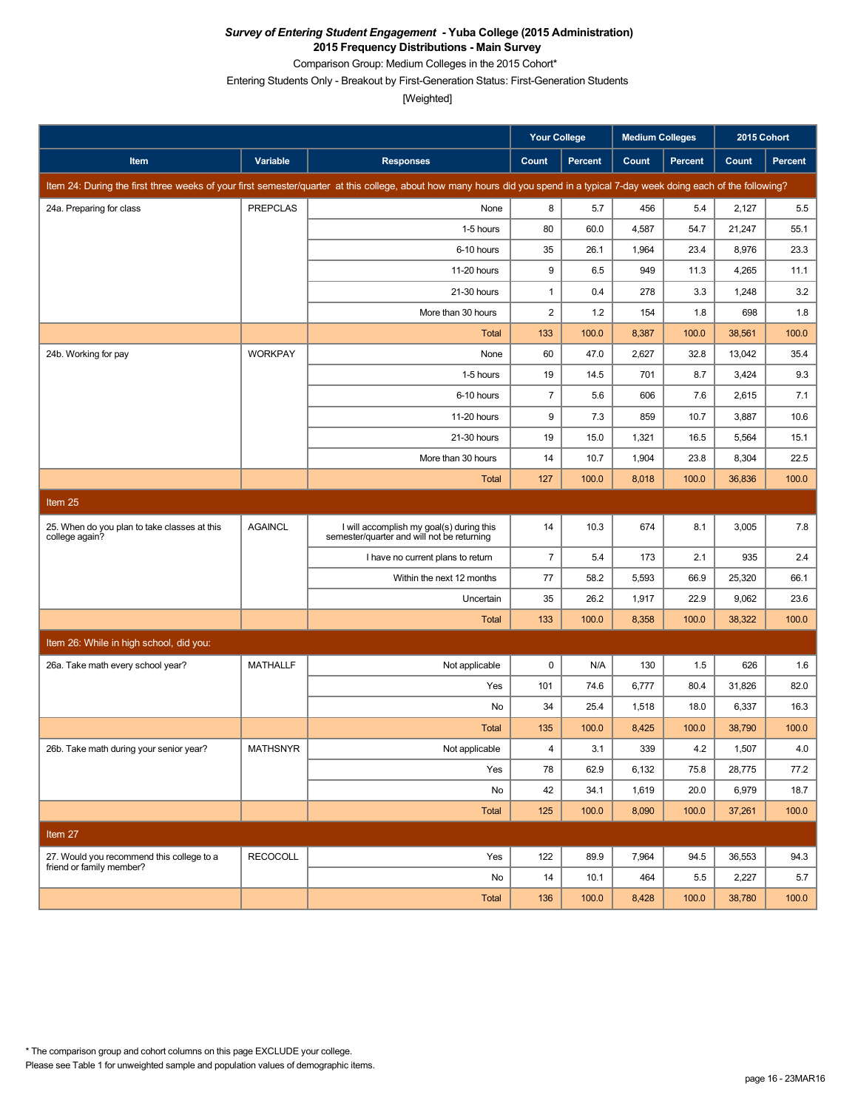Comparison Group: Medium Colleges in the 2015 Cohort\*

Entering Students Only - Breakout by First-Generation Status: First-Generation Students

|                                                                |                 |                                                                                                                                                                               | <b>Your College</b> |         | <b>Medium Colleges</b> |         | 2015 Cohort |         |
|----------------------------------------------------------------|-----------------|-------------------------------------------------------------------------------------------------------------------------------------------------------------------------------|---------------------|---------|------------------------|---------|-------------|---------|
| Item                                                           | Variable        | <b>Responses</b>                                                                                                                                                              | Count               | Percent | Count                  | Percent | Count       | Percent |
|                                                                |                 | Item 24: During the first three weeks of your first semester/quarter at this college, about how many hours did you spend in a typical 7-day week doing each of the following? |                     |         |                        |         |             |         |
| 24a. Preparing for class                                       | <b>PREPCLAS</b> | None                                                                                                                                                                          | 8                   | 5.7     | 456                    | 5.4     | 2,127       | 5.5     |
|                                                                |                 | 1-5 hours                                                                                                                                                                     | 80                  | 60.0    | 4,587                  | 54.7    | 21,247      | 55.1    |
|                                                                |                 | 6-10 hours                                                                                                                                                                    | 35                  | 26.1    | 1,964                  | 23.4    | 8,976       | 23.3    |
|                                                                |                 | 11-20 hours                                                                                                                                                                   | 9                   | 6.5     | 949                    | 11.3    | 4,265       | 11.1    |
|                                                                |                 | 21-30 hours                                                                                                                                                                   | $\mathbf{1}$        | 0.4     | 278                    | 3.3     | 1,248       | 3.2     |
|                                                                |                 | More than 30 hours                                                                                                                                                            | $\overline{2}$      | 1.2     | 154                    | 1.8     | 698         | 1.8     |
|                                                                |                 | Total                                                                                                                                                                         | 133                 | 100.0   | 8,387                  | 100.0   | 38,561      | 100.0   |
| 24b. Working for pay                                           | <b>WORKPAY</b>  | None                                                                                                                                                                          | 60                  | 47.0    | 2,627                  | 32.8    | 13,042      | 35.4    |
|                                                                |                 | 1-5 hours                                                                                                                                                                     | 19                  | 14.5    | 701                    | 8.7     | 3,424       | 9.3     |
|                                                                |                 | 6-10 hours                                                                                                                                                                    | $\overline{7}$      | 5.6     | 606                    | 7.6     | 2,615       | 7.1     |
|                                                                |                 | 11-20 hours                                                                                                                                                                   | 9                   | 7.3     | 859                    | 10.7    | 3,887       | 10.6    |
|                                                                |                 | 21-30 hours                                                                                                                                                                   | 19                  | 15.0    | 1,321                  | 16.5    | 5,564       | 15.1    |
|                                                                |                 | More than 30 hours                                                                                                                                                            | 14                  | 10.7    | 1,904                  | 23.8    | 8,304       | 22.5    |
|                                                                |                 | <b>Total</b>                                                                                                                                                                  | 127                 | 100.0   | 8,018                  | 100.0   | 36,836      | 100.0   |
| Item 25                                                        |                 |                                                                                                                                                                               |                     |         |                        |         |             |         |
| 25. When do you plan to take classes at this<br>college again? | <b>AGAINCL</b>  | I will accomplish my goal(s) during this<br>semester/quarter and will not be returning                                                                                        | 14                  | 10.3    | 674                    | 8.1     | 3,005       | 7.8     |
|                                                                |                 | I have no current plans to return                                                                                                                                             | $\overline{7}$      | 5.4     | 173                    | 2.1     | 935         | 2.4     |
|                                                                |                 | Within the next 12 months                                                                                                                                                     | 77                  | 58.2    | 5,593                  | 66.9    | 25,320      | 66.1    |
|                                                                |                 | Uncertain                                                                                                                                                                     | 35                  | 26.2    | 1,917                  | 22.9    | 9,062       | 23.6    |
|                                                                |                 | <b>Total</b>                                                                                                                                                                  | 133                 | 100.0   | 8,358                  | 100.0   | 38,322      | 100.0   |
| Item 26: While in high school, did you:                        |                 |                                                                                                                                                                               |                     |         |                        |         |             |         |
| 26a. Take math every school year?                              | <b>MATHALLF</b> | Not applicable                                                                                                                                                                | $\pmb{0}$           | N/A     | 130                    | 1.5     | 626         | 1.6     |
|                                                                |                 | Yes                                                                                                                                                                           | 101                 | 74.6    | 6,777                  | 80.4    | 31,826      | 82.0    |
|                                                                |                 | No                                                                                                                                                                            | 34                  | 25.4    | 1,518                  | 18.0    | 6,337       | 16.3    |
|                                                                |                 | <b>Total</b>                                                                                                                                                                  | 135                 | 100.0   | 8,425                  | 100.0   | 38,790      | 100.0   |
| 26b. Take math during your senior year?                        | <b>MATHSNYR</b> | Not applicable                                                                                                                                                                | $\overline{4}$      | 3.1     | 339                    | 4.2     | 1,507       | 4.0     |
|                                                                |                 | Yes                                                                                                                                                                           | 78                  | 62.9    | 6,132                  | 75.8    | 28,775      | 77.2    |
|                                                                |                 | No                                                                                                                                                                            | 42                  | 34.1    | 1,619                  | 20.0    | 6,979       | 18.7    |
|                                                                |                 | Total                                                                                                                                                                         | 125                 | 100.0   | 8,090                  | 100.0   | 37,261      | 100.0   |
| Item 27                                                        |                 |                                                                                                                                                                               |                     |         |                        |         |             |         |
| 27. Would you recommend this college to a                      | <b>RECOCOLL</b> | Yes                                                                                                                                                                           | 122                 | 89.9    | 7,964                  | 94.5    | 36,553      | 94.3    |
| friend or family member?                                       |                 | No                                                                                                                                                                            | 14                  | 10.1    | 464                    | 5.5     | 2,227       | 5.7     |
|                                                                |                 | Total                                                                                                                                                                         | 136                 | 100.0   | 8,428                  | 100.0   | 38,780      | 100.0   |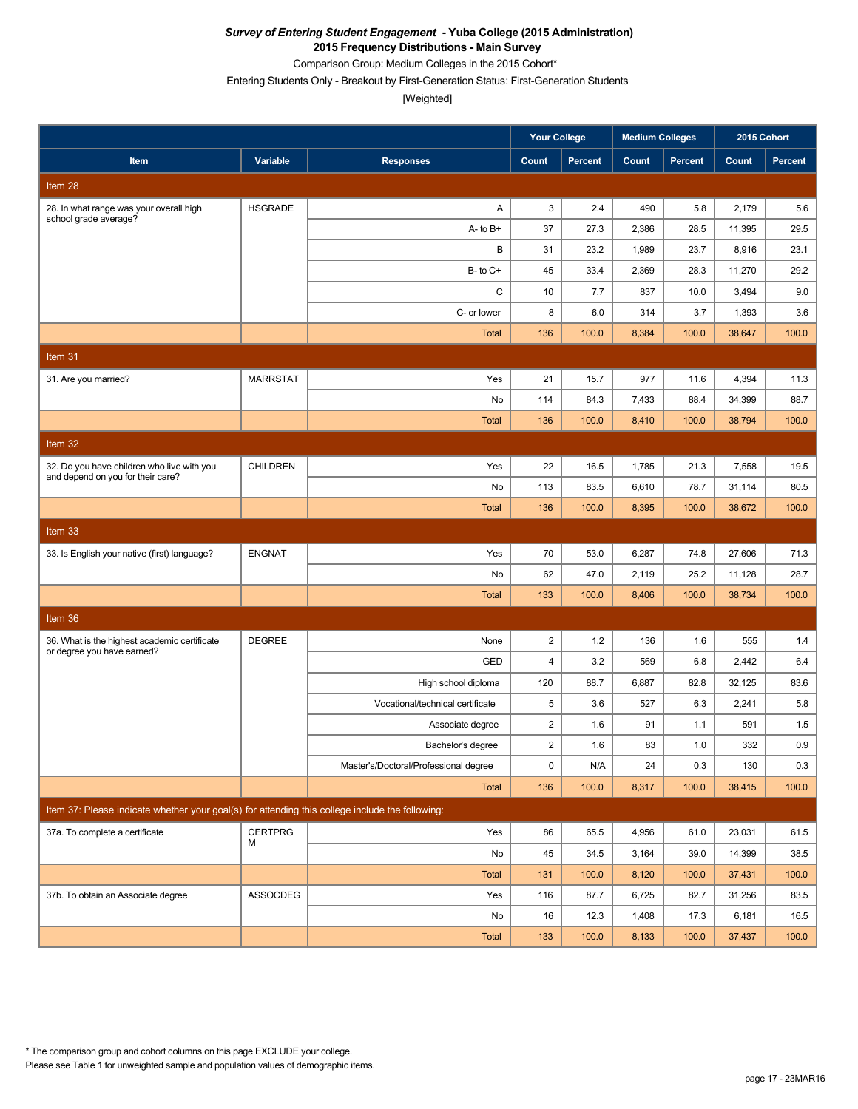Comparison Group: Medium Colleges in the 2015 Cohort\*

Entering Students Only - Breakout by First-Generation Status: First-Generation Students

|                                                                                                 |                 |                                       | <b>Your College</b> |                | <b>Medium Colleges</b> |                | 2015 Cohort |                |
|-------------------------------------------------------------------------------------------------|-----------------|---------------------------------------|---------------------|----------------|------------------------|----------------|-------------|----------------|
| Item                                                                                            | Variable        | <b>Responses</b>                      | Count               | <b>Percent</b> | Count                  | <b>Percent</b> | Count       | <b>Percent</b> |
| Item 28                                                                                         |                 |                                       |                     |                |                        |                |             |                |
| 28. In what range was your overall high<br>school grade average?                                | <b>HSGRADE</b>  | Α                                     | 3                   | 2.4            | 490                    | 5.8            | 2,179       | 5.6            |
|                                                                                                 |                 | $A - to B +$                          | 37                  | 27.3           | 2,386                  | 28.5           | 11,395      | 29.5           |
|                                                                                                 |                 | В                                     | 31                  | 23.2           | 1,989                  | 23.7           | 8,916       | 23.1           |
|                                                                                                 |                 | $B$ - to $C$ +                        | 45                  | 33.4           | 2,369                  | 28.3           | 11,270      | 29.2           |
|                                                                                                 |                 | C                                     | 10                  | 7.7            | 837                    | 10.0           | 3,494       | 9.0            |
|                                                                                                 |                 | C- or lower                           | 8                   | 6.0            | 314                    | 3.7            | 1,393       | 3.6            |
|                                                                                                 |                 | <b>Total</b>                          | 136                 | 100.0          | 8,384                  | 100.0          | 38,647      | 100.0          |
| Item 31                                                                                         |                 |                                       |                     |                |                        |                |             |                |
| 31. Are you married?                                                                            | <b>MARRSTAT</b> | Yes                                   | 21                  | 15.7           | 977                    | 11.6           | 4,394       | 11.3           |
|                                                                                                 |                 | No                                    | 114                 | 84.3           | 7,433                  | 88.4           | 34,399      | 88.7           |
|                                                                                                 |                 | <b>Total</b>                          | 136                 | 100.0          | 8,410                  | 100.0          | 38,794      | 100.0          |
| Item 32                                                                                         |                 |                                       |                     |                |                        |                |             |                |
| 32. Do you have children who live with you                                                      | <b>CHILDREN</b> | Yes                                   | 22                  | 16.5           | 1,785                  | 21.3           | 7,558       | 19.5           |
| and depend on you for their care?                                                               |                 | No                                    | 113                 | 83.5           | 6,610                  | 78.7           | 31,114      | 80.5           |
|                                                                                                 |                 | <b>Total</b>                          | 136                 | 100.0          | 8,395                  | 100.0          | 38,672      | 100.0          |
| Item <sub>33</sub>                                                                              |                 |                                       |                     |                |                        |                |             |                |
| 33. Is English your native (first) language?                                                    | <b>ENGNAT</b>   | Yes                                   | 70                  | 53.0           | 6,287                  | 74.8           | 27,606      | 71.3           |
|                                                                                                 |                 | No                                    | 62                  | 47.0           | 2,119                  | 25.2           | 11,128      | 28.7           |
|                                                                                                 |                 | <b>Total</b>                          | 133                 | 100.0          | 8,406                  | 100.0          | 38,734      | 100.0          |
| Item 36                                                                                         |                 |                                       |                     |                |                        |                |             |                |
| 36. What is the highest academic certificate                                                    | <b>DEGREE</b>   | None                                  | $\overline{c}$      | 1.2            | 136                    | 1.6            | 555         | 1.4            |
| or degree you have earned?                                                                      |                 | GED                                   | $\overline{4}$      | 3.2            | 569                    | 6.8            | 2,442       | 6.4            |
|                                                                                                 |                 | High school diploma                   | 120                 | 88.7           | 6,887                  | 82.8           | 32,125      | 83.6           |
|                                                                                                 |                 | Vocational/technical certificate      | 5                   | 3.6            | 527                    | 6.3            | 2,241       | 5.8            |
|                                                                                                 |                 | Associate degree                      | $\overline{c}$      | 1.6            | 91                     | 1.1            | 591         | 1.5            |
|                                                                                                 |                 | Bachelor's degree                     | $\overline{2}$      | 1.6            | 83                     | 1.0            | 332         | 0.9            |
|                                                                                                 |                 | Master's/Doctoral/Professional degree | 0                   | N/A            | 24                     | 0.3            | 130         | 0.3            |
|                                                                                                 |                 | Total                                 | 136                 | 100.0          | 8,317                  | 100.0          | 38,415      | 100.0          |
| Item 37: Please indicate whether your goal(s) for attending this college include the following: |                 |                                       |                     |                |                        |                |             |                |
| 37a. To complete a certificate                                                                  | <b>CERTPRG</b>  | Yes                                   | 86                  | 65.5           | 4,956                  | 61.0           | 23,031      | 61.5           |
|                                                                                                 | м               | No                                    | 45                  | 34.5           | 3,164                  | 39.0           | 14,399      | 38.5           |
|                                                                                                 |                 | Total                                 | 131                 | 100.0          | 8,120                  | 100.0          | 37,431      | 100.0          |
| 37b. To obtain an Associate degree                                                              | <b>ASSOCDEG</b> | Yes                                   | 116                 | 87.7           | 6,725                  | 82.7           | 31,256      | 83.5           |
|                                                                                                 |                 | No                                    | 16                  | 12.3           | 1,408                  | 17.3           | 6,181       | 16.5           |
|                                                                                                 |                 | Total                                 | 133                 | 100.0          | 8,133                  | 100.0          | 37,437      | 100.0          |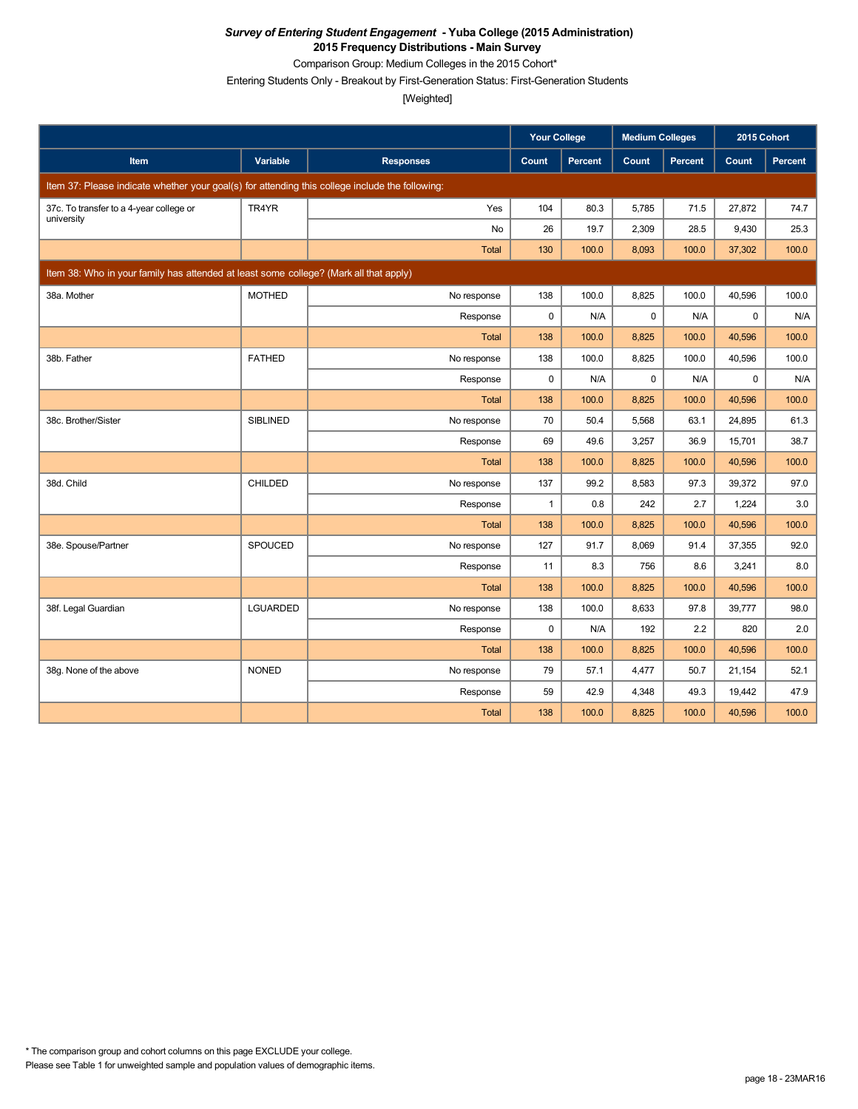Comparison Group: Medium Colleges in the 2015 Cohort\*

Entering Students Only - Breakout by First-Generation Status: First-Generation Students

[Weighted]

|                                                                                                 |                 |                  | <b>Your College</b> |                | <b>Medium Colleges</b> |         | 2015 Cohort |         |
|-------------------------------------------------------------------------------------------------|-----------------|------------------|---------------------|----------------|------------------------|---------|-------------|---------|
| Item                                                                                            | Variable        | <b>Responses</b> | Count               | <b>Percent</b> | Count                  | Percent | Count       | Percent |
| Item 37: Please indicate whether your goal(s) for attending this college include the following: |                 |                  |                     |                |                        |         |             |         |
| 37c. To transfer to a 4-year college or                                                         | TR4YR           | Yes              | 104                 | 80.3           | 5,785                  | 71.5    | 27,872      | 74.7    |
| university                                                                                      |                 | <b>No</b>        | 26                  | 19.7           | 2,309                  | 28.5    | 9,430       | 25.3    |
|                                                                                                 |                 | <b>Total</b>     | 130                 | 100.0          | 8,093                  | 100.0   | 37,302      | 100.0   |
| Item 38: Who in your family has attended at least some college? (Mark all that apply)           |                 |                  |                     |                |                        |         |             |         |
| 38a. Mother                                                                                     | <b>MOTHED</b>   | No response      | 138                 | 100.0          | 8,825                  | 100.0   | 40,596      | 100.0   |
|                                                                                                 |                 | Response         | 0                   | N/A            | 0                      | N/A     | $\mathbf 0$ | N/A     |
|                                                                                                 |                 | Total            | 138                 | 100.0          | 8,825                  | 100.0   | 40,596      | 100.0   |
| 38b. Father                                                                                     | <b>FATHED</b>   | No response      | 138                 | 100.0          | 8,825                  | 100.0   | 40,596      | 100.0   |
|                                                                                                 |                 | Response         | 0                   | N/A            | $\mathbf 0$            | N/A     | $\mathbf 0$ | N/A     |
|                                                                                                 |                 | Total            | 138                 | 100.0          | 8,825                  | 100.0   | 40,596      | 100.0   |
| 38c. Brother/Sister                                                                             | <b>SIBLINED</b> | No response      | 70                  | 50.4           | 5.568                  | 63.1    | 24,895      | 61.3    |
|                                                                                                 |                 | Response         | 69                  | 49.6           | 3,257                  | 36.9    | 15,701      | 38.7    |
|                                                                                                 |                 | Total            | 138                 | 100.0          | 8,825                  | 100.0   | 40,596      | 100.0   |
| 38d. Child                                                                                      | CHILDED         | No response      | 137                 | 99.2           | 8,583                  | 97.3    | 39,372      | 97.0    |
|                                                                                                 |                 | Response         | $\mathbf{1}$        | 0.8            | 242                    | 2.7     | 1,224       | 3.0     |
|                                                                                                 |                 | <b>Total</b>     | 138                 | 100.0          | 8,825                  | 100.0   | 40,596      | 100.0   |
| 38e. Spouse/Partner                                                                             | <b>SPOUCED</b>  | No response      | 127                 | 91.7           | 8,069                  | 91.4    | 37,355      | 92.0    |
|                                                                                                 |                 | Response         | 11                  | 8.3            | 756                    | 8.6     | 3,241       | 8.0     |
|                                                                                                 |                 | <b>Total</b>     | 138                 | 100.0          | 8,825                  | 100.0   | 40,596      | 100.0   |
| 38f. Legal Guardian                                                                             | LGUARDED        | No response      | 138                 | 100.0          | 8,633                  | 97.8    | 39,777      | 98.0    |
|                                                                                                 |                 | Response         | $\mathbf 0$         | N/A            | 192                    | 2.2     | 820         | 2.0     |
|                                                                                                 |                 | Total            | 138                 | 100.0          | 8,825                  | 100.0   | 40,596      | 100.0   |
| 38g. None of the above                                                                          | <b>NONED</b>    | No response      | 79                  | 57.1           | 4,477                  | 50.7    | 21,154      | 52.1    |
|                                                                                                 |                 | Response         | 59                  | 42.9           | 4,348                  | 49.3    | 19,442      | 47.9    |
|                                                                                                 |                 | Total            | 138                 | 100.0          | 8,825                  | 100.0   | 40,596      | 100.0   |

Please see Table 1 for unweighted sample and population values of demographic items. \* The comparison group and cohort columns on this page EXCLUDE your college.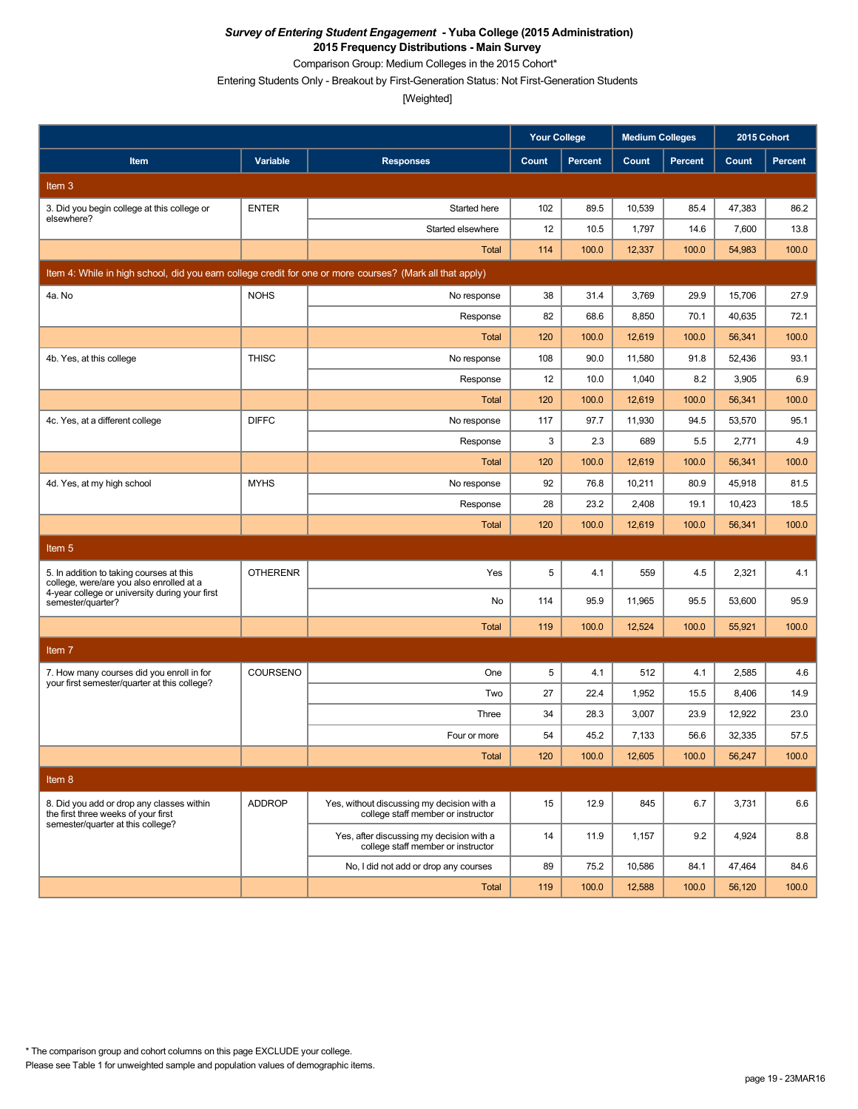Comparison Group: Medium Colleges in the 2015 Cohort\*

Entering Students Only - Breakout by First-Generation Status: Not First-Generation Students

[Weighted]

|                                                                                                          |                 |                                                                                  | <b>Your College</b> |                | <b>Medium Colleges</b> |                | 2015 Cohort |                |
|----------------------------------------------------------------------------------------------------------|-----------------|----------------------------------------------------------------------------------|---------------------|----------------|------------------------|----------------|-------------|----------------|
| Item                                                                                                     | Variable        | <b>Responses</b>                                                                 | Count               | <b>Percent</b> | Count                  | <b>Percent</b> | Count       | <b>Percent</b> |
| Item 3                                                                                                   |                 |                                                                                  |                     |                |                        |                |             |                |
| 3. Did you begin college at this college or<br>elsewhere?                                                | <b>ENTER</b>    | Started here                                                                     | 102                 | 89.5           | 10,539                 | 85.4           | 47,383      | 86.2           |
|                                                                                                          |                 | Started elsewhere                                                                | 12                  | 10.5           | 1,797                  | 14.6           | 7,600       | 13.8           |
|                                                                                                          |                 | <b>Total</b>                                                                     | 114                 | 100.0          | 12,337                 | 100.0          | 54,983      | 100.0          |
| Item 4: While in high school, did you earn college credit for one or more courses? (Mark all that apply) |                 |                                                                                  |                     |                |                        |                |             |                |
| 4a. No                                                                                                   | <b>NOHS</b>     | No response                                                                      | 38                  | 31.4           | 3,769                  | 29.9           | 15,706      | 27.9           |
|                                                                                                          |                 | Response                                                                         | 82                  | 68.6           | 8,850                  | 70.1           | 40,635      | 72.1           |
|                                                                                                          |                 | <b>Total</b>                                                                     | 120                 | 100.0          | 12,619                 | 100.0          | 56,341      | 100.0          |
| 4b. Yes, at this college                                                                                 | <b>THISC</b>    | No response                                                                      | 108                 | 90.0           | 11,580                 | 91.8           | 52,436      | 93.1           |
|                                                                                                          |                 | Response                                                                         | 12                  | 10.0           | 1,040                  | 8.2            | 3,905       | 6.9            |
|                                                                                                          |                 | <b>Total</b>                                                                     | 120                 | 100.0          | 12,619                 | 100.0          | 56,341      | 100.0          |
| 4c. Yes, at a different college                                                                          | <b>DIFFC</b>    | No response                                                                      | 117                 | 97.7           | 11,930                 | 94.5           | 53,570      | 95.1           |
|                                                                                                          |                 | Response                                                                         | 3                   | 2.3            | 689                    | 5.5            | 2,771       | 4.9            |
|                                                                                                          |                 | Total                                                                            | 120                 | 100.0          | 12,619                 | 100.0          | 56,341      | 100.0          |
| 4d. Yes, at my high school                                                                               | <b>MYHS</b>     | No response                                                                      | 92                  | 76.8           | 10,211                 | 80.9           | 45,918      | 81.5           |
|                                                                                                          |                 | Response                                                                         | 28                  | 23.2           | 2,408                  | 19.1           | 10,423      | 18.5           |
|                                                                                                          |                 | Total                                                                            | 120                 | 100.0          | 12,619                 | 100.0          | 56,341      | 100.0          |
| Item <sub>5</sub>                                                                                        |                 |                                                                                  |                     |                |                        |                |             |                |
| 5. In addition to taking courses at this<br>college, were/are you also enrolled at a                     | <b>OTHERENR</b> | Yes                                                                              | 5                   | 4.1            | 559                    | 4.5            | 2,321       | 4.1            |
| 4-year college or university during your first<br>semester/quarter?                                      |                 | No                                                                               | 114                 | 95.9           | 11,965                 | 95.5           | 53,600      | 95.9           |
|                                                                                                          |                 | <b>Total</b>                                                                     | 119                 | 100.0          | 12,524                 | 100.0          | 55,921      | 100.0          |
| Item 7                                                                                                   |                 |                                                                                  |                     |                |                        |                |             |                |
| 7. How many courses did you enroll in for                                                                | COURSENO        | One                                                                              | 5                   | 4.1            | 512                    | 4.1            | 2,585       | 4.6            |
| your first semester/quarter at this college?                                                             |                 | Two                                                                              | 27                  | 22.4           | 1,952                  | 15.5           | 8,406       | 14.9           |
|                                                                                                          |                 | Three                                                                            | 34                  | 28.3           | 3,007                  | 23.9           | 12,922      | 23.0           |
|                                                                                                          |                 | Four or more                                                                     | 54                  | 45.2           | 7,133                  | 56.6           | 32,335      | 57.5           |
|                                                                                                          |                 | <b>Total</b>                                                                     | 120                 | 100.0          | 12,605                 | 100.0          | 56,247      | 100.0          |
| Item 8                                                                                                   |                 |                                                                                  |                     |                |                        |                |             |                |
| 8. Did you add or drop any classes within<br>the first three weeks of your first                         | <b>ADDROP</b>   | Yes, without discussing my decision with a<br>college staff member or instructor | 15                  | 12.9           | 845                    | 6.7            | 3,731       | 6.6            |
| semester/quarter at this college?                                                                        |                 | Yes, after discussing my decision with a<br>college staff member or instructor   | 14                  | 11.9           | 1,157                  | 9.2            | 4,924       | 8.8            |
|                                                                                                          |                 | No, I did not add or drop any courses                                            | 89                  | 75.2           | 10,586                 | 84.1           | 47,464      | 84.6           |
|                                                                                                          |                 | Total                                                                            | 119                 | 100.0          | 12,588                 | 100.0          | 56,120      | 100.0          |

Please see Table 1 for unweighted sample and population values of demographic items. \* The comparison group and cohort columns on this page EXCLUDE your college.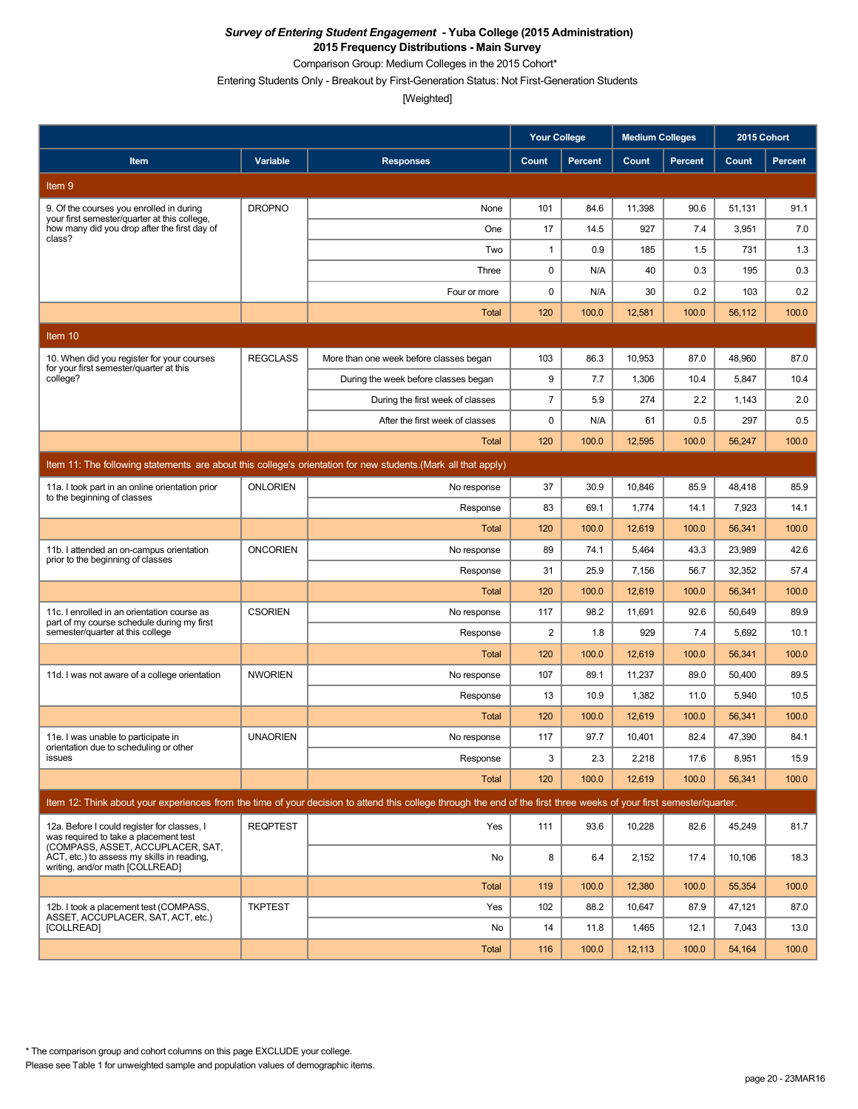Comparison Group: Medium Colleges in the 2015 Cohort\*

Entering Students Only - Breakout by First-Generation Status: Not First-Generation Students

[Weighted]

| Variable<br>Count<br><b>Percent</b><br>Count<br><b>Percent</b><br>Count<br><b>Percent</b><br>Item<br><b>Responses</b><br>Item 9<br><b>DROPNO</b><br>11,398<br>101<br>84.6<br>90.6<br>51,131<br>91.1<br>9. Of the courses you enrolled in during<br>None<br>your first semester/quarter at this college,<br>how many did you drop after the first day of<br>17<br>14.5<br>927<br>7.0<br>One<br>7.4<br>3,951<br>class?<br>0.9<br>1.3<br>Two<br>$\mathbf{1}$<br>185<br>1.5<br>731<br>Three<br>0<br>N/A<br>40<br>0.3<br>195<br>0.3<br>$\mathbf 0$<br>Four or more<br>N/A<br>30<br>0.2<br>103<br>0.2<br><b>Total</b><br>120<br>100.0<br>12,581<br>100.0<br>56,112<br>100.0<br>Item 10<br><b>REGCLASS</b><br>86.3<br>87.0<br>103<br>10,953<br>48,960<br>87.0<br>10. When did you register for your courses<br>More than one week before classes began<br>for your first semester/quarter at this<br>9<br>10.4<br>college?<br>7.7<br>1,306<br>10.4<br>5,847<br>During the week before classes began<br>$\overline{7}$<br>5.9<br>274<br>2.2<br>1,143<br>2.0<br>During the first week of classes<br>0<br>0.5<br>After the first week of classes<br>N/A<br>0.5<br>297<br>61<br>120<br>100.0<br>12,595<br>100.0<br>56,247<br>100.0<br>Total<br>Item 11: The following statements are about this college's orientation for new students. (Mark all that apply)<br><b>ONLORIEN</b><br>37<br>30.9<br>85.9<br>85.9<br>11a. I took part in an online orientation prior<br>10,846<br>48,418<br>No response<br>to the beginning of classes<br>83<br>69.1<br>1,774<br>14.1<br>7,923<br>14.1<br>Response<br><b>Total</b><br>120<br>100.0<br>12,619<br>100.0<br>56,341<br>100.0<br>11b. I attended an on-campus orientation<br><b>ONCORIEN</b><br>89<br>74.1<br>5,464<br>43.3<br>23,989<br>42.6<br>No response<br>prior to the beginning of classes<br>31<br>25.9<br>7,156<br>56.7<br>32,352<br>57.4<br>Response<br><b>Total</b><br>120<br>100.0<br>100.0<br>56,341<br>100.0<br>12,619 |
|-------------------------------------------------------------------------------------------------------------------------------------------------------------------------------------------------------------------------------------------------------------------------------------------------------------------------------------------------------------------------------------------------------------------------------------------------------------------------------------------------------------------------------------------------------------------------------------------------------------------------------------------------------------------------------------------------------------------------------------------------------------------------------------------------------------------------------------------------------------------------------------------------------------------------------------------------------------------------------------------------------------------------------------------------------------------------------------------------------------------------------------------------------------------------------------------------------------------------------------------------------------------------------------------------------------------------------------------------------------------------------------------------------------------------------------------------------------------------------------------------------------------------------------------------------------------------------------------------------------------------------------------------------------------------------------------------------------------------------------------------------------------------------------------------------------------------------------------------------------------------------------------------------------------------------------------------------------------|
|                                                                                                                                                                                                                                                                                                                                                                                                                                                                                                                                                                                                                                                                                                                                                                                                                                                                                                                                                                                                                                                                                                                                                                                                                                                                                                                                                                                                                                                                                                                                                                                                                                                                                                                                                                                                                                                                                                                                                                   |
|                                                                                                                                                                                                                                                                                                                                                                                                                                                                                                                                                                                                                                                                                                                                                                                                                                                                                                                                                                                                                                                                                                                                                                                                                                                                                                                                                                                                                                                                                                                                                                                                                                                                                                                                                                                                                                                                                                                                                                   |
|                                                                                                                                                                                                                                                                                                                                                                                                                                                                                                                                                                                                                                                                                                                                                                                                                                                                                                                                                                                                                                                                                                                                                                                                                                                                                                                                                                                                                                                                                                                                                                                                                                                                                                                                                                                                                                                                                                                                                                   |
|                                                                                                                                                                                                                                                                                                                                                                                                                                                                                                                                                                                                                                                                                                                                                                                                                                                                                                                                                                                                                                                                                                                                                                                                                                                                                                                                                                                                                                                                                                                                                                                                                                                                                                                                                                                                                                                                                                                                                                   |
|                                                                                                                                                                                                                                                                                                                                                                                                                                                                                                                                                                                                                                                                                                                                                                                                                                                                                                                                                                                                                                                                                                                                                                                                                                                                                                                                                                                                                                                                                                                                                                                                                                                                                                                                                                                                                                                                                                                                                                   |
|                                                                                                                                                                                                                                                                                                                                                                                                                                                                                                                                                                                                                                                                                                                                                                                                                                                                                                                                                                                                                                                                                                                                                                                                                                                                                                                                                                                                                                                                                                                                                                                                                                                                                                                                                                                                                                                                                                                                                                   |
|                                                                                                                                                                                                                                                                                                                                                                                                                                                                                                                                                                                                                                                                                                                                                                                                                                                                                                                                                                                                                                                                                                                                                                                                                                                                                                                                                                                                                                                                                                                                                                                                                                                                                                                                                                                                                                                                                                                                                                   |
|                                                                                                                                                                                                                                                                                                                                                                                                                                                                                                                                                                                                                                                                                                                                                                                                                                                                                                                                                                                                                                                                                                                                                                                                                                                                                                                                                                                                                                                                                                                                                                                                                                                                                                                                                                                                                                                                                                                                                                   |
|                                                                                                                                                                                                                                                                                                                                                                                                                                                                                                                                                                                                                                                                                                                                                                                                                                                                                                                                                                                                                                                                                                                                                                                                                                                                                                                                                                                                                                                                                                                                                                                                                                                                                                                                                                                                                                                                                                                                                                   |
|                                                                                                                                                                                                                                                                                                                                                                                                                                                                                                                                                                                                                                                                                                                                                                                                                                                                                                                                                                                                                                                                                                                                                                                                                                                                                                                                                                                                                                                                                                                                                                                                                                                                                                                                                                                                                                                                                                                                                                   |
|                                                                                                                                                                                                                                                                                                                                                                                                                                                                                                                                                                                                                                                                                                                                                                                                                                                                                                                                                                                                                                                                                                                                                                                                                                                                                                                                                                                                                                                                                                                                                                                                                                                                                                                                                                                                                                                                                                                                                                   |
|                                                                                                                                                                                                                                                                                                                                                                                                                                                                                                                                                                                                                                                                                                                                                                                                                                                                                                                                                                                                                                                                                                                                                                                                                                                                                                                                                                                                                                                                                                                                                                                                                                                                                                                                                                                                                                                                                                                                                                   |
|                                                                                                                                                                                                                                                                                                                                                                                                                                                                                                                                                                                                                                                                                                                                                                                                                                                                                                                                                                                                                                                                                                                                                                                                                                                                                                                                                                                                                                                                                                                                                                                                                                                                                                                                                                                                                                                                                                                                                                   |
|                                                                                                                                                                                                                                                                                                                                                                                                                                                                                                                                                                                                                                                                                                                                                                                                                                                                                                                                                                                                                                                                                                                                                                                                                                                                                                                                                                                                                                                                                                                                                                                                                                                                                                                                                                                                                                                                                                                                                                   |
|                                                                                                                                                                                                                                                                                                                                                                                                                                                                                                                                                                                                                                                                                                                                                                                                                                                                                                                                                                                                                                                                                                                                                                                                                                                                                                                                                                                                                                                                                                                                                                                                                                                                                                                                                                                                                                                                                                                                                                   |
|                                                                                                                                                                                                                                                                                                                                                                                                                                                                                                                                                                                                                                                                                                                                                                                                                                                                                                                                                                                                                                                                                                                                                                                                                                                                                                                                                                                                                                                                                                                                                                                                                                                                                                                                                                                                                                                                                                                                                                   |
|                                                                                                                                                                                                                                                                                                                                                                                                                                                                                                                                                                                                                                                                                                                                                                                                                                                                                                                                                                                                                                                                                                                                                                                                                                                                                                                                                                                                                                                                                                                                                                                                                                                                                                                                                                                                                                                                                                                                                                   |
|                                                                                                                                                                                                                                                                                                                                                                                                                                                                                                                                                                                                                                                                                                                                                                                                                                                                                                                                                                                                                                                                                                                                                                                                                                                                                                                                                                                                                                                                                                                                                                                                                                                                                                                                                                                                                                                                                                                                                                   |
|                                                                                                                                                                                                                                                                                                                                                                                                                                                                                                                                                                                                                                                                                                                                                                                                                                                                                                                                                                                                                                                                                                                                                                                                                                                                                                                                                                                                                                                                                                                                                                                                                                                                                                                                                                                                                                                                                                                                                                   |
|                                                                                                                                                                                                                                                                                                                                                                                                                                                                                                                                                                                                                                                                                                                                                                                                                                                                                                                                                                                                                                                                                                                                                                                                                                                                                                                                                                                                                                                                                                                                                                                                                                                                                                                                                                                                                                                                                                                                                                   |
|                                                                                                                                                                                                                                                                                                                                                                                                                                                                                                                                                                                                                                                                                                                                                                                                                                                                                                                                                                                                                                                                                                                                                                                                                                                                                                                                                                                                                                                                                                                                                                                                                                                                                                                                                                                                                                                                                                                                                                   |
| <b>CSORIEN</b><br>117<br>98.2<br>92.6<br>89.9<br>11c. I enrolled in an orientation course as<br>No response<br>11,691<br>50,649<br>part of my course schedule during my first                                                                                                                                                                                                                                                                                                                                                                                                                                                                                                                                                                                                                                                                                                                                                                                                                                                                                                                                                                                                                                                                                                                                                                                                                                                                                                                                                                                                                                                                                                                                                                                                                                                                                                                                                                                     |
| $\overline{c}$<br>semester/quarter at this college<br>1.8<br>929<br>7.4<br>10.1<br>Response<br>5,692                                                                                                                                                                                                                                                                                                                                                                                                                                                                                                                                                                                                                                                                                                                                                                                                                                                                                                                                                                                                                                                                                                                                                                                                                                                                                                                                                                                                                                                                                                                                                                                                                                                                                                                                                                                                                                                              |
| 120<br>100.0<br>Total<br>12,619<br>100.0<br>56,341<br>100.0                                                                                                                                                                                                                                                                                                                                                                                                                                                                                                                                                                                                                                                                                                                                                                                                                                                                                                                                                                                                                                                                                                                                                                                                                                                                                                                                                                                                                                                                                                                                                                                                                                                                                                                                                                                                                                                                                                       |
| <b>NWORIEN</b><br>107<br>89.1<br>11,237<br>89.0<br>50,400<br>89.5<br>11d. I was not aware of a college orientation<br>No response                                                                                                                                                                                                                                                                                                                                                                                                                                                                                                                                                                                                                                                                                                                                                                                                                                                                                                                                                                                                                                                                                                                                                                                                                                                                                                                                                                                                                                                                                                                                                                                                                                                                                                                                                                                                                                 |
| 10.5<br>13<br>10.9<br>1,382<br>11.0<br>5,940<br>Response                                                                                                                                                                                                                                                                                                                                                                                                                                                                                                                                                                                                                                                                                                                                                                                                                                                                                                                                                                                                                                                                                                                                                                                                                                                                                                                                                                                                                                                                                                                                                                                                                                                                                                                                                                                                                                                                                                          |
| <b>Total</b><br>120<br>100.0<br>12,619<br>100.0<br>56,341<br>100.0<br><b>UNAORIEN</b><br>97.7<br>82.4<br>117<br>10,401<br>47,390<br>84.1<br>11e. I was unable to participate in                                                                                                                                                                                                                                                                                                                                                                                                                                                                                                                                                                                                                                                                                                                                                                                                                                                                                                                                                                                                                                                                                                                                                                                                                                                                                                                                                                                                                                                                                                                                                                                                                                                                                                                                                                                   |
| No response<br>orientation due to scheduling or other<br>3<br>2.3<br>2,218<br>17.6<br>8,951<br>15.9<br>issues<br>Response                                                                                                                                                                                                                                                                                                                                                                                                                                                                                                                                                                                                                                                                                                                                                                                                                                                                                                                                                                                                                                                                                                                                                                                                                                                                                                                                                                                                                                                                                                                                                                                                                                                                                                                                                                                                                                         |
| <b>Total</b><br>120<br>100.0<br>12,619<br>100.0<br>56,341<br>100.0                                                                                                                                                                                                                                                                                                                                                                                                                                                                                                                                                                                                                                                                                                                                                                                                                                                                                                                                                                                                                                                                                                                                                                                                                                                                                                                                                                                                                                                                                                                                                                                                                                                                                                                                                                                                                                                                                                |
| Item 12: Think about your experiences from the time of your decision to attend this college through the end of the first three weeks of your first semester/quarter.                                                                                                                                                                                                                                                                                                                                                                                                                                                                                                                                                                                                                                                                                                                                                                                                                                                                                                                                                                                                                                                                                                                                                                                                                                                                                                                                                                                                                                                                                                                                                                                                                                                                                                                                                                                              |
|                                                                                                                                                                                                                                                                                                                                                                                                                                                                                                                                                                                                                                                                                                                                                                                                                                                                                                                                                                                                                                                                                                                                                                                                                                                                                                                                                                                                                                                                                                                                                                                                                                                                                                                                                                                                                                                                                                                                                                   |
| <b>REQPTEST</b><br>111<br>93.6<br>10,228<br>82.6<br>81.7<br>12a. Before I could register for classes, I<br>Yes<br>45,249<br>was required to take a placement test<br>(COMPASS, ASSET, ACCUPLACER, SAT,<br>ACT, etc.) to assess my skills in reading.                                                                                                                                                                                                                                                                                                                                                                                                                                                                                                                                                                                                                                                                                                                                                                                                                                                                                                                                                                                                                                                                                                                                                                                                                                                                                                                                                                                                                                                                                                                                                                                                                                                                                                              |
| 8<br>6.4<br>2,152<br>17.4<br>10,106<br>18.3<br>No<br>writing, and/or math [COLLREAD]                                                                                                                                                                                                                                                                                                                                                                                                                                                                                                                                                                                                                                                                                                                                                                                                                                                                                                                                                                                                                                                                                                                                                                                                                                                                                                                                                                                                                                                                                                                                                                                                                                                                                                                                                                                                                                                                              |
| <b>Total</b><br>119<br>100.0<br>12,380<br>100.0<br>55,354<br>100.0<br><b>TKPTEST</b><br>12b. I took a placement test (COMPASS,<br>102<br>88.2<br>10,647<br>87.9<br>47,121<br>87.0<br>Yes                                                                                                                                                                                                                                                                                                                                                                                                                                                                                                                                                                                                                                                                                                                                                                                                                                                                                                                                                                                                                                                                                                                                                                                                                                                                                                                                                                                                                                                                                                                                                                                                                                                                                                                                                                          |
| ASSET. ACCUPLACER. SAT. ACT. etc.)<br>[COLLREAD]<br>14<br>11.8<br>1,465<br>12.1<br>7,043<br>13.0<br>No                                                                                                                                                                                                                                                                                                                                                                                                                                                                                                                                                                                                                                                                                                                                                                                                                                                                                                                                                                                                                                                                                                                                                                                                                                                                                                                                                                                                                                                                                                                                                                                                                                                                                                                                                                                                                                                            |
| <b>Total</b><br>116<br>100.0<br>12,113<br>100.0<br>54,164<br>100.0                                                                                                                                                                                                                                                                                                                                                                                                                                                                                                                                                                                                                                                                                                                                                                                                                                                                                                                                                                                                                                                                                                                                                                                                                                                                                                                                                                                                                                                                                                                                                                                                                                                                                                                                                                                                                                                                                                |

\* The comparison group and cohort columns on this page EXCLUDE your college.

Please see Table 1 for unweighted sample and population values of demographic items.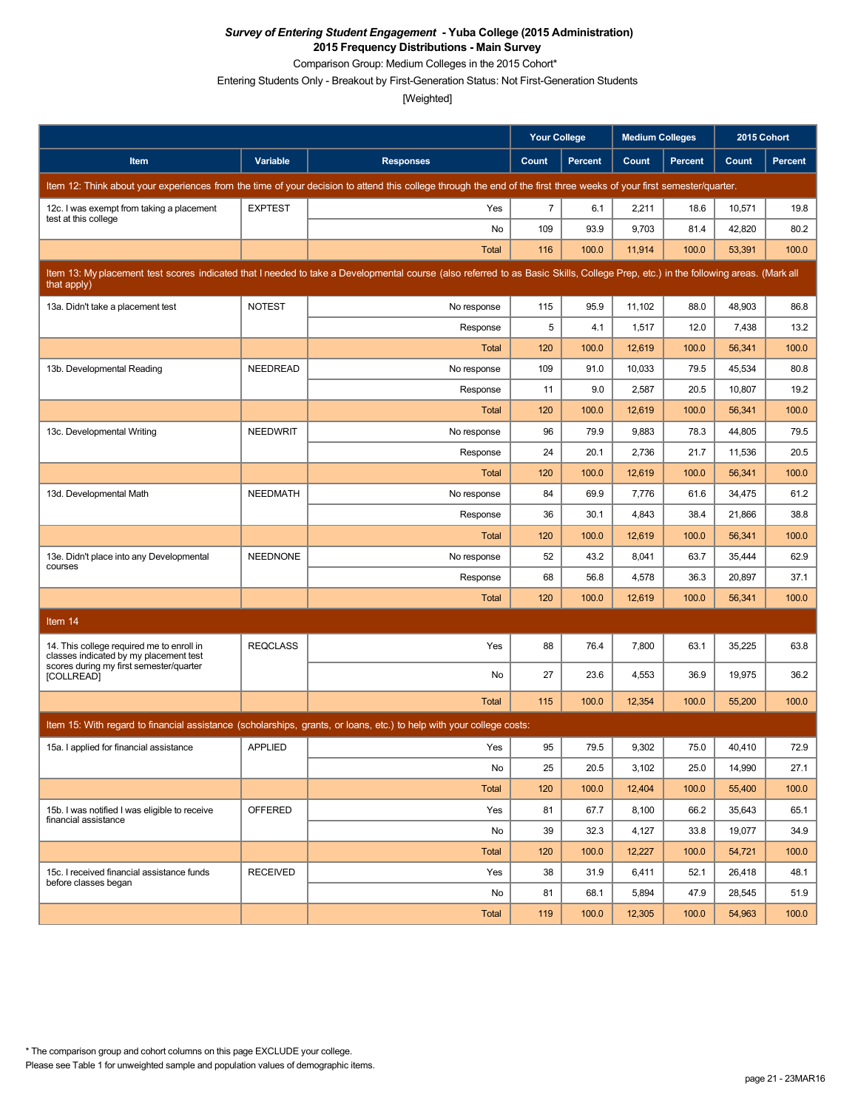Comparison Group: Medium Colleges in the 2015 Cohort\*

Entering Students Only - Breakout by First-Generation Status: Not First-Generation Students

|                                                                                     |                 |                                                                                                                                                                                   | <b>Your College</b> |                | <b>Medium Colleges</b> |                | 2015 Cohort |         |
|-------------------------------------------------------------------------------------|-----------------|-----------------------------------------------------------------------------------------------------------------------------------------------------------------------------------|---------------------|----------------|------------------------|----------------|-------------|---------|
| Item                                                                                | Variable        | <b>Responses</b>                                                                                                                                                                  | Count               | <b>Percent</b> | Count                  | <b>Percent</b> | Count       | Percent |
|                                                                                     |                 | Item 12: Think about your experiences from the time of your decision to attend this college through the end of the first three weeks of your first semester/quarter.              |                     |                |                        |                |             |         |
| 12c. I was exempt from taking a placement<br>test at this college                   | <b>EXPTEST</b>  | Yes                                                                                                                                                                               | $\overline{7}$      | 6.1            | 2,211                  | 18.6           | 10,571      | 19.8    |
|                                                                                     |                 | No                                                                                                                                                                                | 109                 | 93.9           | 9,703                  | 81.4           | 42,820      | 80.2    |
|                                                                                     |                 | <b>Total</b>                                                                                                                                                                      | 116                 | 100.0          | 11,914                 | 100.0          | 53,391      | 100.0   |
| that apply)                                                                         |                 | Item 13: My placement test scores indicated that I needed to take a Developmental course (also referred to as Basic Skills, College Prep, etc.) in the following areas. (Mark all |                     |                |                        |                |             |         |
| 13a. Didn't take a placement test                                                   | <b>NOTEST</b>   | No response                                                                                                                                                                       | 115                 | 95.9           | 11,102                 | 88.0           | 48,903      | 86.8    |
|                                                                                     |                 | Response                                                                                                                                                                          | 5                   | 4.1            | 1,517                  | 12.0           | 7,438       | 13.2    |
|                                                                                     |                 | <b>Total</b>                                                                                                                                                                      | 120                 | 100.0          | 12,619                 | 100.0          | 56,341      | 100.0   |
| 13b. Developmental Reading                                                          | NEEDREAD        | No response                                                                                                                                                                       | 109                 | 91.0           | 10,033                 | 79.5           | 45,534      | 80.8    |
|                                                                                     |                 | Response                                                                                                                                                                          | 11                  | 9.0            | 2,587                  | 20.5           | 10,807      | 19.2    |
|                                                                                     |                 | <b>Total</b>                                                                                                                                                                      | 120                 | 100.0          | 12,619                 | 100.0          | 56,341      | 100.0   |
| 13c. Developmental Writing                                                          | <b>NEEDWRIT</b> | No response                                                                                                                                                                       | 96                  | 79.9           | 9,883                  | 78.3           | 44,805      | 79.5    |
|                                                                                     |                 | Response                                                                                                                                                                          | 24                  | 20.1           | 2,736                  | 21.7           | 11,536      | 20.5    |
|                                                                                     |                 | <b>Total</b>                                                                                                                                                                      | 120                 | 100.0          | 12,619                 | 100.0          | 56,341      | 100.0   |
| 13d. Developmental Math                                                             | <b>NEEDMATH</b> | No response                                                                                                                                                                       | 84                  | 69.9           | 7,776                  | 61.6           | 34,475      | 61.2    |
|                                                                                     |                 | Response                                                                                                                                                                          | 36                  | 30.1           | 4,843                  | 38.4           | 21,866      | 38.8    |
|                                                                                     |                 | <b>Total</b>                                                                                                                                                                      | 120                 | 100.0          | 12,619                 | 100.0          | 56,341      | 100.0   |
| 13e. Didn't place into any Developmental<br>courses                                 | <b>NEEDNONE</b> | No response                                                                                                                                                                       | 52                  | 43.2           | 8,041                  | 63.7           | 35,444      | 62.9    |
|                                                                                     |                 | Response                                                                                                                                                                          | 68                  | 56.8           | 4,578                  | 36.3           | 20,897      | 37.1    |
|                                                                                     |                 | <b>Total</b>                                                                                                                                                                      | 120                 | 100.0          | 12,619                 | 100.0          | 56,341      | 100.0   |
| Item 14                                                                             |                 |                                                                                                                                                                                   |                     |                |                        |                |             |         |
| 14. This college required me to enroll in<br>classes indicated by my placement test | <b>REQCLASS</b> | Yes                                                                                                                                                                               | 88                  | 76.4           | 7,800                  | 63.1           | 35,225      | 63.8    |
| scores during my first semester/quarter<br>[COLLREAD]                               |                 | No                                                                                                                                                                                | 27                  | 23.6           | 4,553                  | 36.9           | 19,975      | 36.2    |
|                                                                                     |                 | Total                                                                                                                                                                             | 115                 | 100.0          | 12,354                 | 100.0          | 55,200      | 100.0   |
|                                                                                     |                 | Item 15: With regard to financial assistance (scholarships, grants, or loans, etc.) to help with your college costs:                                                              |                     |                |                        |                |             |         |
| 15a. I applied for financial assistance                                             | <b>APPLIED</b>  | Yes                                                                                                                                                                               | 95                  | 79.5           | 9,302                  | 75.0           | 40,410      | 72.9    |
|                                                                                     |                 | No                                                                                                                                                                                | 25                  | 20.5           | 3,102                  | 25.0           | 14,990      | 27.1    |
|                                                                                     |                 | Total                                                                                                                                                                             | 120                 | 100.0          | 12,404                 | 100.0          | 55,400      | 100.0   |
| 15b. I was notified I was eligible to receive                                       | OFFERED         | Yes                                                                                                                                                                               | 81                  | 67.7           | 8,100                  | 66.2           | 35,643      | 65.1    |
| financial assistance                                                                |                 | No                                                                                                                                                                                | 39                  | 32.3           | 4,127                  | 33.8           | 19,077      | 34.9    |
|                                                                                     |                 | Total                                                                                                                                                                             | 120                 | 100.0          | 12,227                 | 100.0          | 54,721      | 100.0   |
| 15c. I received financial assistance funds                                          | <b>RECEIVED</b> | Yes                                                                                                                                                                               | 38                  | 31.9           | 6,411                  | 52.1           | 26,418      | 48.1    |
| before classes began                                                                |                 | No                                                                                                                                                                                | 81                  | 68.1           | 5,894                  | 47.9           | 28,545      | 51.9    |
|                                                                                     |                 | Total                                                                                                                                                                             | 119                 | 100.0          | 12,305                 | 100.0          | 54,963      | 100.0   |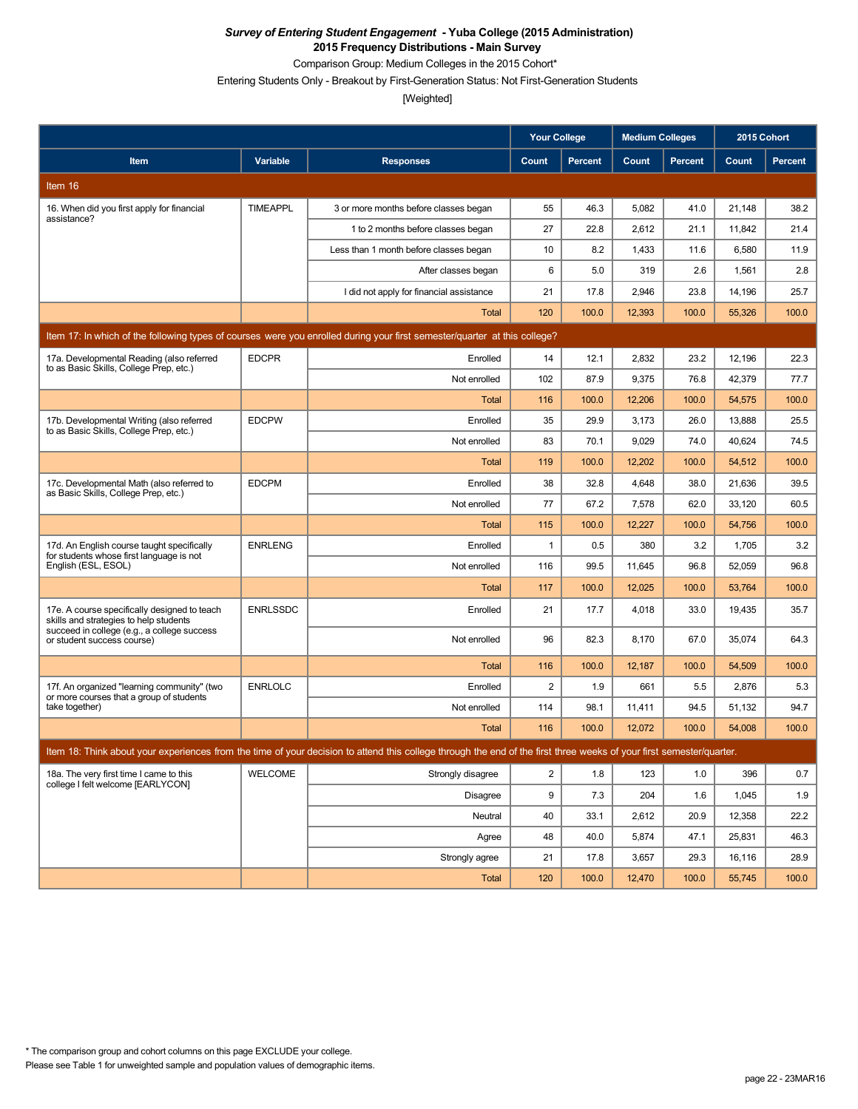Comparison Group: Medium Colleges in the 2015 Cohort\*

Entering Students Only - Breakout by First-Generation Status: Not First-Generation Students

|                                                                                        |                 |                                                                                                                                                                      | <b>Your College</b>     |                | <b>Medium Colleges</b> |         | 2015 Cohort |                |
|----------------------------------------------------------------------------------------|-----------------|----------------------------------------------------------------------------------------------------------------------------------------------------------------------|-------------------------|----------------|------------------------|---------|-------------|----------------|
| Item                                                                                   | Variable        | <b>Responses</b>                                                                                                                                                     | <b>Count</b>            | <b>Percent</b> | Count                  | Percent | Count       | <b>Percent</b> |
| Item 16                                                                                |                 |                                                                                                                                                                      |                         |                |                        |         |             |                |
| 16. When did you first apply for financial                                             | <b>TIMEAPPL</b> | 3 or more months before classes began                                                                                                                                | 55                      | 46.3           | 5,082                  | 41.0    | 21,148      | 38.2           |
| assistance?                                                                            |                 | 1 to 2 months before classes began                                                                                                                                   | 27                      | 22.8           | 2,612                  | 21.1    | 11,842      | 21.4           |
|                                                                                        |                 | Less than 1 month before classes began                                                                                                                               | 10                      | 8.2            | 1,433                  | 11.6    | 6,580       | 11.9           |
|                                                                                        |                 | After classes began                                                                                                                                                  | 6                       | 5.0            | 319                    | 2.6     | 1,561       | 2.8            |
|                                                                                        |                 | I did not apply for financial assistance                                                                                                                             | 21                      | 17.8           | 2,946                  | 23.8    | 14,196      | 25.7           |
|                                                                                        |                 | Total                                                                                                                                                                | 120                     | 100.0          | 12,393                 | 100.0   | 55,326      | 100.0          |
|                                                                                        |                 | Item 17: In which of the following types of courses were you enrolled during your first semester/quarter at this college?                                            |                         |                |                        |         |             |                |
| 17a. Developmental Reading (also referred<br>to as Basic Skills, College Prep, etc.)   | <b>EDCPR</b>    | Enrolled                                                                                                                                                             | 14                      | 12.1           | 2,832                  | 23.2    | 12,196      | 22.3           |
|                                                                                        |                 | Not enrolled                                                                                                                                                         | 102                     | 87.9           | 9,375                  | 76.8    | 42,379      | 77.7           |
|                                                                                        |                 | Total                                                                                                                                                                | 116                     | 100.0          | 12,206                 | 100.0   | 54,575      | 100.0          |
| 17b. Developmental Writing (also referred<br>to as Basic Skills, College Prep, etc.)   | <b>EDCPW</b>    | Enrolled                                                                                                                                                             | 35                      | 29.9           | 3,173                  | 26.0    | 13,888      | 25.5           |
|                                                                                        |                 | Not enrolled                                                                                                                                                         | 83                      | 70.1           | 9.029                  | 74.0    | 40.624      | 74.5           |
|                                                                                        |                 | <b>Total</b>                                                                                                                                                         | 119                     | 100.0          | 12,202                 | 100.0   | 54,512      | 100.0          |
| 17c. Developmental Math (also referred to<br>as Basic Skills, College Prep, etc.)      | <b>EDCPM</b>    | Enrolled                                                                                                                                                             | 38                      | 32.8           | 4,648                  | 38.0    | 21,636      | 39.5           |
|                                                                                        |                 | Not enrolled                                                                                                                                                         | 77                      | 67.2           | 7,578                  | 62.0    | 33,120      | 60.5           |
|                                                                                        |                 | Total                                                                                                                                                                | 115                     | 100.0          | 12,227                 | 100.0   | 54,756      | 100.0          |
| 17d. An English course taught specifically<br>for students whose first language is not | <b>ENRLENG</b>  | Enrolled                                                                                                                                                             | $\mathbf{1}$            | 0.5            | 380                    | 3.2     | 1,705       | 3.2            |
| English (ESL, ESOL)                                                                    |                 | Not enrolled                                                                                                                                                         | 116                     | 99.5           | 11,645                 | 96.8    | 52,059      | 96.8           |
|                                                                                        |                 | Total                                                                                                                                                                | 117                     | 100.0          | 12,025                 | 100.0   | 53,764      | 100.0          |
| 17e. A course specifically designed to teach<br>skills and strategies to help students | <b>ENRLSSDC</b> | Enrolled                                                                                                                                                             | 21                      | 17.7           | 4,018                  | 33.0    | 19,435      | 35.7           |
| succeed in college (e.g., a college success<br>or student success course)              |                 | Not enrolled                                                                                                                                                         | 96                      | 82.3           | 8,170                  | 67.0    | 35,074      | 64.3           |
|                                                                                        |                 | Total                                                                                                                                                                | 116                     | 100.0          | 12,187                 | 100.0   | 54,509      | 100.0          |
| 17f. An organized "learning community" (two                                            | <b>ENRLOLC</b>  | Enrolled                                                                                                                                                             | $\overline{\mathbf{c}}$ | 1.9            | 661                    | 5.5     | 2,876       | 5.3            |
| or more courses that a group of students<br>take together)                             |                 | Not enrolled                                                                                                                                                         | 114                     | 98.1           | 11,411                 | 94.5    | 51,132      | 94.7           |
|                                                                                        |                 | <b>Total</b>                                                                                                                                                         | 116                     | 100.0          | 12,072                 | 100.0   | 54,008      | 100.0          |
|                                                                                        |                 | Item 18: Think about your experiences from the time of your decision to attend this college through the end of the first three weeks of your first semester/quarter. |                         |                |                        |         |             |                |
| 18a. The very first time I came to this                                                | <b>WELCOME</b>  | Strongly disagree                                                                                                                                                    | $\overline{2}$          | 1.8            | 123                    | 1.0     | 396         | 0.7            |
| college I felt welcome [EARLYCON]                                                      |                 | Disagree                                                                                                                                                             | 9                       | 7.3            | 204                    | 1.6     | 1,045       | 1.9            |
|                                                                                        |                 | Neutral                                                                                                                                                              | 40                      | 33.1           | 2,612                  | 20.9    | 12,358      | 22.2           |
|                                                                                        |                 | Agree                                                                                                                                                                | 48                      | 40.0           | 5,874                  | 47.1    | 25,831      | 46.3           |
|                                                                                        |                 | Strongly agree                                                                                                                                                       | 21                      | 17.8           | 3,657                  | 29.3    | 16,116      | 28.9           |
|                                                                                        |                 | Total                                                                                                                                                                | 120                     | 100.0          | 12,470                 | 100.0   | 55,745      | 100.0          |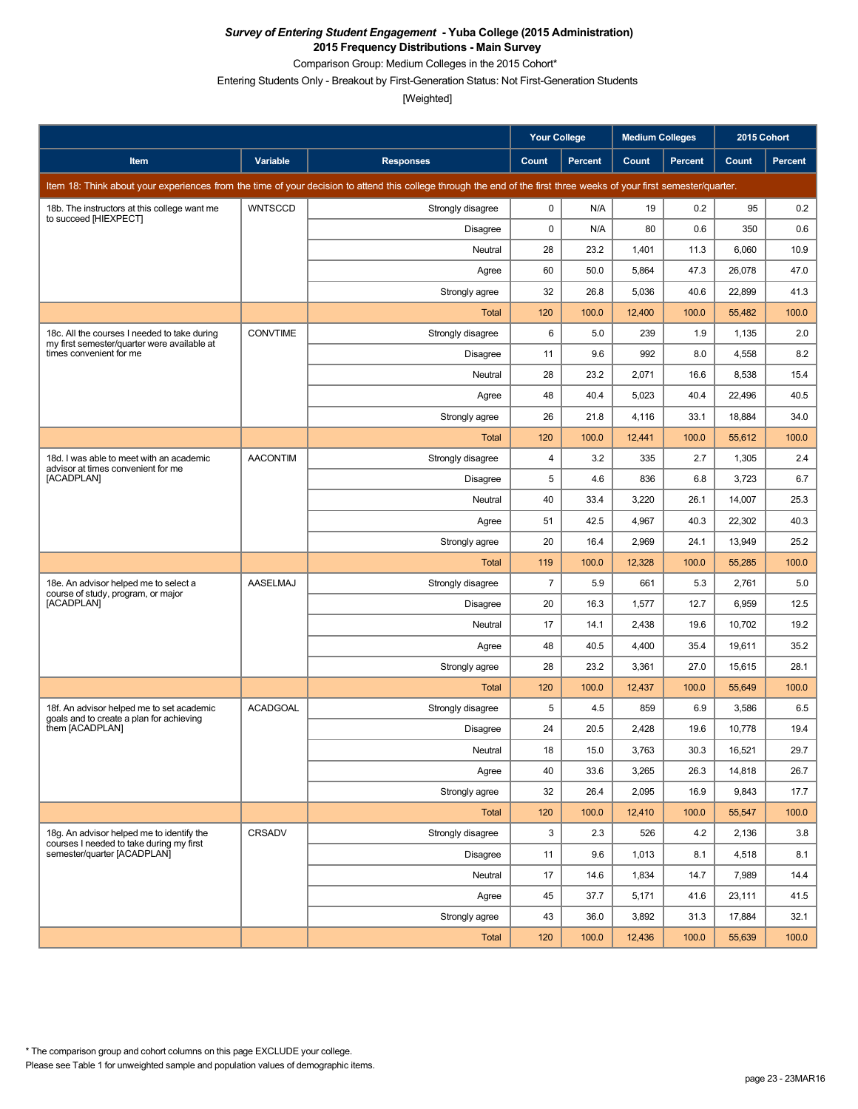Comparison Group: Medium Colleges in the 2015 Cohort\*

Entering Students Only - Breakout by First-Generation Status: Not First-Generation Students

|                                                                                             |                 |                                                                                                                                                                      | <b>Your College</b> |                | <b>Medium Colleges</b> |                | 2015 Cohort |                |
|---------------------------------------------------------------------------------------------|-----------------|----------------------------------------------------------------------------------------------------------------------------------------------------------------------|---------------------|----------------|------------------------|----------------|-------------|----------------|
| Item                                                                                        | Variable        | <b>Responses</b>                                                                                                                                                     | Count               | <b>Percent</b> | Count                  | <b>Percent</b> | Count       | <b>Percent</b> |
|                                                                                             |                 | Item 18: Think about your experiences from the time of your decision to attend this college through the end of the first three weeks of your first semester/quarter. |                     |                |                        |                |             |                |
| 18b. The instructors at this college want me<br>to succeed [HIEXPECT]                       | <b>WNTSCCD</b>  | Strongly disagree                                                                                                                                                    | 0                   | N/A            | 19                     | 0.2            | 95          | 0.2            |
|                                                                                             |                 | <b>Disagree</b>                                                                                                                                                      | 0                   | N/A            | 80                     | 0.6            | 350         | 0.6            |
|                                                                                             |                 | Neutral                                                                                                                                                              | 28                  | 23.2           | 1,401                  | 11.3           | 6,060       | 10.9           |
|                                                                                             |                 | Agree                                                                                                                                                                | 60                  | 50.0           | 5,864                  | 47.3           | 26,078      | 47.0           |
|                                                                                             |                 | Strongly agree                                                                                                                                                       | 32                  | 26.8           | 5,036                  | 40.6           | 22,899      | 41.3           |
|                                                                                             |                 | <b>Total</b>                                                                                                                                                         | 120                 | 100.0          | 12,400                 | 100.0          | 55,482      | 100.0          |
| 18c. All the courses I needed to take during<br>my first semester/quarter were available at | <b>CONVTIME</b> | Strongly disagree                                                                                                                                                    | 6                   | 5.0            | 239                    | 1.9            | 1,135       | 2.0            |
| times convenient for me                                                                     |                 | <b>Disagree</b>                                                                                                                                                      | 11                  | 9.6            | 992                    | 8.0            | 4,558       | 8.2            |
|                                                                                             |                 | Neutral                                                                                                                                                              | 28                  | 23.2           | 2,071                  | 16.6           | 8,538       | 15.4           |
|                                                                                             |                 | Agree                                                                                                                                                                | 48                  | 40.4           | 5,023                  | 40.4           | 22,496      | 40.5           |
|                                                                                             |                 | Strongly agree                                                                                                                                                       | 26                  | 21.8           | 4,116                  | 33.1           | 18,884      | 34.0           |
|                                                                                             |                 | <b>Total</b>                                                                                                                                                         | 120                 | 100.0          | 12,441                 | 100.0          | 55,612      | 100.0          |
| 18d. I was able to meet with an academic<br>advisor at times convenient for me              | <b>AACONTIM</b> | Strongly disagree                                                                                                                                                    | 4                   | 3.2            | 335                    | 2.7            | 1,305       | 2.4            |
| [ACADPLAN]                                                                                  |                 | <b>Disagree</b>                                                                                                                                                      | 5                   | 4.6            | 836                    | 6.8            | 3,723       | 6.7            |
|                                                                                             |                 | Neutral                                                                                                                                                              | 40                  | 33.4           | 3,220                  | 26.1           | 14,007      | 25.3           |
|                                                                                             |                 | Agree                                                                                                                                                                | 51                  | 42.5           | 4,967                  | 40.3           | 22,302      | 40.3           |
|                                                                                             |                 | Strongly agree                                                                                                                                                       | 20                  | 16.4           | 2,969                  | 24.1           | 13,949      | 25.2           |
|                                                                                             |                 | Total                                                                                                                                                                | 119                 | 100.0          | 12,328                 | 100.0          | 55,285      | 100.0          |
| 18e. An advisor helped me to select a<br>course of study, program, or major                 | <b>AASELMAJ</b> | Strongly disagree                                                                                                                                                    | $\overline{7}$      | 5.9            | 661                    | 5.3            | 2,761       | 5.0            |
| [ACADPLAN]                                                                                  |                 | Disagree                                                                                                                                                             | 20                  | 16.3           | 1,577                  | 12.7           | 6,959       | 12.5           |
|                                                                                             |                 | Neutral                                                                                                                                                              | 17                  | 14.1           | 2,438                  | 19.6           | 10,702      | 19.2           |
|                                                                                             |                 | Agree                                                                                                                                                                | 48                  | 40.5           | 4,400                  | 35.4           | 19,611      | 35.2           |
|                                                                                             |                 | Strongly agree                                                                                                                                                       | 28                  | 23.2           | 3,361                  | 27.0           | 15,615      | 28.1           |
|                                                                                             |                 | <b>Total</b>                                                                                                                                                         | 120                 | 100.0          | 12,437                 | 100.0          | 55,649      | 100.0          |
| 18f. An advisor helped me to set academic<br>goals and to create a plan for achieving       | <b>ACADGOAL</b> | Strongly disagree                                                                                                                                                    | 5                   | 4.5            | 859                    | 6.9            | 3,586       | 6.5            |
| them [ACADPLAN]                                                                             |                 | <b>Disagree</b>                                                                                                                                                      | 24                  | 20.5           | 2,428                  | 19.6           | 10,778      | 19.4           |
|                                                                                             |                 | Neutral                                                                                                                                                              | $18\,$              | 15.0           | 3,763                  | 30.3           | 16,521      | 29.7           |
|                                                                                             |                 | Agree                                                                                                                                                                | 40                  | 33.6           | 3,265                  | 26.3           | 14,818      | 26.7           |
|                                                                                             |                 | Strongly agree                                                                                                                                                       | 32                  | 26.4           | 2,095                  | 16.9           | 9,843       | 17.7           |
|                                                                                             |                 | Total                                                                                                                                                                | 120                 | 100.0          | 12,410                 | 100.0          | 55,547      | 100.0          |
| 18g. An advisor helped me to identify the<br>courses I needed to take during my first       | CRSADV          | Strongly disagree                                                                                                                                                    | 3                   | 2.3            | 526                    | 4.2            | 2,136       | 3.8            |
| semester/quarter [ACADPLAN]                                                                 |                 | Disagree                                                                                                                                                             | 11                  | 9.6            | 1,013                  | 8.1            | 4,518       | 8.1            |
|                                                                                             |                 | Neutral                                                                                                                                                              | 17                  | 14.6           | 1,834                  | 14.7           | 7,989       | 14.4           |
|                                                                                             |                 | Agree                                                                                                                                                                | 45                  | 37.7           | 5,171                  | 41.6           | 23,111      | 41.5           |
|                                                                                             |                 | Strongly agree                                                                                                                                                       | 43                  | 36.0           | 3,892                  | 31.3           | 17,884      | 32.1           |
|                                                                                             |                 | Total                                                                                                                                                                | 120                 | 100.0          | 12,436                 | 100.0          | 55,639      | 100.0          |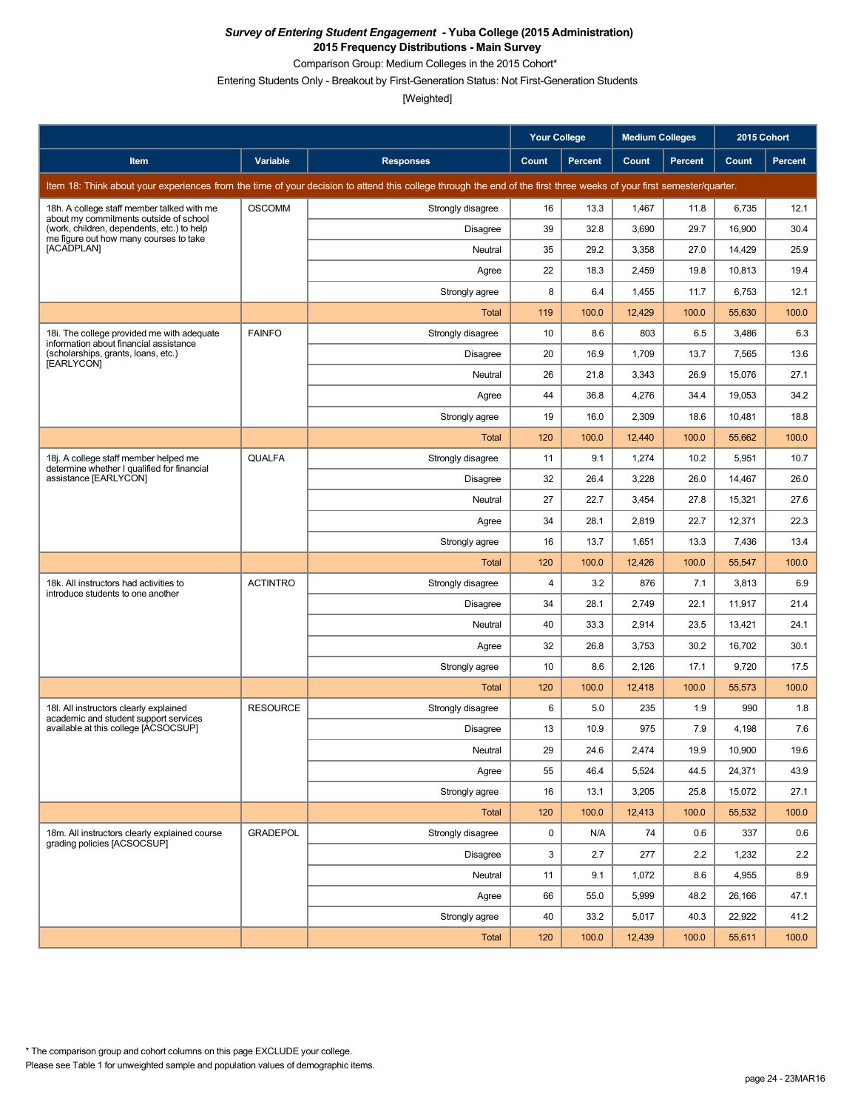Comparison Group: Medium Colleges in the 2015 Cohort\*

Entering Students Only - Breakout by First-Generation Status: Not First-Generation Students

|                                                                                      |                 |                                                                                                                                                                      | <b>Your College</b> |                | <b>Medium Colleges</b> |         | 2015 Cohort |                |
|--------------------------------------------------------------------------------------|-----------------|----------------------------------------------------------------------------------------------------------------------------------------------------------------------|---------------------|----------------|------------------------|---------|-------------|----------------|
| Item                                                                                 | Variable        | <b>Responses</b>                                                                                                                                                     | Count               | <b>Percent</b> | Count                  | Percent | Count       | <b>Percent</b> |
|                                                                                      |                 | Item 18: Think about your experiences from the time of your decision to attend this college through the end of the first three weeks of your first semester/quarter. |                     |                |                        |         |             |                |
| 18h. A college staff member talked with me<br>about my commitments outside of school | <b>OSCOMM</b>   | Strongly disagree                                                                                                                                                    | 16                  | 13.3           | 1,467                  | 11.8    | 6,735       | 12.1           |
| (work, children, dependents, etc.) to help<br>me figure out how many courses to take |                 | Disagree                                                                                                                                                             | 39                  | 32.8           | 3,690                  | 29.7    | 16,900      | 30.4           |
| [ACADPLAN]                                                                           |                 | Neutral                                                                                                                                                              | 35                  | 29.2           | 3,358                  | 27.0    | 14,429      | 25.9           |
|                                                                                      |                 | Agree                                                                                                                                                                | 22                  | 18.3           | 2,459                  | 19.8    | 10,813      | 19.4           |
|                                                                                      |                 | Strongly agree                                                                                                                                                       | 8                   | 6.4            | 1,455                  | 11.7    | 6,753       | 12.1           |
|                                                                                      |                 | Total                                                                                                                                                                | 119                 | 100.0          | 12,429                 | 100.0   | 55,630      | 100.0          |
| 18i. The college provided me with adequate<br>information about financial assistance | <b>FAINFO</b>   | Strongly disagree                                                                                                                                                    | 10                  | 8.6            | 803                    | 6.5     | 3,486       | 6.3            |
| (scholarships, grants, loans, etc.)<br>[EARLYCON]                                    |                 | Disagree                                                                                                                                                             | 20                  | 16.9           | 1,709                  | 13.7    | 7,565       | 13.6           |
|                                                                                      |                 | Neutral                                                                                                                                                              | 26                  | 21.8           | 3,343                  | 26.9    | 15,076      | 27.1           |
|                                                                                      |                 | Agree                                                                                                                                                                | 44                  | 36.8           | 4,276                  | 34.4    | 19,053      | 34.2           |
|                                                                                      |                 | Strongly agree                                                                                                                                                       | 19                  | 16.0           | 2,309                  | 18.6    | 10,481      | 18.8           |
|                                                                                      |                 | Total                                                                                                                                                                | 120                 | 100.0          | 12,440                 | 100.0   | 55,662      | 100.0          |
| 18j. A college staff member helped me<br>determine whether I qualified for financial | <b>QUALFA</b>   | Strongly disagree                                                                                                                                                    | 11                  | 9.1            | 1,274                  | 10.2    | 5,951       | 10.7           |
| assistance [EARLYCON]                                                                |                 | Disagree                                                                                                                                                             | 32                  | 26.4           | 3,228                  | 26.0    | 14,467      | 26.0           |
|                                                                                      |                 | Neutral                                                                                                                                                              | 27                  | 22.7           | 3,454                  | 27.8    | 15,321      | 27.6           |
|                                                                                      |                 | Agree                                                                                                                                                                | 34                  | 28.1           | 2,819                  | 22.7    | 12,371      | 22.3           |
|                                                                                      |                 | Strongly agree                                                                                                                                                       | 16                  | 13.7           | 1,651                  | 13.3    | 7,436       | 13.4           |
|                                                                                      |                 | Total                                                                                                                                                                | 120                 | 100.0          | 12,426                 | 100.0   | 55,547      | 100.0          |
| 18k. All instructors had activities to<br>introduce students to one another          | <b>ACTINTRO</b> | Strongly disagree                                                                                                                                                    | $\overline{4}$      | 3.2            | 876                    | 7.1     | 3,813       | 6.9            |
|                                                                                      |                 | <b>Disagree</b>                                                                                                                                                      | 34                  | 28.1           | 2,749                  | 22.1    | 11,917      | 21.4           |
|                                                                                      |                 | Neutral                                                                                                                                                              | 40                  | 33.3           | 2,914                  | 23.5    | 13,421      | 24.1           |
|                                                                                      |                 | Agree                                                                                                                                                                | 32                  | 26.8           | 3,753                  | 30.2    | 16,702      | 30.1           |
|                                                                                      |                 | Strongly agree                                                                                                                                                       | 10                  | 8.6            | 2,126                  | 17.1    | 9,720       | 17.5           |
|                                                                                      |                 | Total                                                                                                                                                                | 120                 | 100.0          | 12,418                 | 100.0   | 55,573      | 100.0          |
| 18I. All instructors clearly explained<br>academic and student support services      | <b>RESOURCE</b> | Strongly disagree                                                                                                                                                    | 6                   | 5.0            | 235                    | 1.9     | 990         | 1.8            |
| available at this college [ACSOCSUP]                                                 |                 | Disagree                                                                                                                                                             | 13                  | 10.9           | 975                    | 7.9     | 4,198       | 7.6            |
|                                                                                      |                 | Neutral                                                                                                                                                              | 29                  | 24.6           | 2,474                  | 19.9    | 10,900      | 19.6           |
|                                                                                      |                 | Agree                                                                                                                                                                | 55                  | 46.4           | 5,524                  | 44.5    | 24,371      | 43.9           |
|                                                                                      |                 | Strongly agree                                                                                                                                                       | 16                  | 13.1           | 3,205                  | 25.8    | 15,072      | 27.1           |
|                                                                                      |                 | Total                                                                                                                                                                | 120                 | 100.0          | 12,413                 | 100.0   | 55,532      | 100.0          |
| 18m. All instructors clearly explained course<br>grading policies [ACSOCSUP]         | <b>GRADEPOL</b> | Strongly disagree                                                                                                                                                    | 0                   | N/A            | 74                     | 0.6     | 337         | 0.6            |
|                                                                                      |                 | Disagree                                                                                                                                                             | 3                   | 2.7            | 277                    | 2.2     | 1,232       | 2.2            |
|                                                                                      |                 | Neutral                                                                                                                                                              | 11                  | 9.1            | 1,072                  | 8.6     | 4,955       | 8.9            |
|                                                                                      |                 | Agree                                                                                                                                                                | 66                  | 55.0           | 5,999                  | 48.2    | 26,166      | 47.1           |
|                                                                                      |                 | Strongly agree                                                                                                                                                       | 40                  | 33.2           | 5,017                  | 40.3    | 22,922      | 41.2           |
|                                                                                      |                 | Total                                                                                                                                                                | 120                 | 100.0          | 12,439                 | 100.0   | 55,611      | 100.0          |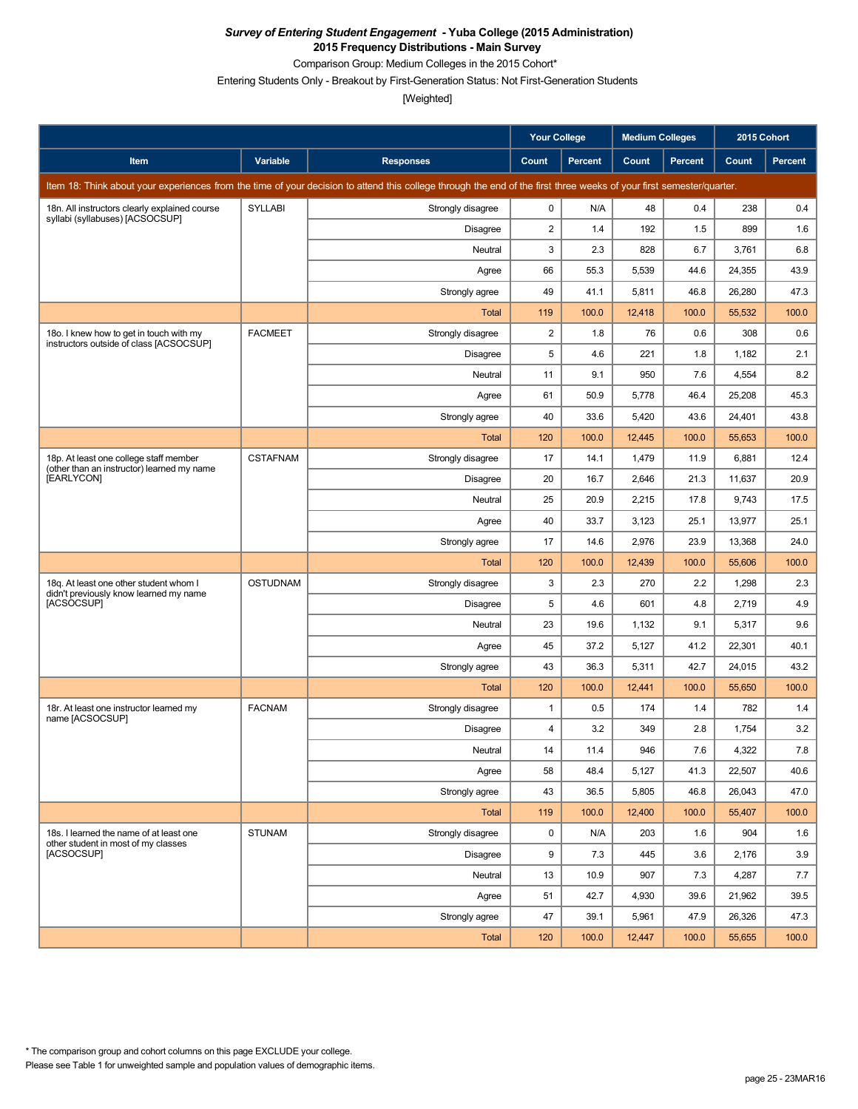Comparison Group: Medium Colleges in the 2015 Cohort\*

Entering Students Only - Breakout by First-Generation Status: Not First-Generation Students

|                                                                                      |                 |                                                                                                                                                                      | Your College   |                | <b>Medium Colleges</b> |                | 2015 Cohort |         |
|--------------------------------------------------------------------------------------|-----------------|----------------------------------------------------------------------------------------------------------------------------------------------------------------------|----------------|----------------|------------------------|----------------|-------------|---------|
| Item                                                                                 | Variable        | <b>Responses</b>                                                                                                                                                     | Count          | <b>Percent</b> | Count                  | <b>Percent</b> | Count       | Percent |
|                                                                                      |                 | Item 18: Think about your experiences from the time of your decision to attend this college through the end of the first three weeks of your first semester/quarter. |                |                |                        |                |             |         |
| 18n. All instructors clearly explained course<br>syllabi (syllabuses) [ACSOCSUP]     | SYLLABI         | Strongly disagree                                                                                                                                                    | 0              | N/A            | 48                     | 0.4            | 238         | 0.4     |
|                                                                                      |                 | Disagree                                                                                                                                                             | 2              | 1.4            | 192                    | 1.5            | 899         | 1.6     |
|                                                                                      |                 | Neutral                                                                                                                                                              | 3              | 2.3            | 828                    | 6.7            | 3,761       | 6.8     |
|                                                                                      |                 | Agree                                                                                                                                                                | 66             | 55.3           | 5,539                  | 44.6           | 24,355      | 43.9    |
|                                                                                      |                 | Strongly agree                                                                                                                                                       | 49             | 41.1           | 5,811                  | 46.8           | 26,280      | 47.3    |
|                                                                                      |                 | <b>Total</b>                                                                                                                                                         | 119            | 100.0          | 12,418                 | 100.0          | 55,532      | 100.0   |
| 180. I knew how to get in touch with my<br>instructors outside of class [ACSOCSUP]   | <b>FACMEET</b>  | Strongly disagree                                                                                                                                                    | $\overline{c}$ | 1.8            | 76                     | 0.6            | 308         | 0.6     |
|                                                                                      |                 | <b>Disagree</b>                                                                                                                                                      | 5              | 4.6            | 221                    | 1.8            | 1,182       | 2.1     |
|                                                                                      |                 | Neutral                                                                                                                                                              | 11             | 9.1            | 950                    | 7.6            | 4,554       | 8.2     |
|                                                                                      |                 | Agree                                                                                                                                                                | 61             | 50.9           | 5,778                  | 46.4           | 25,208      | 45.3    |
|                                                                                      |                 | Strongly agree                                                                                                                                                       | 40             | 33.6           | 5,420                  | 43.6           | 24,401      | 43.8    |
|                                                                                      |                 | <b>Total</b>                                                                                                                                                         | 120            | 100.0          | 12,445                 | 100.0          | 55,653      | 100.0   |
| 18p. At least one college staff member<br>(other than an instructor) learned my name | <b>CSTAFNAM</b> | Strongly disagree                                                                                                                                                    | 17             | 14.1           | 1,479                  | 11.9           | 6,881       | 12.4    |
| [EARLYCON]                                                                           |                 | <b>Disagree</b>                                                                                                                                                      | 20             | 16.7           | 2,646                  | 21.3           | 11,637      | 20.9    |
|                                                                                      |                 | Neutral                                                                                                                                                              | 25             | 20.9           | 2,215                  | 17.8           | 9,743       | 17.5    |
|                                                                                      |                 | Agree                                                                                                                                                                | 40             | 33.7           | 3,123                  | 25.1           | 13,977      | 25.1    |
|                                                                                      |                 | Strongly agree                                                                                                                                                       | 17             | 14.6           | 2,976                  | 23.9           | 13,368      | 24.0    |
|                                                                                      |                 | Total                                                                                                                                                                | 120            | 100.0          | 12,439                 | 100.0          | 55,606      | 100.0   |
| 18g. At least one other student whom I<br>didn't previously know learned my name     | <b>OSTUDNAM</b> | Strongly disagree                                                                                                                                                    | 3              | 2.3            | 270                    | 2.2            | 1,298       | 2.3     |
| [ACSOCSUP]                                                                           |                 | <b>Disagree</b>                                                                                                                                                      | 5              | 4.6            | 601                    | 4.8            | 2,719       | 4.9     |
|                                                                                      |                 | Neutral                                                                                                                                                              | 23             | 19.6           | 1,132                  | 9.1            | 5,317       | 9.6     |
|                                                                                      |                 | Agree                                                                                                                                                                | 45             | 37.2           | 5,127                  | 41.2           | 22,301      | 40.1    |
|                                                                                      |                 | Strongly agree                                                                                                                                                       | 43             | 36.3           | 5,311                  | 42.7           | 24,015      | 43.2    |
|                                                                                      |                 | Total                                                                                                                                                                | 120            | 100.0          | 12,441                 | 100.0          | 55,650      | 100.0   |
| 18r. At least one instructor learned my<br>name [ACSOCSUP]                           | <b>FACNAM</b>   | Strongly disagree                                                                                                                                                    | 1              | 0.5            | 174                    | 1.4            | 782         | 1.4     |
|                                                                                      |                 | <b>Disagree</b>                                                                                                                                                      | 4              | 3.2            | 349                    | 2.8            | 1,754       | 3.2     |
|                                                                                      |                 | Neutral                                                                                                                                                              | 14             | 11.4           | 946                    | 7.6            | 4,322       | $7.8$   |
|                                                                                      |                 | Agree                                                                                                                                                                | 58             | 48.4           | 5,127                  | 41.3           | 22,507      | 40.6    |
|                                                                                      |                 | Strongly agree                                                                                                                                                       | 43             | 36.5           | 5,805                  | 46.8           | 26,043      | 47.0    |
|                                                                                      |                 | Total                                                                                                                                                                | 119            | 100.0          | 12,400                 | 100.0          | 55,407      | 100.0   |
| 18s. I learned the name of at least one<br>other student in most of my classes       | <b>STUNAM</b>   | Strongly disagree                                                                                                                                                    | 0              | N/A            | 203                    | 1.6            | 904         | 1.6     |
| [ACSOCSUP]                                                                           |                 | Disagree                                                                                                                                                             | 9              | 7.3            | 445                    | 3.6            | 2,176       | 3.9     |
|                                                                                      |                 | Neutral                                                                                                                                                              | 13             | 10.9           | 907                    | 7.3            | 4,287       | 7.7     |
|                                                                                      |                 | Agree                                                                                                                                                                | 51             | 42.7           | 4,930                  | 39.6           | 21,962      | 39.5    |
|                                                                                      |                 | Strongly agree                                                                                                                                                       | 47             | 39.1           | 5,961                  | 47.9           | 26,326      | 47.3    |
|                                                                                      |                 | Total                                                                                                                                                                | 120            | 100.0          | 12,447                 | 100.0          | 55,655      | 100.0   |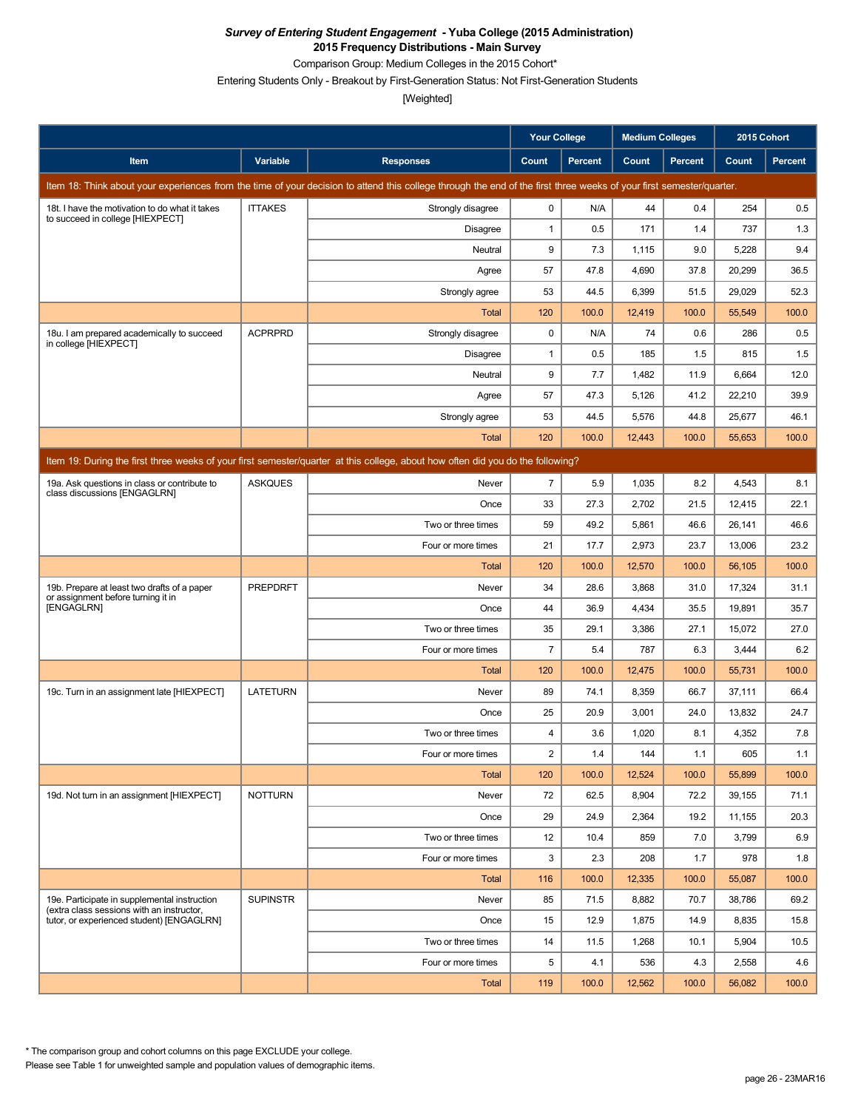Comparison Group: Medium Colleges in the 2015 Cohort\*

Entering Students Only - Breakout by First-Generation Status: Not First-Generation Students

[Weighted]

|                                                                                           |                 |                                                                                                                                                                      | <b>Your College</b> |                | <b>Medium Colleges</b> |                | 2015 Cohort |                |
|-------------------------------------------------------------------------------------------|-----------------|----------------------------------------------------------------------------------------------------------------------------------------------------------------------|---------------------|----------------|------------------------|----------------|-------------|----------------|
| Item                                                                                      | Variable        | <b>Responses</b>                                                                                                                                                     | Count               | <b>Percent</b> | Count                  | <b>Percent</b> | Count       | <b>Percent</b> |
|                                                                                           |                 | Item 18: Think about your experiences from the time of your decision to attend this college through the end of the first three weeks of your first semester/quarter. |                     |                |                        |                |             |                |
| 18t. I have the motivation to do what it takes                                            | <b>ITTAKES</b>  | Strongly disagree                                                                                                                                                    | 0                   | N/A            | 44                     | 0.4            | 254         | 0.5            |
| to succeed in college [HIEXPECT]                                                          |                 | Disagree                                                                                                                                                             | $\mathbf{1}$        | 0.5            | 171                    | 1.4            | 737         | 1.3            |
|                                                                                           |                 | Neutral                                                                                                                                                              | 9                   | 7.3            | 1,115                  | 9.0            | 5,228       | 9.4            |
|                                                                                           |                 | Agree                                                                                                                                                                | 57                  | 47.8           | 4,690                  | 37.8           | 20,299      | 36.5           |
|                                                                                           |                 | Strongly agree                                                                                                                                                       | 53                  | 44.5           | 6,399                  | 51.5           | 29,029      | 52.3           |
|                                                                                           |                 | <b>Total</b>                                                                                                                                                         | 120                 | 100.0          | 12,419                 | 100.0          | 55,549      | 100.0          |
| 18u. I am prepared academically to succeed<br>in college [HIEXPECT]                       | <b>ACPRPRD</b>  | Strongly disagree                                                                                                                                                    | 0                   | N/A            | 74                     | 0.6            | 286         | 0.5            |
|                                                                                           |                 | Disagree                                                                                                                                                             | $\mathbf{1}$        | 0.5            | 185                    | 1.5            | 815         | 1.5            |
|                                                                                           |                 | Neutral                                                                                                                                                              | 9                   | 7.7            | 1,482                  | 11.9           | 6,664       | 12.0           |
|                                                                                           |                 | Agree                                                                                                                                                                | 57                  | 47.3           | 5,126                  | 41.2           | 22,210      | 39.9           |
|                                                                                           |                 | Strongly agree                                                                                                                                                       | 53                  | 44.5           | 5,576                  | 44.8           | 25,677      | 46.1           |
|                                                                                           |                 | Total                                                                                                                                                                | 120                 | 100.0          | 12,443                 | 100.0          | 55,653      | 100.0          |
|                                                                                           |                 | Item 19: During the first three weeks of your first semester/quarter at this college, about how often did you do the following?                                      |                     |                |                        |                |             |                |
| 19a. Ask questions in class or contribute to                                              | <b>ASKQUES</b>  | Never                                                                                                                                                                | $\overline{7}$      | 5.9            | 1,035                  | 8.2            | 4,543       | 8.1            |
| class discussions [ENGAGLRN]                                                              |                 | Once                                                                                                                                                                 | 33                  | 27.3           | 2,702                  | 21.5           | 12,415      | 22.1           |
|                                                                                           |                 | Two or three times                                                                                                                                                   | 59                  | 49.2           | 5,861                  | 46.6           | 26,141      | 46.6           |
|                                                                                           |                 | Four or more times                                                                                                                                                   | 21                  | 17.7           | 2,973                  | 23.7           | 13,006      | 23.2           |
|                                                                                           |                 | Total                                                                                                                                                                | 120                 | 100.0          | 12,570                 | 100.0          | 56,105      | 100.0          |
| 19b. Prepare at least two drafts of a paper<br>or assignment before turning it in         | <b>PREPDRFT</b> | Never                                                                                                                                                                | 34                  | 28.6           | 3,868                  | 31.0           | 17,324      | 31.1           |
| [ENGAGLRN]                                                                                |                 | Once                                                                                                                                                                 | 44                  | 36.9           | 4,434                  | 35.5           | 19,891      | 35.7           |
|                                                                                           |                 | Two or three times                                                                                                                                                   | 35                  | 29.1           | 3,386                  | 27.1           | 15,072      | 27.0           |
|                                                                                           |                 | Four or more times                                                                                                                                                   | $\overline{7}$      | 5.4            | 787                    | 6.3            | 3,444       | 6.2            |
|                                                                                           |                 | Total                                                                                                                                                                | 120                 | 100.0          | 12,475                 | 100.0          | 55,731      | 100.0          |
| 19c. Turn in an assignment late [HIEXPECT]                                                | <b>LATETURN</b> | Never                                                                                                                                                                | 89                  | 74.1           | 8,359                  | 66.7           | 37,111      | 66.4           |
|                                                                                           |                 | Once                                                                                                                                                                 | 25                  | 20.9           | 3,001                  | 24.0           | 13,832      | 24.7           |
|                                                                                           |                 | Two or three times                                                                                                                                                   | 4                   | 3.6            | 1,020                  | 8.1            | 4,352       | 7.8            |
|                                                                                           |                 | Four or more times                                                                                                                                                   | 2                   | 1.4            | 144                    | 1.1            | 605         | 1.1            |
|                                                                                           |                 | Total                                                                                                                                                                | 120                 | 100.0          | 12,524                 | 100.0          | 55,899      | 100.0          |
| 19d. Not turn in an assignment [HIEXPECT]                                                 | <b>NOTTURN</b>  | Never                                                                                                                                                                | 72                  | 62.5           | 8,904                  | 72.2           | 39,155      | 71.1           |
|                                                                                           |                 | Once                                                                                                                                                                 | 29                  | 24.9           | 2,364                  | 19.2           | 11,155      | 20.3           |
|                                                                                           |                 | Two or three times                                                                                                                                                   | 12                  | 10.4           | 859                    | 7.0            | 3,799       | 6.9            |
|                                                                                           |                 | Four or more times                                                                                                                                                   | 3                   | 2.3            | 208                    | 1.7            | 978         | 1.8            |
|                                                                                           |                 | Total                                                                                                                                                                | 116                 | 100.0          | 12,335                 | 100.0          | 55,087      | 100.0          |
| 19e. Participate in supplemental instruction<br>(extra class sessions with an instructor, | <b>SUPINSTR</b> | Never                                                                                                                                                                | 85                  | 71.5           | 8,882                  | 70.7           | 38,786      | 69.2           |
| tutor, or experienced student) [ENGAGLRN]                                                 |                 | Once                                                                                                                                                                 | 15                  | 12.9           | 1,875                  | 14.9           | 8,835       | 15.8           |
|                                                                                           |                 | Two or three times                                                                                                                                                   | 14                  | 11.5           | 1,268                  | 10.1           | 5,904       | 10.5           |
|                                                                                           |                 | Four or more times                                                                                                                                                   | 5                   | 4.1            | 536                    | 4.3            | 2,558       | 4.6            |
|                                                                                           |                 | Total                                                                                                                                                                | 119                 | 100.0          | 12,562                 | 100.0          | 56,082      | 100.0          |

Please see Table 1 for unweighted sample and population values of demographic items. \* The comparison group and cohort columns on this page EXCLUDE your college.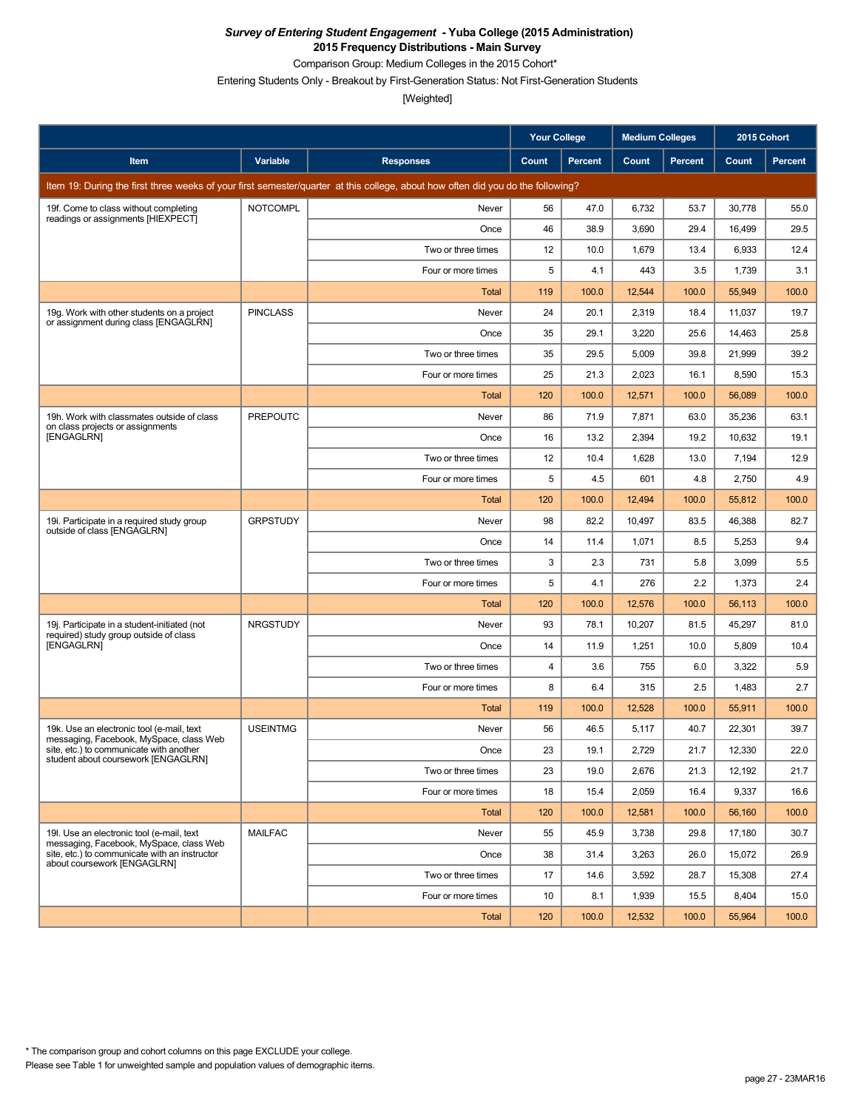Comparison Group: Medium Colleges in the 2015 Cohort\*

Entering Students Only - Breakout by First-Generation Status: Not First-Generation Students

|                                                                                        |                 |                                                                                                                                 | <b>Your College</b> |                | <b>Medium Colleges</b> |                | 2015 Cohort |         |
|----------------------------------------------------------------------------------------|-----------------|---------------------------------------------------------------------------------------------------------------------------------|---------------------|----------------|------------------------|----------------|-------------|---------|
| Item                                                                                   | Variable        | <b>Responses</b>                                                                                                                | Count               | <b>Percent</b> | Count                  | <b>Percent</b> | Count       | Percent |
|                                                                                        |                 | Item 19: During the first three weeks of your first semester/quarter at this college, about how often did you do the following? |                     |                |                        |                |             |         |
| 19f. Come to class without completing                                                  | <b>NOTCOMPL</b> | Never                                                                                                                           | 56                  | 47.0           | 6,732                  | 53.7           | 30,778      | 55.0    |
| readings or assignments [HIEXPECT]                                                     |                 | Once                                                                                                                            | 46                  | 38.9           | 3,690                  | 29.4           | 16,499      | 29.5    |
|                                                                                        |                 | Two or three times                                                                                                              | 12                  | 10.0           | 1,679                  | 13.4           | 6,933       | 12.4    |
|                                                                                        |                 | Four or more times                                                                                                              | 5                   | 4.1            | 443                    | 3.5            | 1,739       | 3.1     |
|                                                                                        |                 | Total                                                                                                                           | 119                 | 100.0          | 12,544                 | 100.0          | 55,949      | 100.0   |
| 19g. Work with other students on a project<br>or assignment during class [ENGAGLRN]    | <b>PINCLASS</b> | Never                                                                                                                           | 24                  | 20.1           | 2,319                  | 18.4           | 11,037      | 19.7    |
|                                                                                        |                 | Once                                                                                                                            | 35                  | 29.1           | 3,220                  | 25.6           | 14,463      | 25.8    |
|                                                                                        |                 | Two or three times                                                                                                              | 35                  | 29.5           | 5,009                  | 39.8           | 21,999      | 39.2    |
|                                                                                        |                 | Four or more times                                                                                                              | 25                  | 21.3           | 2,023                  | 16.1           | 8,590       | 15.3    |
|                                                                                        |                 | <b>Total</b>                                                                                                                    | 120                 | 100.0          | 12,571                 | 100.0          | 56,089      | 100.0   |
| 19h. Work with classmates outside of class<br>on class projects or assignments         | <b>PREPOUTC</b> | Never                                                                                                                           | 86                  | 71.9           | 7,871                  | 63.0           | 35,236      | 63.1    |
| [ENGAGLRN]                                                                             |                 | Once                                                                                                                            | 16                  | 13.2           | 2,394                  | 19.2           | 10,632      | 19.1    |
|                                                                                        |                 | Two or three times                                                                                                              | 12                  | 10.4           | 1,628                  | 13.0           | 7,194       | 12.9    |
|                                                                                        |                 | Four or more times                                                                                                              | 5                   | 4.5            | 601                    | 4.8            | 2,750       | 4.9     |
|                                                                                        |                 | Total                                                                                                                           | 120                 | 100.0          | 12,494                 | 100.0          | 55,812      | 100.0   |
| 19i. Participate in a required study group<br>outside of class [ENGAGLRN]              | <b>GRPSTUDY</b> | Never                                                                                                                           | 98                  | 82.2           | 10,497                 | 83.5           | 46,388      | 82.7    |
|                                                                                        |                 | Once                                                                                                                            | 14                  | 11.4           | 1,071                  | 8.5            | 5,253       | 9.4     |
|                                                                                        |                 | Two or three times                                                                                                              | 3                   | 2.3            | 731                    | 5.8            | 3,099       | 5.5     |
|                                                                                        |                 | Four or more times                                                                                                              | 5                   | 4.1            | 276                    | 2.2            | 1,373       | 2.4     |
|                                                                                        |                 | Total                                                                                                                           | 120                 | 100.0          | 12,576                 | 100.0          | 56,113      | 100.0   |
| 19j. Participate in a student-initiated (not<br>required) study group outside of class | <b>NRGSTUDY</b> | Never                                                                                                                           | 93                  | 78.1           | 10,207                 | 81.5           | 45,297      | 81.0    |
| [ENGAGLRN]                                                                             |                 | Once                                                                                                                            | 14                  | 11.9           | 1,251                  | 10.0           | 5,809       | 10.4    |
|                                                                                        |                 | Two or three times                                                                                                              | 4                   | 3.6            | 755                    | 6.0            | 3,322       | 5.9     |
|                                                                                        |                 | Four or more times                                                                                                              | 8                   | 6.4            | 315                    | 2.5            | 1,483       | 2.7     |
|                                                                                        |                 | <b>Total</b>                                                                                                                    | 119                 | 100.0          | 12,528                 | 100.0          | 55,911      | 100.0   |
| 19k. Use an electronic tool (e-mail, text<br>messaging, Facebook, MySpace, class Web   | <b>USEINTMG</b> | Never                                                                                                                           | 56                  | 46.5           | 5,117                  | 40.7           | 22,301      | 39.7    |
| site, etc.) to communicate with another<br>student about coursework [ENGAGLRN]         |                 | Once                                                                                                                            | 23                  | 19.1           | 2,729                  | 21.7           | 12,330      | 22.0    |
|                                                                                        |                 | Two or three times                                                                                                              | 23                  | 19.0           | 2,676                  | 21.3           | 12,192      | 21.7    |
|                                                                                        |                 | Four or more times                                                                                                              | 18                  | 15.4           | 2,059                  | 16.4           | 9,337       | 16.6    |
|                                                                                        |                 | Total                                                                                                                           | 120                 | 100.0          | 12,581                 | 100.0          | 56,160      | 100.0   |
| 19I. Use an electronic tool (e-mail, text<br>messaging, Facebook, MySpace, class Web   | <b>MAILFAC</b>  | Never                                                                                                                           | 55                  | 45.9           | 3,738                  | 29.8           | 17,180      | 30.7    |
| site, etc.) to communicate with an instructor<br>about coursework [ENGAGLRN]           |                 | Once                                                                                                                            | 38                  | 31.4           | 3,263                  | 26.0           | 15,072      | 26.9    |
|                                                                                        |                 | Two or three times                                                                                                              | 17                  | 14.6           | 3,592                  | 28.7           | 15,308      | 27.4    |
|                                                                                        |                 | Four or more times                                                                                                              | 10                  | 8.1            | 1,939                  | 15.5           | 8,404       | 15.0    |
|                                                                                        |                 | Total                                                                                                                           | 120                 | 100.0          | 12,532                 | 100.0          | 55,964      | 100.0   |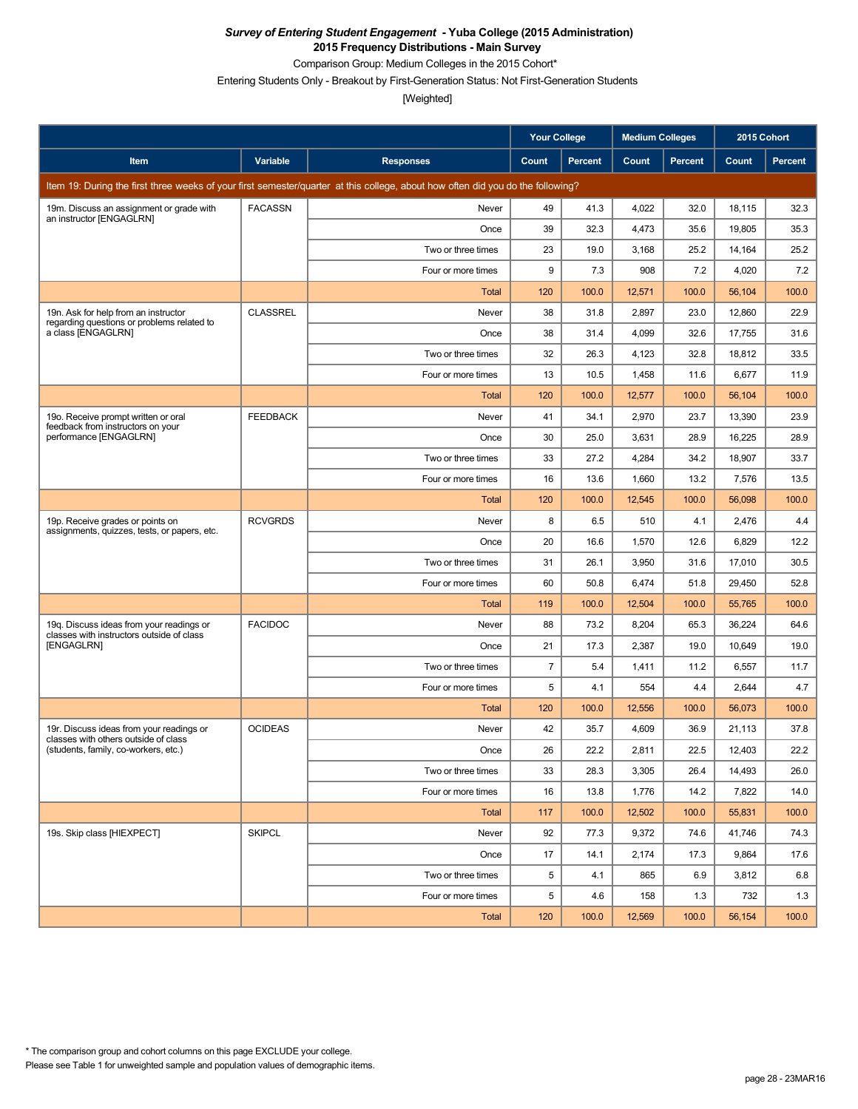Comparison Group: Medium Colleges in the 2015 Cohort\*

Entering Students Only - Breakout by First-Generation Status: Not First-Generation Students

|                                                                                       |                 |                                                                                                                                 | Your College   |                | <b>Medium Colleges</b> |         | 2015 Cohort |                |
|---------------------------------------------------------------------------------------|-----------------|---------------------------------------------------------------------------------------------------------------------------------|----------------|----------------|------------------------|---------|-------------|----------------|
| Item                                                                                  | Variable        | <b>Responses</b>                                                                                                                | Count          | <b>Percent</b> | Count                  | Percent | Count       | <b>Percent</b> |
|                                                                                       |                 | Item 19: During the first three weeks of your first semester/quarter at this college, about how often did you do the following? |                |                |                        |         |             |                |
| 19m. Discuss an assignment or grade with                                              | <b>FACASSN</b>  | Never                                                                                                                           | 49             | 41.3           | 4,022                  | 32.0    | 18,115      | 32.3           |
| an instructor [ENGAGLRN]                                                              |                 | Once                                                                                                                            | 39             | 32.3           | 4,473                  | 35.6    | 19,805      | 35.3           |
|                                                                                       |                 | Two or three times                                                                                                              | 23             | 19.0           | 3,168                  | 25.2    | 14,164      | 25.2           |
|                                                                                       |                 | Four or more times                                                                                                              | 9              | 7.3            | 908                    | 7.2     | 4,020       | 7.2            |
|                                                                                       |                 | Total                                                                                                                           | 120            | 100.0          | 12,571                 | 100.0   | 56,104      | 100.0          |
| 19n. Ask for help from an instructor<br>regarding questions or problems related to    | <b>CLASSREL</b> | Never                                                                                                                           | 38             | 31.8           | 2,897                  | 23.0    | 12,860      | 22.9           |
| a class [ENGAGLRN]                                                                    |                 | Once                                                                                                                            | 38             | 31.4           | 4,099                  | 32.6    | 17,755      | 31.6           |
|                                                                                       |                 | Two or three times                                                                                                              | 32             | 26.3           | 4,123                  | 32.8    | 18,812      | 33.5           |
|                                                                                       |                 | Four or more times                                                                                                              | 13             | 10.5           | 1,458                  | 11.6    | 6,677       | 11.9           |
|                                                                                       |                 | <b>Total</b>                                                                                                                    | 120            | 100.0          | 12,577                 | 100.0   | 56,104      | 100.0          |
| 19o. Receive prompt written or oral<br>feedback from instructors on your              | <b>FEEDBACK</b> | Never                                                                                                                           | 41             | 34.1           | 2,970                  | 23.7    | 13,390      | 23.9           |
| performance [ENGAGLRN]                                                                |                 | Once                                                                                                                            | 30             | 25.0           | 3,631                  | 28.9    | 16,225      | 28.9           |
|                                                                                       |                 | Two or three times                                                                                                              | 33             | 27.2           | 4,284                  | 34.2    | 18,907      | 33.7           |
|                                                                                       |                 | Four or more times                                                                                                              | 16             | 13.6           | 1,660                  | 13.2    | 7,576       | 13.5           |
|                                                                                       |                 | Total                                                                                                                           | 120            | 100.0          | 12,545                 | 100.0   | 56,098      | 100.0          |
| 19p. Receive grades or points on<br>assignments, quizzes, tests, or papers, etc.      | <b>RCVGRDS</b>  | Never                                                                                                                           | 8              | 6.5            | 510                    | 4.1     | 2,476       | 4.4            |
|                                                                                       |                 | Once                                                                                                                            | 20             | 16.6           | 1,570                  | 12.6    | 6,829       | 12.2           |
|                                                                                       |                 | Two or three times                                                                                                              | 31             | 26.1           | 3,950                  | 31.6    | 17,010      | 30.5           |
|                                                                                       |                 | Four or more times                                                                                                              | 60             | 50.8           | 6,474                  | 51.8    | 29,450      | 52.8           |
|                                                                                       |                 | Total                                                                                                                           | 119            | 100.0          | 12,504                 | 100.0   | 55,765      | 100.0          |
| 19g. Discuss ideas from your readings or<br>classes with instructors outside of class | <b>FACIDOC</b>  | Never                                                                                                                           | 88             | 73.2           | 8,204                  | 65.3    | 36,224      | 64.6           |
| [ENGAGLRN]                                                                            |                 | Once                                                                                                                            | 21             | 17.3           | 2,387                  | 19.0    | 10,649      | 19.0           |
|                                                                                       |                 | Two or three times                                                                                                              | $\overline{7}$ | 5.4            | 1,411                  | 11.2    | 6,557       | 11.7           |
|                                                                                       |                 | Four or more times                                                                                                              | 5              | 4.1            | 554                    | 4.4     | 2,644       | 4.7            |
|                                                                                       |                 | Total                                                                                                                           | 120            | 100.0          | 12,556                 | 100.0   | 56,073      | 100.0          |
| 19r. Discuss ideas from your readings or<br>classes with others outside of class      | <b>OCIDEAS</b>  | Never                                                                                                                           | 42             | 35.7           | 4,609                  | 36.9    | 21,113      | 37.8           |
| (students, family, co-workers, etc.)                                                  |                 | Once                                                                                                                            | 26             | 22.2           | 2,811                  | 22.5    | 12,403      | 22.2           |
|                                                                                       |                 | Two or three times                                                                                                              | 33             | 28.3           | 3,305                  | 26.4    | 14,493      | 26.0           |
|                                                                                       |                 | Four or more times                                                                                                              | 16             | 13.8           | 1,776                  | 14.2    | 7,822       | 14.0           |
|                                                                                       |                 | Total                                                                                                                           | 117            | 100.0          | 12,502                 | 100.0   | 55,831      | 100.0          |
| 19s. Skip class [HIEXPECT]                                                            | <b>SKIPCL</b>   | Never                                                                                                                           | 92             | 77.3           | 9,372                  | 74.6    | 41,746      | 74.3           |
|                                                                                       |                 | Once                                                                                                                            | 17             | 14.1           | 2,174                  | 17.3    | 9,864       | 17.6           |
|                                                                                       |                 | Two or three times                                                                                                              | 5              | 4.1            | 865                    | 6.9     | 3,812       | 6.8            |
|                                                                                       |                 | Four or more times                                                                                                              | 5              | 4.6            | 158                    | 1.3     | 732         | 1.3            |
|                                                                                       |                 | Total                                                                                                                           | 120            | 100.0          | 12,569                 | 100.0   | 56,154      | 100.0          |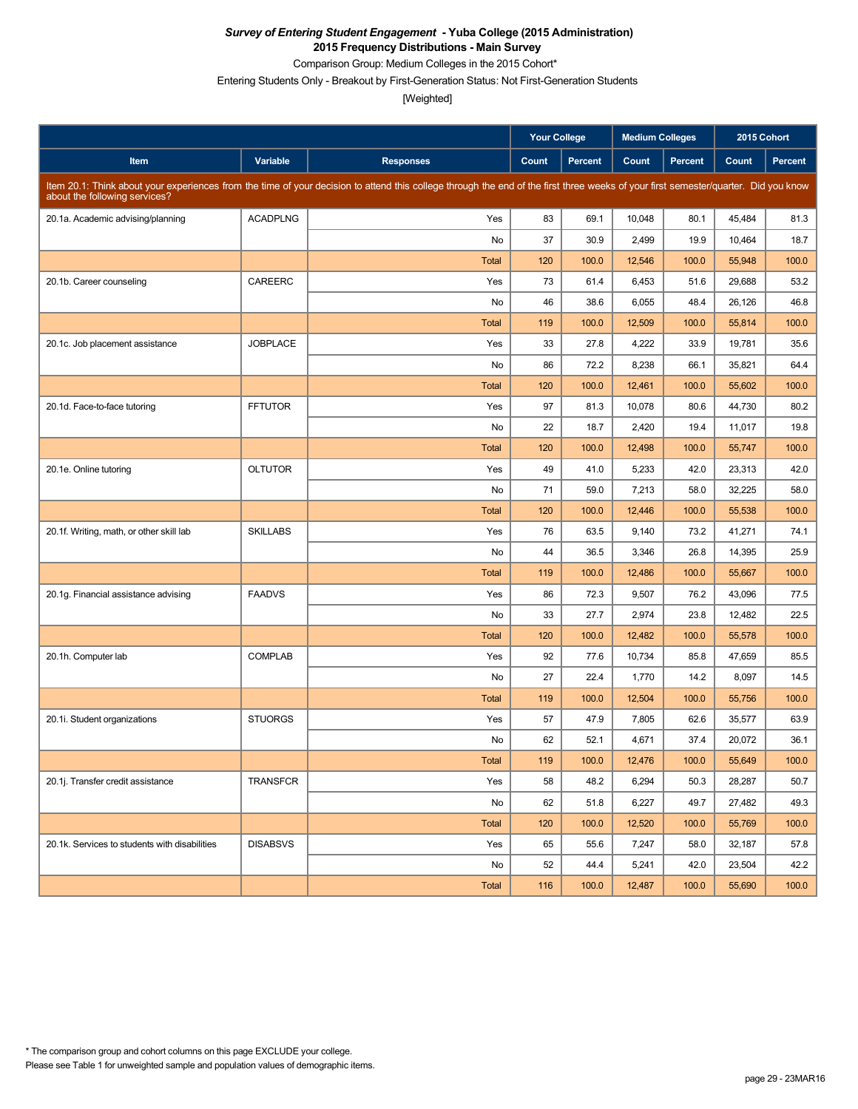Comparison Group: Medium Colleges in the 2015 Cohort\*

Entering Students Only - Breakout by First-Generation Status: Not First-Generation Students

|                                               |                 |                                                                                                                                                                                     | <b>Your College</b> |                | <b>Medium Colleges</b> |                | 2015 Cohort |         |
|-----------------------------------------------|-----------------|-------------------------------------------------------------------------------------------------------------------------------------------------------------------------------------|---------------------|----------------|------------------------|----------------|-------------|---------|
| Item                                          | Variable        | <b>Responses</b>                                                                                                                                                                    | Count               | <b>Percent</b> | Count                  | <b>Percent</b> | Count       | Percent |
| about the following services?                 |                 | Item 20.1: Think about your experiences from the time of your decision to attend this college through the end of the first three weeks of your first semester/quarter. Did you know |                     |                |                        |                |             |         |
| 20.1a. Academic advising/planning             | <b>ACADPLNG</b> | Yes                                                                                                                                                                                 | 83                  | 69.1           | 10,048                 | 80.1           | 45,484      | 81.3    |
|                                               |                 | No                                                                                                                                                                                  | 37                  | 30.9           | 2,499                  | 19.9           | 10,464      | 18.7    |
|                                               |                 | <b>Total</b>                                                                                                                                                                        | 120                 | 100.0          | 12,546                 | 100.0          | 55,948      | 100.0   |
| 20.1b. Career counseling                      | CAREERC         | Yes                                                                                                                                                                                 | 73                  | 61.4           | 6,453                  | 51.6           | 29,688      | 53.2    |
|                                               |                 | No                                                                                                                                                                                  | 46                  | 38.6           | 6,055                  | 48.4           | 26,126      | 46.8    |
|                                               |                 | <b>Total</b>                                                                                                                                                                        | 119                 | 100.0          | 12,509                 | 100.0          | 55,814      | 100.0   |
| 20.1c. Job placement assistance               | <b>JOBPLACE</b> | Yes                                                                                                                                                                                 | 33                  | 27.8           | 4,222                  | 33.9           | 19,781      | 35.6    |
|                                               |                 | No                                                                                                                                                                                  | 86                  | 72.2           | 8,238                  | 66.1           | 35,821      | 64.4    |
|                                               |                 | <b>Total</b>                                                                                                                                                                        | 120                 | 100.0          | 12,461                 | 100.0          | 55,602      | 100.0   |
| 20.1d. Face-to-face tutoring                  | <b>FFTUTOR</b>  | Yes                                                                                                                                                                                 | 97                  | 81.3           | 10,078                 | 80.6           | 44,730      | 80.2    |
|                                               |                 | No                                                                                                                                                                                  | 22                  | 18.7           | 2,420                  | 19.4           | 11,017      | 19.8    |
|                                               |                 | <b>Total</b>                                                                                                                                                                        | 120                 | 100.0          | 12,498                 | 100.0          | 55,747      | 100.0   |
| 20.1e. Online tutoring                        | <b>OLTUTOR</b>  | Yes                                                                                                                                                                                 | 49                  | 41.0           | 5,233                  | 42.0           | 23,313      | 42.0    |
|                                               |                 | No                                                                                                                                                                                  | 71                  | 59.0           | 7,213                  | 58.0           | 32,225      | 58.0    |
|                                               |                 | <b>Total</b>                                                                                                                                                                        | 120                 | 100.0          | 12,446                 | 100.0          | 55,538      | 100.0   |
| 20.1f. Writing, math, or other skill lab      | <b>SKILLABS</b> | Yes                                                                                                                                                                                 | 76                  | 63.5           | 9,140                  | 73.2           | 41,271      | 74.1    |
|                                               |                 | No                                                                                                                                                                                  | 44                  | 36.5           | 3,346                  | 26.8           | 14,395      | 25.9    |
|                                               |                 | <b>Total</b>                                                                                                                                                                        | 119                 | 100.0          | 12,486                 | 100.0          | 55,667      | 100.0   |
| 20.1g. Financial assistance advising          | <b>FAADVS</b>   | Yes                                                                                                                                                                                 | 86                  | 72.3           | 9,507                  | 76.2           | 43,096      | 77.5    |
|                                               |                 | No                                                                                                                                                                                  | 33                  | 27.7           | 2,974                  | 23.8           | 12,482      | 22.5    |
|                                               |                 | <b>Total</b>                                                                                                                                                                        | 120                 | 100.0          | 12,482                 | 100.0          | 55,578      | 100.0   |
| 20.1h. Computer lab                           | <b>COMPLAB</b>  | Yes                                                                                                                                                                                 | 92                  | 77.6           | 10,734                 | 85.8           | 47,659      | 85.5    |
|                                               |                 | No                                                                                                                                                                                  | 27                  | 22.4           | 1,770                  | 14.2           | 8,097       | 14.5    |
|                                               |                 | <b>Total</b>                                                                                                                                                                        | 119                 | 100.0          | 12,504                 | 100.0          | 55,756      | 100.0   |
| 20.1i. Student organizations                  | <b>STUORGS</b>  | Yes                                                                                                                                                                                 | 57                  | 47.9           | 7,805                  | 62.6           | 35,577      | 63.9    |
|                                               |                 | No                                                                                                                                                                                  | 62                  | 52.1           | 4,671                  | 37.4           | 20,072      | 36.1    |
|                                               |                 | <b>Total</b>                                                                                                                                                                        | 119                 | 100.0          | 12,476                 | 100.0          | 55,649      | 100.0   |
| 20.1j. Transfer credit assistance             | TRANSFCR        | Yes                                                                                                                                                                                 | 58                  | 48.2           | 6,294                  | 50.3           | 28,287      | 50.7    |
|                                               |                 | No                                                                                                                                                                                  | 62                  | 51.8           | 6,227                  | 49.7           | 27,482      | 49.3    |
|                                               |                 | Total                                                                                                                                                                               | 120                 | 100.0          | 12,520                 | 100.0          | 55,769      | 100.0   |
| 20.1k. Services to students with disabilities | <b>DISABSVS</b> | Yes                                                                                                                                                                                 | 65                  | 55.6           | 7,247                  | 58.0           | 32,187      | 57.8    |
|                                               |                 | No                                                                                                                                                                                  | 52                  | 44.4           | 5,241                  | 42.0           | 23,504      | 42.2    |
|                                               |                 | Total                                                                                                                                                                               | 116                 | 100.0          | 12,487                 | 100.0          | 55,690      | 100.0   |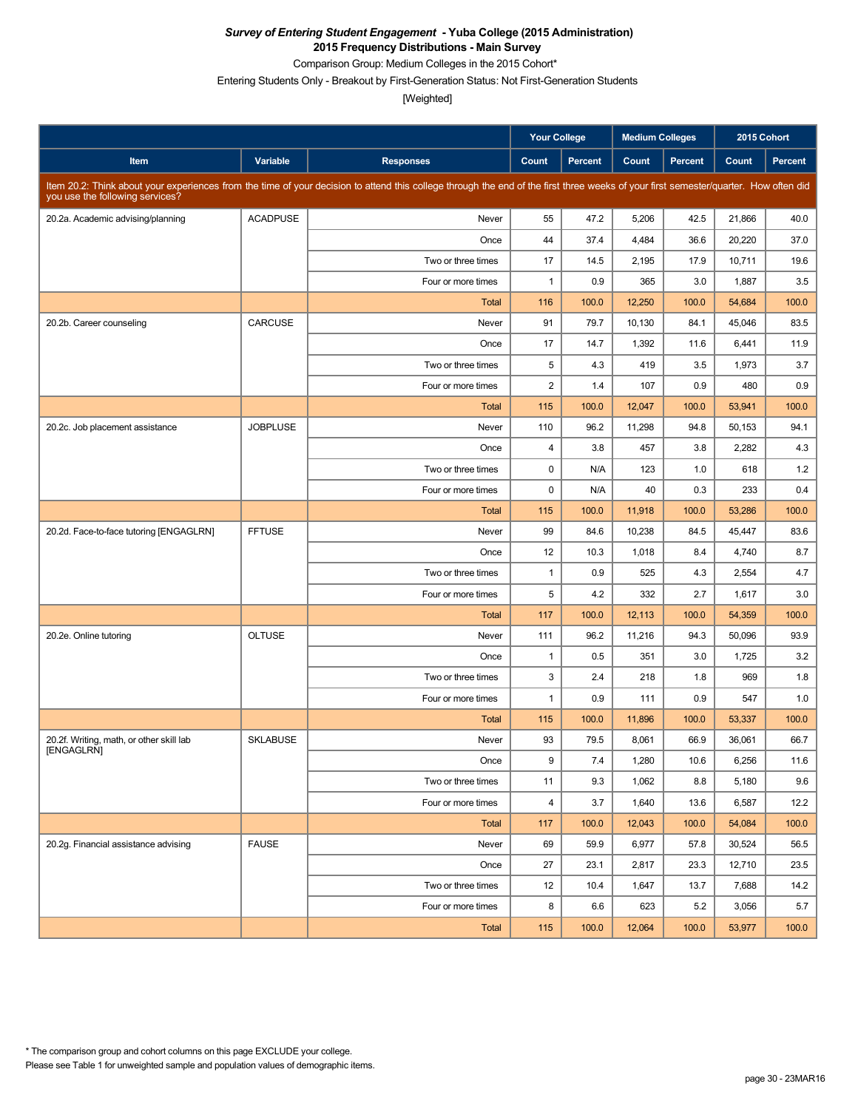Comparison Group: Medium Colleges in the 2015 Cohort\*

Entering Students Only - Breakout by First-Generation Status: Not First-Generation Students

|                                          |                 |                                                                                                                                                                                      | Your College            |                | <b>Medium Colleges</b> |                | 2015 Cohort |                |
|------------------------------------------|-----------------|--------------------------------------------------------------------------------------------------------------------------------------------------------------------------------------|-------------------------|----------------|------------------------|----------------|-------------|----------------|
| Item                                     | Variable        | <b>Responses</b>                                                                                                                                                                     | Count                   | <b>Percent</b> | Count                  | <b>Percent</b> | Count       | <b>Percent</b> |
| you use the following services?          |                 | Item 20.2: Think about your experiences from the time of your decision to attend this college through the end of the first three weeks of your first semester/quarter. How often did |                         |                |                        |                |             |                |
| 20.2a. Academic advising/planning        | <b>ACADPUSE</b> | Never                                                                                                                                                                                | 55                      | 47.2           | 5,206                  | 42.5           | 21,866      | 40.0           |
|                                          |                 | Once                                                                                                                                                                                 | 44                      | 37.4           | 4,484                  | 36.6           | 20,220      | 37.0           |
|                                          |                 | Two or three times                                                                                                                                                                   | 17                      | 14.5           | 2,195                  | 17.9           | 10,711      | 19.6           |
|                                          |                 | Four or more times                                                                                                                                                                   | $\mathbf{1}$            | 0.9            | 365                    | 3.0            | 1,887       | 3.5            |
|                                          |                 | Total                                                                                                                                                                                | 116                     | 100.0          | 12,250                 | 100.0          | 54,684      | 100.0          |
| 20.2b. Career counseling                 | CARCUSE         | Never                                                                                                                                                                                | 91                      | 79.7           | 10,130                 | 84.1           | 45,046      | 83.5           |
|                                          |                 | Once                                                                                                                                                                                 | 17                      | 14.7           | 1,392                  | 11.6           | 6,441       | 11.9           |
|                                          |                 | Two or three times                                                                                                                                                                   | 5                       | 4.3            | 419                    | 3.5            | 1,973       | 3.7            |
|                                          |                 | Four or more times                                                                                                                                                                   | $\overline{2}$          | 1.4            | 107                    | 0.9            | 480         | 0.9            |
|                                          |                 | Total                                                                                                                                                                                | 115                     | 100.0          | 12,047                 | 100.0          | 53,941      | 100.0          |
| 20.2c. Job placement assistance          | <b>JOBPLUSE</b> | Never                                                                                                                                                                                | 110                     | 96.2           | 11,298                 | 94.8           | 50,153      | 94.1           |
|                                          |                 | Once                                                                                                                                                                                 | 4                       | 3.8            | 457                    | 3.8            | 2,282       | 4.3            |
|                                          |                 | Two or three times                                                                                                                                                                   | $\mathbf 0$             | N/A            | 123                    | 1.0            | 618         | 1.2            |
|                                          |                 | Four or more times                                                                                                                                                                   | $\mathbf 0$             | N/A            | 40                     | 0.3            | 233         | 0.4            |
|                                          |                 | <b>Total</b>                                                                                                                                                                         | 115                     | 100.0          | 11,918                 | 100.0          | 53,286      | 100.0          |
| 20.2d. Face-to-face tutoring [ENGAGLRN]  | <b>FFTUSE</b>   | Never                                                                                                                                                                                | 99                      | 84.6           | 10,238                 | 84.5           | 45,447      | 83.6           |
|                                          |                 | Once                                                                                                                                                                                 | 12                      | 10.3           | 1,018                  | 8.4            | 4,740       | 8.7            |
|                                          |                 | Two or three times                                                                                                                                                                   | $\mathbf{1}$            | 0.9            | 525                    | 4.3            | 2,554       | 4.7            |
|                                          |                 | Four or more times                                                                                                                                                                   | 5                       | 4.2            | 332                    | 2.7            | 1,617       | 3.0            |
|                                          |                 | <b>Total</b>                                                                                                                                                                         | 117                     | 100.0          | 12,113                 | 100.0          | 54,359      | 100.0          |
| 20.2e. Online tutoring                   | <b>OLTUSE</b>   | Never                                                                                                                                                                                | 111                     | 96.2           | 11,216                 | 94.3           | 50,096      | 93.9           |
|                                          |                 | Once                                                                                                                                                                                 | $\mathbf{1}$            | 0.5            | 351                    | 3.0            | 1,725       | 3.2            |
|                                          |                 | Two or three times                                                                                                                                                                   | 3                       | 2.4            | 218                    | 1.8            | 969         | 1.8            |
|                                          |                 | Four or more times                                                                                                                                                                   | $\mathbf{1}$            | 0.9            | 111                    | 0.9            | 547         | 1.0            |
|                                          |                 | <b>Total</b>                                                                                                                                                                         | 115                     | 100.0          | 11,896                 | 100.0          | 53,337      | 100.0          |
| 20.2f. Writing, math, or other skill lab | <b>SKLABUSE</b> | Never                                                                                                                                                                                | 93                      | 79.5           | 8,061                  | 66.9           | 36,061      | 66.7           |
| [ENGAGLRN]                               |                 | Once                                                                                                                                                                                 | 9                       | 7.4            | 1,280                  | 10.6           | 6,256       | 11.6           |
|                                          |                 | Two or three times                                                                                                                                                                   | 11                      | 9.3            | 1,062                  | 8.8            | 5,180       | 9.6            |
|                                          |                 | Four or more times                                                                                                                                                                   | $\overline{\mathbf{4}}$ | 3.7            | 1,640                  | 13.6           | 6,587       | 12.2           |
|                                          |                 | Total                                                                                                                                                                                | 117                     | 100.0          | 12,043                 | 100.0          | 54,084      | 100.0          |
| 20.2g. Financial assistance advising     | <b>FAUSE</b>    | Never                                                                                                                                                                                | 69                      | 59.9           | 6,977                  | 57.8           | 30,524      | 56.5           |
|                                          |                 | Once                                                                                                                                                                                 | 27                      | 23.1           | 2,817                  | 23.3           | 12,710      | 23.5           |
|                                          |                 | Two or three times                                                                                                                                                                   | 12                      | 10.4           | 1,647                  | 13.7           | 7,688       | 14.2           |
|                                          |                 | Four or more times                                                                                                                                                                   | 8                       | 6.6            | 623                    | 5.2            | 3,056       | 5.7            |
|                                          |                 | Total                                                                                                                                                                                | 115                     | 100.0          | 12,064                 | 100.0          | 53,977      | 100.0          |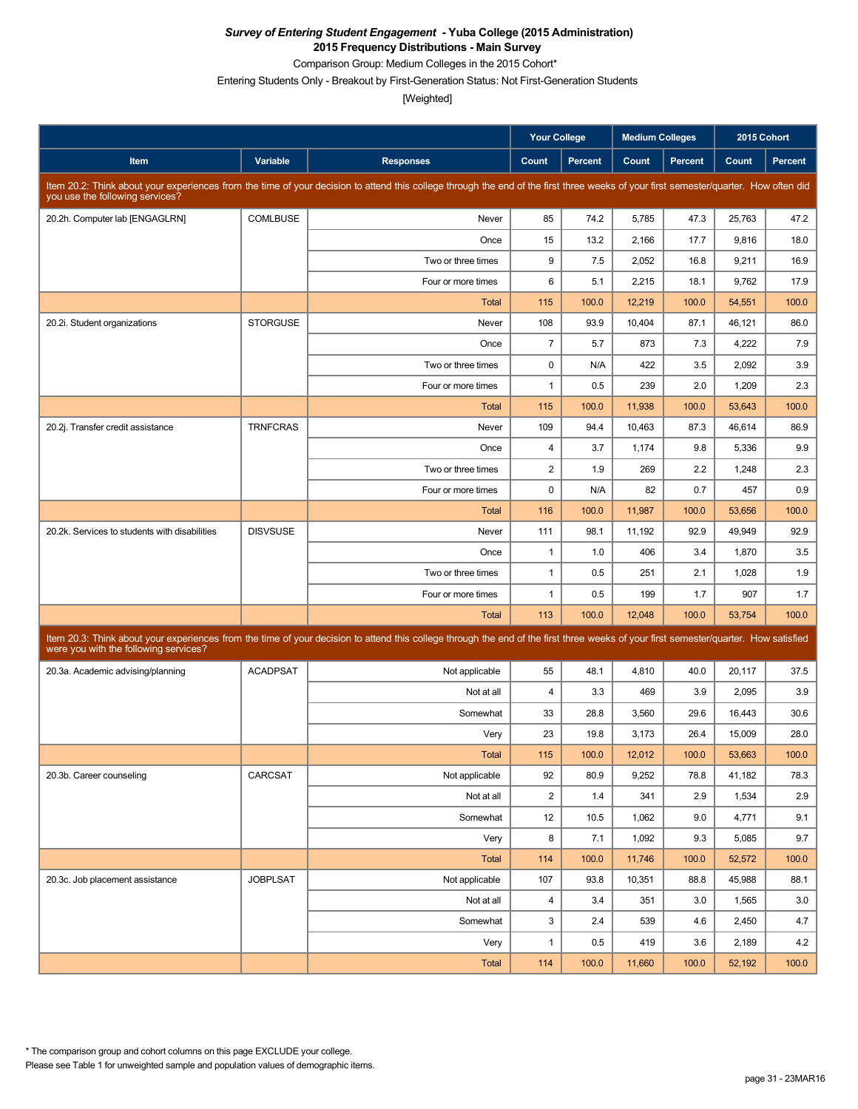Comparison Group: Medium Colleges in the 2015 Cohort\*

Entering Students Only - Breakout by First-Generation Status: Not First-Generation Students

|                                               |                 |                                                                                                                                                                                      | <b>Your College</b> |                | <b>Medium Colleges</b> |         | 2015 Cohort |         |
|-----------------------------------------------|-----------------|--------------------------------------------------------------------------------------------------------------------------------------------------------------------------------------|---------------------|----------------|------------------------|---------|-------------|---------|
| Item                                          | Variable        | <b>Responses</b>                                                                                                                                                                     | Count               | <b>Percent</b> | Count                  | Percent | Count       | Percent |
| you use the following services?               |                 | Item 20.2: Think about your experiences from the time of your decision to attend this college through the end of the first three weeks of your first semester/quarter. How often did |                     |                |                        |         |             |         |
| 20.2h. Computer lab [ENGAGLRN]                | <b>COMLBUSE</b> | Never                                                                                                                                                                                | 85                  | 74.2           | 5,785                  | 47.3    | 25,763      | 47.2    |
|                                               |                 | Once                                                                                                                                                                                 | 15                  | 13.2           | 2,166                  | 17.7    | 9,816       | 18.0    |
|                                               |                 | Two or three times                                                                                                                                                                   | 9                   | 7.5            | 2,052                  | 16.8    | 9,211       | 16.9    |
|                                               |                 | Four or more times                                                                                                                                                                   | 6                   | 5.1            | 2,215                  | 18.1    | 9,762       | 17.9    |
|                                               |                 | <b>Total</b>                                                                                                                                                                         | 115                 | 100.0          | 12,219                 | 100.0   | 54,551      | 100.0   |
| 20.2i. Student organizations                  | <b>STORGUSE</b> | Never                                                                                                                                                                                | 108                 | 93.9           | 10,404                 | 87.1    | 46,121      | 86.0    |
|                                               |                 | Once                                                                                                                                                                                 | $\overline{7}$      | 5.7            | 873                    | 7.3     | 4,222       | 7.9     |
|                                               |                 | Two or three times                                                                                                                                                                   | $\mathbf 0$         | N/A            | 422                    | 3.5     | 2,092       | 3.9     |
|                                               |                 | Four or more times                                                                                                                                                                   | $\mathbf{1}$        | 0.5            | 239                    | 2.0     | 1,209       | 2.3     |
|                                               |                 | Total                                                                                                                                                                                | 115                 | 100.0          | 11,938                 | 100.0   | 53,643      | 100.0   |
| 20.2j. Transfer credit assistance             | <b>TRNFCRAS</b> | Never                                                                                                                                                                                | 109                 | 94.4           | 10,463                 | 87.3    | 46,614      | 86.9    |
|                                               |                 | Once                                                                                                                                                                                 | 4                   | 3.7            | 1,174                  | 9.8     | 5,336       | 9.9     |
|                                               |                 | Two or three times                                                                                                                                                                   | $\sqrt{2}$          | 1.9            | 269                    | 2.2     | 1,248       | 2.3     |
|                                               |                 | Four or more times                                                                                                                                                                   | $\mathbf 0$         | N/A            | 82                     | 0.7     | 457         | 0.9     |
|                                               |                 | <b>Total</b>                                                                                                                                                                         | 116                 | 100.0          | 11,987                 | 100.0   | 53,656      | 100.0   |
| 20.2k. Services to students with disabilities | <b>DISVSUSE</b> | Never                                                                                                                                                                                | 111                 | 98.1           | 11,192                 | 92.9    | 49,949      | 92.9    |
|                                               |                 | Once                                                                                                                                                                                 | $\mathbf{1}$        | 1.0            | 406                    | 3.4     | 1,870       | 3.5     |
|                                               |                 | Two or three times                                                                                                                                                                   | $\mathbf{1}$        | 0.5            | 251                    | 2.1     | 1,028       | 1.9     |
|                                               |                 | Four or more times                                                                                                                                                                   | $\mathbf{1}$        | 0.5            | 199                    | 1.7     | 907         | 1.7     |
|                                               |                 | <b>Total</b>                                                                                                                                                                         | 113                 | 100.0          | 12,048                 | 100.0   | 53,754      | 100.0   |
| were you with the following services?         |                 | Item 20.3: Think about your experiences from the time of your decision to attend this college through the end of the first three weeks of your first semester/quarter. How satisfied |                     |                |                        |         |             |         |
| 20.3a. Academic advising/planning             | <b>ACADPSAT</b> | Not applicable                                                                                                                                                                       | 55                  | 48.1           | 4,810                  | 40.0    | 20,117      | 37.5    |
|                                               |                 | Not at all                                                                                                                                                                           | 4                   | 3.3            | 469                    | 3.9     | 2,095       | 3.9     |
|                                               |                 | Somewhat                                                                                                                                                                             | 33                  | 28.8           | 3,560                  | 29.6    | 16,443      | 30.6    |
|                                               |                 | Very                                                                                                                                                                                 | 23                  | 19.8           | 3,173                  | 26.4    | 15.009      | 28.0    |
|                                               |                 | Total                                                                                                                                                                                | 115                 | 100.0          | 12,012                 | 100.0   | 53,663      | 100.0   |
| 20.3b. Career counseling                      | CARCSAT         | Not applicable                                                                                                                                                                       | 92                  | 80.9           | 9,252                  | 78.8    | 41,182      | 78.3    |
|                                               |                 | Not at all                                                                                                                                                                           | $\overline{c}$      | 1.4            | 341                    | 2.9     | 1,534       | 2.9     |
|                                               |                 | Somewhat                                                                                                                                                                             | 12                  | 10.5           | 1,062                  | 9.0     | 4,771       | 9.1     |
|                                               |                 | Very                                                                                                                                                                                 | 8                   | 7.1            | 1,092                  | 9.3     | 5,085       | 9.7     |
|                                               |                 | Total                                                                                                                                                                                | 114                 | 100.0          | 11,746                 | 100.0   | 52,572      | 100.0   |
| 20.3c. Job placement assistance               | <b>JOBPLSAT</b> | Not applicable                                                                                                                                                                       | 107                 | 93.8           | 10,351                 | 88.8    | 45,988      | 88.1    |
|                                               |                 | Not at all                                                                                                                                                                           | $\overline{4}$      | 3.4            | 351                    | 3.0     | 1,565       | 3.0     |
|                                               |                 | Somewhat                                                                                                                                                                             | 3                   | 2.4            | 539                    | 4.6     | 2,450       | 4.7     |
|                                               |                 | Very                                                                                                                                                                                 | $\mathbf{1}$        | 0.5            | 419                    | 3.6     | 2,189       | 4.2     |
|                                               |                 | Total                                                                                                                                                                                | 114                 | 100.0          | 11,660                 | 100.0   | 52,192      | 100.0   |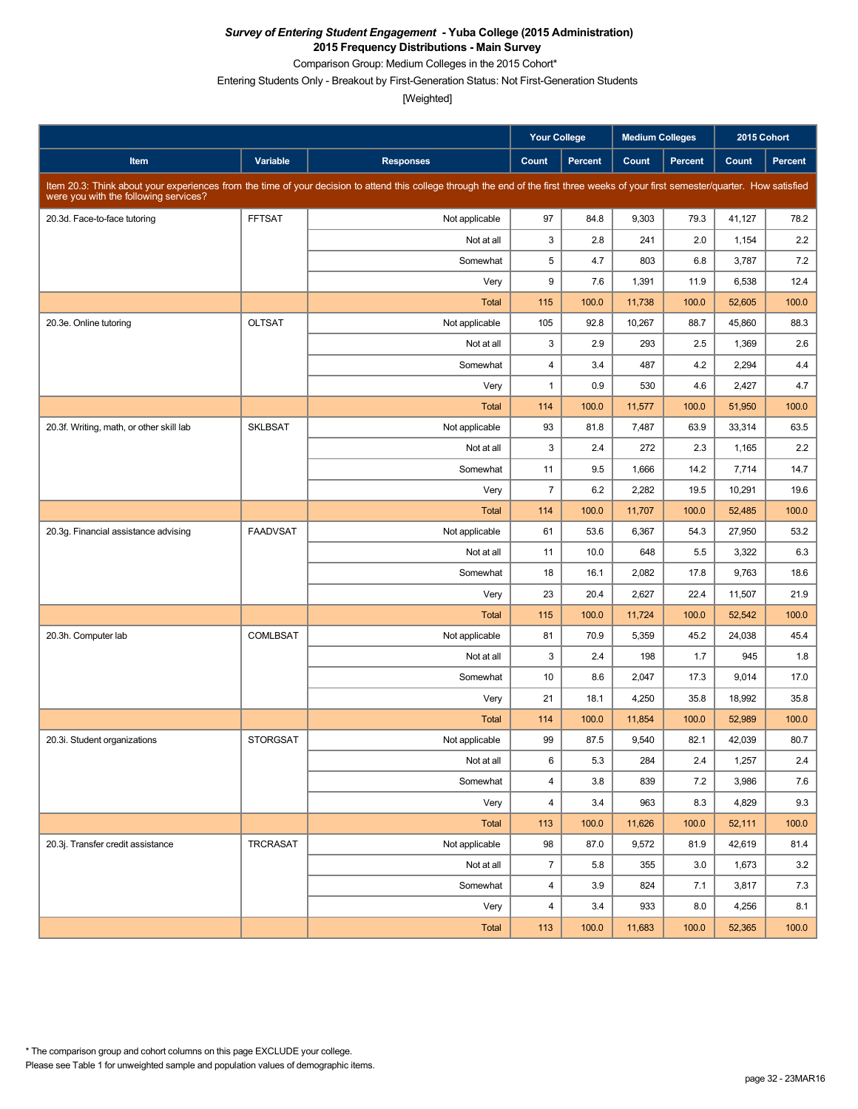Comparison Group: Medium Colleges in the 2015 Cohort\*

Entering Students Only - Breakout by First-Generation Status: Not First-Generation Students

|                                          |                 |                                                                                                                                                                                      | <b>Your College</b>     |         | <b>Medium Colleges</b> |         | 2015 Cohort |         |
|------------------------------------------|-----------------|--------------------------------------------------------------------------------------------------------------------------------------------------------------------------------------|-------------------------|---------|------------------------|---------|-------------|---------|
| Item                                     | Variable        | <b>Responses</b>                                                                                                                                                                     | Count                   | Percent | Count                  | Percent | Count       | Percent |
| were you with the following services?    |                 | Item 20.3: Think about your experiences from the time of your decision to attend this college through the end of the first three weeks of your first semester/quarter. How satisfied |                         |         |                        |         |             |         |
| 20.3d. Face-to-face tutoring             | <b>FFTSAT</b>   | Not applicable                                                                                                                                                                       | 97                      | 84.8    | 9,303                  | 79.3    | 41,127      | 78.2    |
|                                          |                 | Not at all                                                                                                                                                                           | 3                       | 2.8     | 241                    | 2.0     | 1,154       | 2.2     |
|                                          |                 | Somewhat                                                                                                                                                                             | 5                       | 4.7     | 803                    | 6.8     | 3,787       | 7.2     |
|                                          |                 | Very                                                                                                                                                                                 | 9                       | 7.6     | 1,391                  | 11.9    | 6,538       | 12.4    |
|                                          |                 | Total                                                                                                                                                                                | 115                     | 100.0   | 11,738                 | 100.0   | 52,605      | 100.0   |
| 20.3e. Online tutoring                   | <b>OLTSAT</b>   | Not applicable                                                                                                                                                                       | 105                     | 92.8    | 10,267                 | 88.7    | 45.860      | 88.3    |
|                                          |                 | Not at all                                                                                                                                                                           | 3                       | 2.9     | 293                    | 2.5     | 1,369       | 2.6     |
|                                          |                 | Somewhat                                                                                                                                                                             | $\overline{\mathbf{4}}$ | 3.4     | 487                    | 4.2     | 2,294       | 4.4     |
|                                          |                 | Very                                                                                                                                                                                 | $\mathbf{1}$            | 0.9     | 530                    | 4.6     | 2,427       | 4.7     |
|                                          |                 | Total                                                                                                                                                                                | 114                     | 100.0   | 11,577                 | 100.0   | 51,950      | 100.0   |
| 20.3f. Writing, math, or other skill lab | <b>SKLBSAT</b>  | Not applicable                                                                                                                                                                       | 93                      | 81.8    | 7,487                  | 63.9    | 33,314      | 63.5    |
|                                          |                 | Not at all                                                                                                                                                                           | 3                       | 2.4     | 272                    | 2.3     | 1,165       | 2.2     |
|                                          |                 | Somewhat                                                                                                                                                                             | 11                      | 9.5     | 1,666                  | 14.2    | 7,714       | 14.7    |
|                                          |                 | Very                                                                                                                                                                                 | $\overline{7}$          | 6.2     | 2,282                  | 19.5    | 10,291      | 19.6    |
|                                          |                 | Total                                                                                                                                                                                | 114                     | 100.0   | 11,707                 | 100.0   | 52,485      | 100.0   |
| 20.3g. Financial assistance advising     | <b>FAADVSAT</b> | Not applicable                                                                                                                                                                       | 61                      | 53.6    | 6,367                  | 54.3    | 27,950      | 53.2    |
|                                          |                 | Not at all                                                                                                                                                                           | 11                      | 10.0    | 648                    | 5.5     | 3,322       | 6.3     |
|                                          |                 | Somewhat                                                                                                                                                                             | 18                      | 16.1    | 2,082                  | 17.8    | 9,763       | 18.6    |
|                                          |                 | Very                                                                                                                                                                                 | 23                      | 20.4    | 2,627                  | 22.4    | 11,507      | 21.9    |
|                                          |                 | Total                                                                                                                                                                                | 115                     | 100.0   | 11,724                 | 100.0   | 52,542      | 100.0   |
| 20.3h. Computer lab                      | <b>COMLBSAT</b> | Not applicable                                                                                                                                                                       | 81                      | 70.9    | 5,359                  | 45.2    | 24,038      | 45.4    |
|                                          |                 | Not at all                                                                                                                                                                           | 3                       | 2.4     | 198                    | 1.7     | 945         | 1.8     |
|                                          |                 | Somewhat                                                                                                                                                                             | 10                      | 8.6     | 2,047                  | 17.3    | 9,014       | 17.0    |
|                                          |                 | Very                                                                                                                                                                                 | 21                      | 18.1    | 4,250                  | 35.8    | 18,992      | 35.8    |
|                                          |                 | Total                                                                                                                                                                                | 114                     | 100.0   | 11,854                 | 100.0   | 52,989      | 100.0   |
| 20.3i. Student organizations             | <b>STORGSAT</b> | Not applicable                                                                                                                                                                       | 99                      | 87.5    | 9,540                  | 82.1    | 42,039      | 80.7    |
|                                          |                 | Not at all                                                                                                                                                                           | 6                       | 5.3     | 284                    | 2.4     | 1,257       | 2.4     |
|                                          |                 | Somewhat                                                                                                                                                                             | $\overline{\mathbf{4}}$ | 3.8     | 839                    | 7.2     | 3,986       | 7.6     |
|                                          |                 | Very                                                                                                                                                                                 | $\overline{\mathbf{4}}$ | 3.4     | 963                    | 8.3     | 4,829       | 9.3     |
|                                          |                 | Total                                                                                                                                                                                | 113                     | 100.0   | 11,626                 | 100.0   | 52,111      | 100.0   |
| 20.3j. Transfer credit assistance        | TRCRASAT        | Not applicable                                                                                                                                                                       | 98                      | 87.0    | 9,572                  | 81.9    | 42,619      | 81.4    |
|                                          |                 | Not at all                                                                                                                                                                           | $\overline{7}$          | 5.8     | 355                    | 3.0     | 1,673       | 3.2     |
|                                          |                 | Somewhat                                                                                                                                                                             | $\overline{\mathbf{4}}$ | 3.9     | 824                    | 7.1     | 3,817       | 7.3     |
|                                          |                 | Very                                                                                                                                                                                 | 4                       | 3.4     | 933                    | 8.0     | 4,256       | 8.1     |
|                                          |                 | Total                                                                                                                                                                                | 113                     | 100.0   | 11,683                 | 100.0   | 52,365      | 100.0   |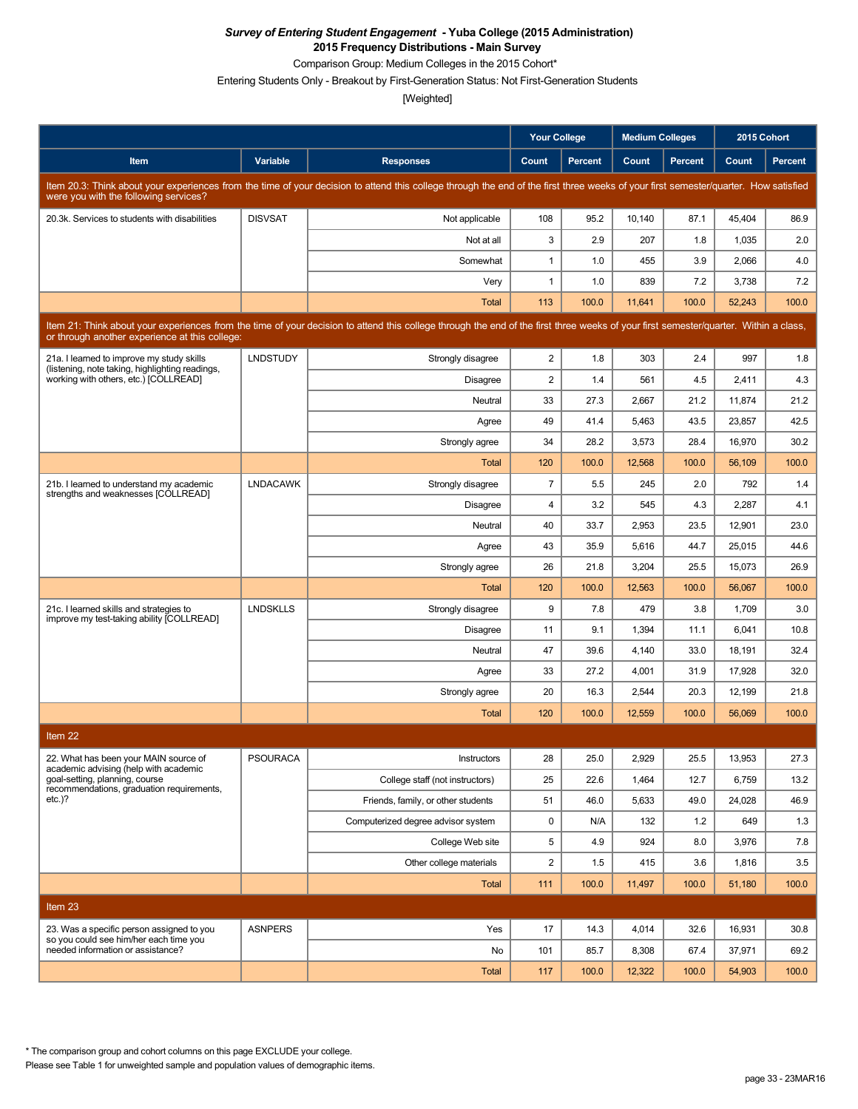Comparison Group: Medium Colleges in the 2015 Cohort\*

Entering Students Only - Breakout by First-Generation Status: Not First-Generation Students

[Weighted]

|                                                                                                                                                                                                                                        |                 |                                                                                                                                                                                      | <b>Your College</b> |                | <b>Medium Colleges</b> |         | 2015 Cohort |         |  |  |
|----------------------------------------------------------------------------------------------------------------------------------------------------------------------------------------------------------------------------------------|-----------------|--------------------------------------------------------------------------------------------------------------------------------------------------------------------------------------|---------------------|----------------|------------------------|---------|-------------|---------|--|--|
| Item                                                                                                                                                                                                                                   | Variable        | <b>Responses</b>                                                                                                                                                                     | Count               | <b>Percent</b> | Count                  | Percent | Count       | Percent |  |  |
| were you with the following services?                                                                                                                                                                                                  |                 | Item 20.3: Think about your experiences from the time of your decision to attend this college through the end of the first three weeks of your first semester/quarter. How satisfied |                     |                |                        |         |             |         |  |  |
| 20.3k. Services to students with disabilities                                                                                                                                                                                          | <b>DISVSAT</b>  | Not applicable                                                                                                                                                                       | 108                 | 95.2           | 10,140                 | 87.1    | 45,404      | 86.9    |  |  |
|                                                                                                                                                                                                                                        |                 | Not at all                                                                                                                                                                           | 3                   | 2.9            | 207                    | 1.8     | 1,035       | 2.0     |  |  |
|                                                                                                                                                                                                                                        |                 | Somewhat                                                                                                                                                                             | $\mathbf{1}$        | 1.0            | 455                    | 3.9     | 2,066       | 4.0     |  |  |
|                                                                                                                                                                                                                                        |                 | Very                                                                                                                                                                                 | $\mathbf{1}$        | 1.0            | 839                    | 7.2     | 3,738       | 7.2     |  |  |
|                                                                                                                                                                                                                                        |                 | <b>Total</b>                                                                                                                                                                         | 113                 | 100.0          | 11,641                 | 100.0   | 52,243      | 100.0   |  |  |
| Item 21: Think about your experiences from the time of your decision to attend this college through the end of the first three weeks of your first semester/quarter. Within a class,<br>or through another experience at this college: |                 |                                                                                                                                                                                      |                     |                |                        |         |             |         |  |  |
| 21a. I learned to improve my study skills<br>(listening, note taking, highlighting readings,                                                                                                                                           | <b>LNDSTUDY</b> | Strongly disagree                                                                                                                                                                    | $\overline{2}$      | 1.8            | 303                    | 2.4     | 997         | 1.8     |  |  |
| working with others, etc.) [COLLREAD]                                                                                                                                                                                                  |                 | <b>Disagree</b>                                                                                                                                                                      | $\overline{2}$      | 1.4            | 561                    | 4.5     | 2,411       | 4.3     |  |  |
|                                                                                                                                                                                                                                        |                 | Neutral                                                                                                                                                                              | 33                  | 27.3           | 2,667                  | 21.2    | 11,874      | 21.2    |  |  |
|                                                                                                                                                                                                                                        |                 | Agree                                                                                                                                                                                | 49                  | 41.4           | 5,463                  | 43.5    | 23,857      | 42.5    |  |  |
|                                                                                                                                                                                                                                        |                 | Strongly agree                                                                                                                                                                       | 34                  | 28.2           | 3,573                  | 28.4    | 16,970      | 30.2    |  |  |
|                                                                                                                                                                                                                                        |                 | Total                                                                                                                                                                                | 120                 | 100.0          | 12,568                 | 100.0   | 56.109      | 100.0   |  |  |
| 21b. I learned to understand my academic<br>strengths and weaknesses [COLLREAD]                                                                                                                                                        | <b>LNDACAWK</b> | Strongly disagree                                                                                                                                                                    | $\overline{7}$      | 5.5            | 245                    | 2.0     | 792         | 1.4     |  |  |
|                                                                                                                                                                                                                                        |                 | <b>Disagree</b>                                                                                                                                                                      | $\overline{4}$      | 3.2            | 545                    | 4.3     | 2,287       | 4.1     |  |  |
|                                                                                                                                                                                                                                        |                 | Neutral                                                                                                                                                                              | 40                  | 33.7           | 2,953                  | 23.5    | 12,901      | 23.0    |  |  |
|                                                                                                                                                                                                                                        |                 | Agree                                                                                                                                                                                | 43                  | 35.9           | 5,616                  | 44.7    | 25,015      | 44.6    |  |  |
|                                                                                                                                                                                                                                        |                 | Strongly agree                                                                                                                                                                       | 26                  | 21.8           | 3,204                  | 25.5    | 15,073      | 26.9    |  |  |
|                                                                                                                                                                                                                                        |                 | Total                                                                                                                                                                                | 120                 | 100.0          | 12,563                 | 100.0   | 56,067      | 100.0   |  |  |
| 21c. I learned skills and strategies to<br>improve my test-taking ability [COLLREAD]                                                                                                                                                   | <b>LNDSKLLS</b> | Strongly disagree                                                                                                                                                                    | 9                   | 7.8            | 479                    | 3.8     | 1,709       | 3.0     |  |  |
|                                                                                                                                                                                                                                        |                 | <b>Disagree</b>                                                                                                                                                                      | 11                  | 9.1            | 1,394                  | 11.1    | 6,041       | 10.8    |  |  |
|                                                                                                                                                                                                                                        |                 | Neutral                                                                                                                                                                              | 47                  | 39.6           | 4,140                  | 33.0    | 18,191      | 32.4    |  |  |
|                                                                                                                                                                                                                                        |                 | Agree                                                                                                                                                                                | 33                  | 27.2           | 4,001                  | 31.9    | 17,928      | 32.0    |  |  |
|                                                                                                                                                                                                                                        |                 | Strongly agree                                                                                                                                                                       | 20                  | 16.3           | 2,544                  | 20.3    | 12,199      | 21.8    |  |  |
|                                                                                                                                                                                                                                        |                 | Total                                                                                                                                                                                | 120                 | 100.0          | 12,559                 | 100.0   | 56.069      | 100.0   |  |  |
| Item 22                                                                                                                                                                                                                                |                 |                                                                                                                                                                                      |                     |                |                        |         |             |         |  |  |
| 22. What has been your MAIN source of<br>academic advising (help with academic                                                                                                                                                         | <b>PSOURACA</b> | Instructors                                                                                                                                                                          | 28                  | 25.0           | 2,929                  | 25.5    | 13,953      | 27.3    |  |  |
| goal-setting, planning, course<br>recommendations, graduation requirements,                                                                                                                                                            |                 | College staff (not instructors)                                                                                                                                                      | 25                  | 22.6           | 1,464                  | 12.7    | 6,759       | 13.2    |  |  |
| $etc.$ )?                                                                                                                                                                                                                              |                 | Friends, family, or other students                                                                                                                                                   | 51                  | 46.0           | 5,633                  | 49.0    | 24.028      | 46.9    |  |  |
|                                                                                                                                                                                                                                        |                 | Computerized degree advisor system                                                                                                                                                   | 0                   | N/A            | 132                    | 1.2     | 649         | 1.3     |  |  |
|                                                                                                                                                                                                                                        |                 | College Web site                                                                                                                                                                     | 5                   | 4.9            | 924                    | 8.0     | 3,976       | 7.8     |  |  |
|                                                                                                                                                                                                                                        |                 | Other college materials                                                                                                                                                              | $\overline{2}$      | 1.5            | 415                    | 3.6     | 1,816       | 3.5     |  |  |
|                                                                                                                                                                                                                                        |                 | Total                                                                                                                                                                                | 111                 | 100.0          | 11,497                 | 100.0   | 51,180      | 100.0   |  |  |
| Item 23                                                                                                                                                                                                                                |                 |                                                                                                                                                                                      |                     |                |                        |         |             |         |  |  |
| 23. Was a specific person assigned to you                                                                                                                                                                                              | <b>ASNPERS</b>  | Yes                                                                                                                                                                                  | 17                  | 14.3           | 4,014                  | 32.6    | 16,931      | 30.8    |  |  |
| so you could see him/her each time you<br>needed information or assistance?                                                                                                                                                            |                 | No                                                                                                                                                                                   | 101                 | 85.7           | 8,308                  | 67.4    | 37,971      | 69.2    |  |  |
|                                                                                                                                                                                                                                        |                 | Total                                                                                                                                                                                | 117                 | 100.0          | 12,322                 | 100.0   | 54,903      | 100.0   |  |  |

\* The comparison group and cohort columns on this page EXCLUDE your college.

Please see Table 1 for unweighted sample and population values of demographic items.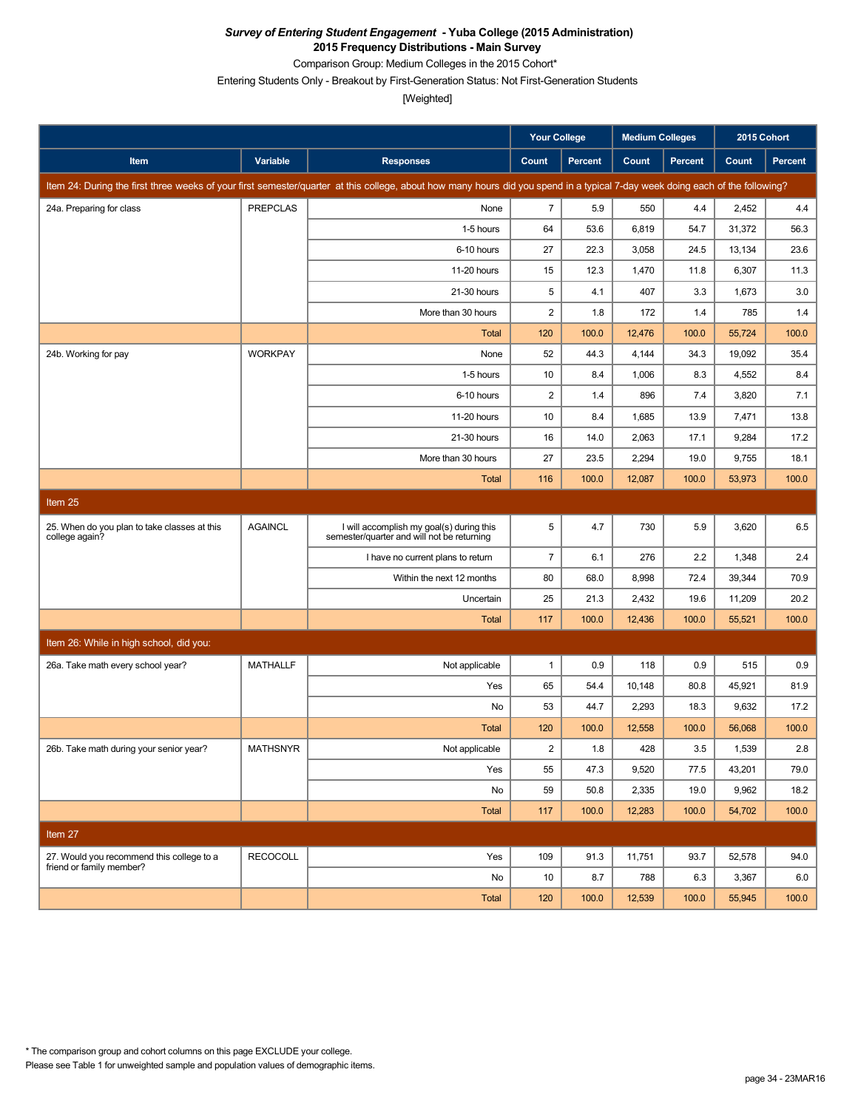Comparison Group: Medium Colleges in the 2015 Cohort\*

Entering Students Only - Breakout by First-Generation Status: Not First-Generation Students

[Weighted]

|                                                                |                 |                                                                                                                                                                               | <b>Your College</b> |                | <b>Medium Colleges</b> |                | 2015 Cohort |                |
|----------------------------------------------------------------|-----------------|-------------------------------------------------------------------------------------------------------------------------------------------------------------------------------|---------------------|----------------|------------------------|----------------|-------------|----------------|
| Item                                                           | Variable        | <b>Responses</b>                                                                                                                                                              | Count               | <b>Percent</b> | Count                  | <b>Percent</b> | Count       | <b>Percent</b> |
|                                                                |                 | Item 24: During the first three weeks of your first semester/quarter at this college, about how many hours did you spend in a typical 7-day week doing each of the following? |                     |                |                        |                |             |                |
| 24a. Preparing for class                                       | <b>PREPCLAS</b> | None                                                                                                                                                                          | $\overline{7}$      | 5.9            | 550                    | 4.4            | 2,452       | 4.4            |
|                                                                |                 | 1-5 hours                                                                                                                                                                     | 64                  | 53.6           | 6,819                  | 54.7           | 31,372      | 56.3           |
|                                                                |                 | 6-10 hours                                                                                                                                                                    | 27                  | 22.3           | 3,058                  | 24.5           | 13,134      | 23.6           |
|                                                                |                 | 11-20 hours                                                                                                                                                                   | 15                  | 12.3           | 1,470                  | 11.8           | 6,307       | 11.3           |
|                                                                |                 | 21-30 hours                                                                                                                                                                   | 5                   | 4.1            | 407                    | 3.3            | 1,673       | 3.0            |
|                                                                |                 | More than 30 hours                                                                                                                                                            | 2                   | 1.8            | 172                    | 1.4            | 785         | 1.4            |
|                                                                |                 | <b>Total</b>                                                                                                                                                                  | 120                 | 100.0          | 12,476                 | 100.0          | 55,724      | 100.0          |
| 24b. Working for pay                                           | <b>WORKPAY</b>  | None                                                                                                                                                                          | 52                  | 44.3           | 4,144                  | 34.3           | 19,092      | 35.4           |
|                                                                |                 | 1-5 hours                                                                                                                                                                     | 10                  | 8.4            | 1,006                  | 8.3            | 4,552       | 8.4            |
|                                                                |                 | 6-10 hours                                                                                                                                                                    | $\sqrt{2}$          | 1.4            | 896                    | 7.4            | 3,820       | 7.1            |
|                                                                |                 | 11-20 hours                                                                                                                                                                   | 10                  | 8.4            | 1,685                  | 13.9           | 7,471       | 13.8           |
|                                                                |                 | 21-30 hours                                                                                                                                                                   | 16                  | 14.0           | 2,063                  | 17.1           | 9,284       | 17.2           |
|                                                                |                 | More than 30 hours                                                                                                                                                            | 27                  | 23.5           | 2,294                  | 19.0           | 9,755       | 18.1           |
|                                                                |                 | <b>Total</b>                                                                                                                                                                  | 116                 | 100.0          | 12,087                 | 100.0          | 53,973      | 100.0          |
| Item 25                                                        |                 |                                                                                                                                                                               |                     |                |                        |                |             |                |
| 25. When do you plan to take classes at this<br>college again? | <b>AGAINCL</b>  | I will accomplish my goal(s) during this<br>semester/quarter and will not be returning                                                                                        | 5                   | 4.7            | 730                    | 5.9            | 3,620       | 6.5            |
|                                                                |                 | I have no current plans to return                                                                                                                                             | $\bf 7$             | 6.1            | 276                    | 2.2            | 1,348       | 2.4            |
|                                                                |                 | Within the next 12 months                                                                                                                                                     | 80                  | 68.0           | 8,998                  | 72.4           | 39,344      | 70.9           |
|                                                                |                 | Uncertain                                                                                                                                                                     | 25                  | 21.3           | 2,432                  | 19.6           | 11,209      | 20.2           |
|                                                                |                 | Total                                                                                                                                                                         | 117                 | 100.0          | 12,436                 | 100.0          | 55,521      | 100.0          |
| Item 26: While in high school, did you:                        |                 |                                                                                                                                                                               |                     |                |                        |                |             |                |
| 26a. Take math every school year?                              | <b>MATHALLF</b> | Not applicable                                                                                                                                                                | $\mathbf{1}$        | 0.9            | 118                    | 0.9            | 515         | 0.9            |
|                                                                |                 | Yes                                                                                                                                                                           | 65                  | 54.4           | 10,148                 | 80.8           | 45,921      | 81.9           |
|                                                                |                 | No                                                                                                                                                                            | 53                  | 44.7           | 2,293                  | 18.3           | 9,632       | 17.2           |
|                                                                |                 | <b>Total</b>                                                                                                                                                                  | 120                 | 100.0          | 12,558                 | 100.0          | 56,068      | 100.0          |
| 26b. Take math during your senior year?                        | <b>MATHSNYR</b> | Not applicable                                                                                                                                                                | $\sqrt{2}$          | 1.8            | 428                    | 3.5            | 1,539       | 2.8            |
|                                                                |                 | Yes                                                                                                                                                                           | 55                  | 47.3           | 9,520                  | 77.5           | 43,201      | 79.0           |
|                                                                |                 | No                                                                                                                                                                            | 59                  | 50.8           | 2,335                  | 19.0           | 9,962       | 18.2           |
|                                                                |                 | <b>Total</b>                                                                                                                                                                  | 117                 | 100.0          | 12,283                 | 100.0          | 54,702      | 100.0          |
| Item 27                                                        |                 |                                                                                                                                                                               |                     |                |                        |                |             |                |
| 27. Would you recommend this college to a                      | <b>RECOCOLL</b> | Yes                                                                                                                                                                           | 109                 | 91.3           | 11,751                 | 93.7           | 52,578      | 94.0           |
| friend or family member?                                       |                 | No                                                                                                                                                                            | 10                  | 8.7            | 788                    | 6.3            | 3,367       | 6.0            |
|                                                                |                 | Total                                                                                                                                                                         | 120                 | 100.0          | 12,539                 | 100.0          | 55,945      | 100.0          |

Please see Table 1 for unweighted sample and population values of demographic items. \* The comparison group and cohort columns on this page EXCLUDE your college.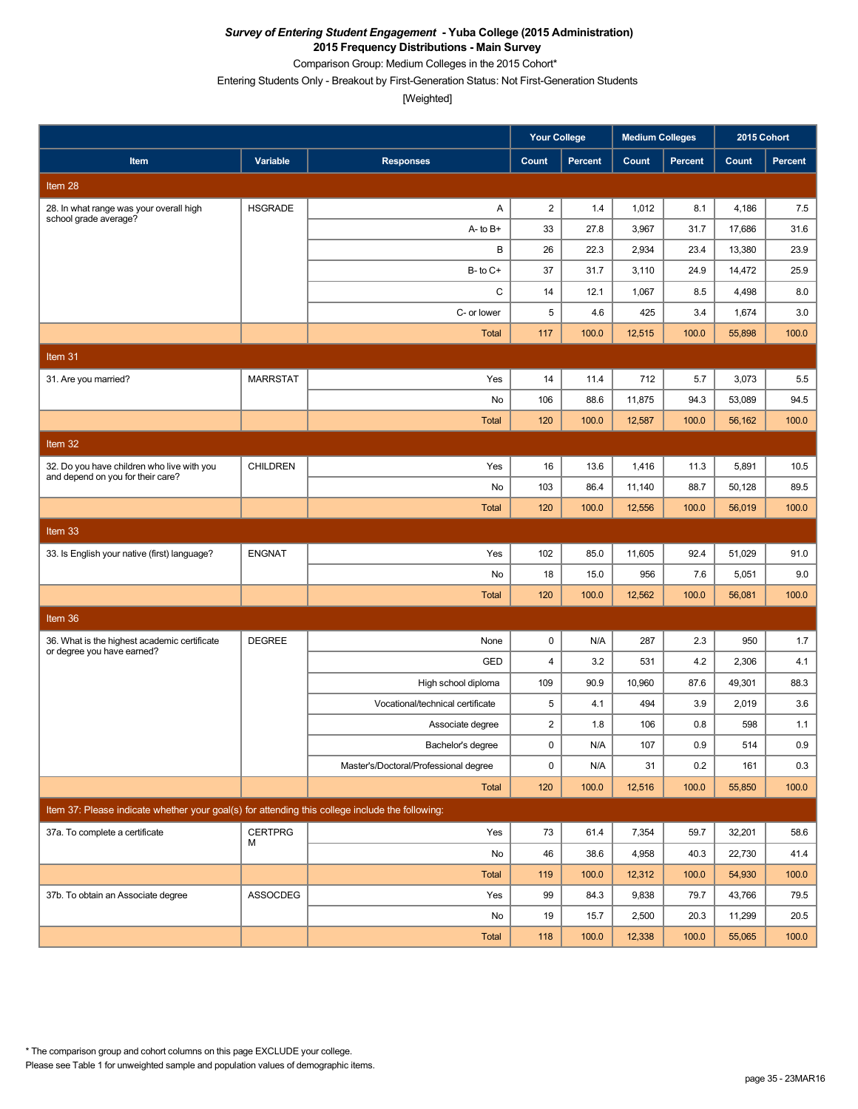Comparison Group: Medium Colleges in the 2015 Cohort\*

Entering Students Only - Breakout by First-Generation Status: Not First-Generation Students

|                                                                                                 |                 |                                       | <b>Your College</b> |                | <b>Medium Colleges</b> |                | 2015 Cohort |                |
|-------------------------------------------------------------------------------------------------|-----------------|---------------------------------------|---------------------|----------------|------------------------|----------------|-------------|----------------|
| Item                                                                                            | Variable        | <b>Responses</b>                      | Count               | <b>Percent</b> | Count                  | <b>Percent</b> | Count       | <b>Percent</b> |
| Item 28                                                                                         |                 |                                       |                     |                |                        |                |             |                |
| 28. In what range was your overall high<br>school grade average?                                | <b>HSGRADE</b>  | Α                                     | $\overline{2}$      | 1.4            | 1,012                  | 8.1            | 4,186       | 7.5            |
|                                                                                                 |                 | $A - to B +$                          | 33                  | 27.8           | 3,967                  | 31.7           | 17,686      | 31.6           |
|                                                                                                 |                 | В                                     | 26                  | 22.3           | 2,934                  | 23.4           | 13,380      | 23.9           |
|                                                                                                 |                 | $B$ - to $C$ +                        | 37                  | 31.7           | 3,110                  | 24.9           | 14,472      | 25.9           |
|                                                                                                 |                 | C                                     | 14                  | 12.1           | 1,067                  | 8.5            | 4,498       | 8.0            |
|                                                                                                 |                 | C- or lower                           | 5                   | 4.6            | 425                    | 3.4            | 1,674       | 3.0            |
|                                                                                                 |                 | <b>Total</b>                          | 117                 | 100.0          | 12,515                 | 100.0          | 55,898      | 100.0          |
| Item 31                                                                                         |                 |                                       |                     |                |                        |                |             |                |
| 31. Are you married?                                                                            | <b>MARRSTAT</b> | Yes                                   | 14                  | 11.4           | 712                    | 5.7            | 3,073       | 5.5            |
|                                                                                                 |                 | No                                    | 106                 | 88.6           | 11,875                 | 94.3           | 53,089      | 94.5           |
|                                                                                                 |                 | <b>Total</b>                          | 120                 | 100.0          | 12,587                 | 100.0          | 56,162      | 100.0          |
| Item 32                                                                                         |                 |                                       |                     |                |                        |                |             |                |
| 32. Do you have children who live with you                                                      | <b>CHILDREN</b> | Yes                                   | 16                  | 13.6           | 1,416                  | 11.3           | 5,891       | 10.5           |
| and depend on you for their care?                                                               |                 | No                                    | 103                 | 86.4           | 11,140                 | 88.7           | 50,128      | 89.5           |
|                                                                                                 |                 | <b>Total</b>                          | 120                 | 100.0          | 12,556                 | 100.0          | 56,019      | 100.0          |
| Item <sub>33</sub>                                                                              |                 |                                       |                     |                |                        |                |             |                |
| 33. Is English your native (first) language?                                                    | <b>ENGNAT</b>   | Yes                                   | 102                 | 85.0           | 11,605                 | 92.4           | 51,029      | 91.0           |
|                                                                                                 |                 | No                                    | 18                  | 15.0           | 956                    | 7.6            | 5,051       | 9.0            |
|                                                                                                 |                 | <b>Total</b>                          | 120                 | 100.0          | 12,562                 | 100.0          | 56,081      | 100.0          |
| Item 36                                                                                         |                 |                                       |                     |                |                        |                |             |                |
| 36. What is the highest academic certificate                                                    | <b>DEGREE</b>   | None                                  | 0                   | N/A            | 287                    | 2.3            | 950         | 1.7            |
| or degree you have earned?                                                                      |                 | GED                                   | $\overline{4}$      | 3.2            | 531                    | 4.2            | 2,306       | 4.1            |
|                                                                                                 |                 | High school diploma                   | 109                 | 90.9           | 10,960                 | 87.6           | 49,301      | 88.3           |
|                                                                                                 |                 | Vocational/technical certificate      | 5                   | 4.1            | 494                    | 3.9            | 2,019       | 3.6            |
|                                                                                                 |                 | Associate degree                      | $\overline{c}$      | 1.8            | 106                    | 0.8            | 598         | 1.1            |
|                                                                                                 |                 | Bachelor's degree                     | $\mathbf 0$         | N/A            | 107                    | 0.9            | 514         | 0.9            |
|                                                                                                 |                 | Master's/Doctoral/Professional degree | 0                   | N/A            | 31                     | 0.2            | 161         | 0.3            |
|                                                                                                 |                 | Total                                 | 120                 | 100.0          | 12,516                 | 100.0          | 55,850      | 100.0          |
| Item 37: Please indicate whether your goal(s) for attending this college include the following: |                 |                                       |                     |                |                        |                |             |                |
| 37a. To complete a certificate                                                                  | <b>CERTPRG</b>  | Yes                                   | 73                  | 61.4           | 7,354                  | 59.7           | 32,201      | 58.6           |
|                                                                                                 | м               | No                                    | 46                  | 38.6           | 4,958                  | 40.3           | 22,730      | 41.4           |
|                                                                                                 |                 | Total                                 | 119                 | 100.0          | 12,312                 | 100.0          | 54,930      | 100.0          |
| 37b. To obtain an Associate degree                                                              | <b>ASSOCDEG</b> | Yes                                   | 99                  | 84.3           | 9,838                  | 79.7           | 43,766      | 79.5           |
|                                                                                                 |                 | No                                    | 19                  | 15.7           | 2,500                  | 20.3           | 11,299      | 20.5           |
|                                                                                                 |                 | Total                                 | 118                 | 100.0          | 12,338                 | 100.0          | 55,065      | 100.0          |